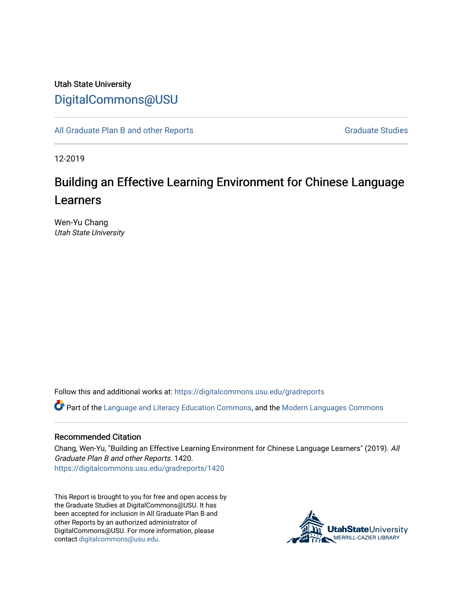## Utah State University [DigitalCommons@USU](https://digitalcommons.usu.edu/)

[All Graduate Plan B and other Reports](https://digitalcommons.usu.edu/gradreports) **Graduate Studies** Graduate Studies

12-2019

# Building an Effective Learning Environment for Chinese Language Learners

Wen-Yu Chang Utah State University

Follow this and additional works at: [https://digitalcommons.usu.edu/gradreports](https://digitalcommons.usu.edu/gradreports?utm_source=digitalcommons.usu.edu%2Fgradreports%2F1420&utm_medium=PDF&utm_campaign=PDFCoverPages)

Part of the [Language and Literacy Education Commons,](http://network.bepress.com/hgg/discipline/1380?utm_source=digitalcommons.usu.edu%2Fgradreports%2F1420&utm_medium=PDF&utm_campaign=PDFCoverPages) and the [Modern Languages Commons](http://network.bepress.com/hgg/discipline/1130?utm_source=digitalcommons.usu.edu%2Fgradreports%2F1420&utm_medium=PDF&utm_campaign=PDFCoverPages)

### Recommended Citation

Chang, Wen-Yu, "Building an Effective Learning Environment for Chinese Language Learners" (2019). All Graduate Plan B and other Reports. 1420. [https://digitalcommons.usu.edu/gradreports/1420](https://digitalcommons.usu.edu/gradreports/1420?utm_source=digitalcommons.usu.edu%2Fgradreports%2F1420&utm_medium=PDF&utm_campaign=PDFCoverPages) 

This Report is brought to you for free and open access by the Graduate Studies at DigitalCommons@USU. It has been accepted for inclusion in All Graduate Plan B and other Reports by an authorized administrator of DigitalCommons@USU. For more information, please contact [digitalcommons@usu.edu](mailto:digitalcommons@usu.edu).

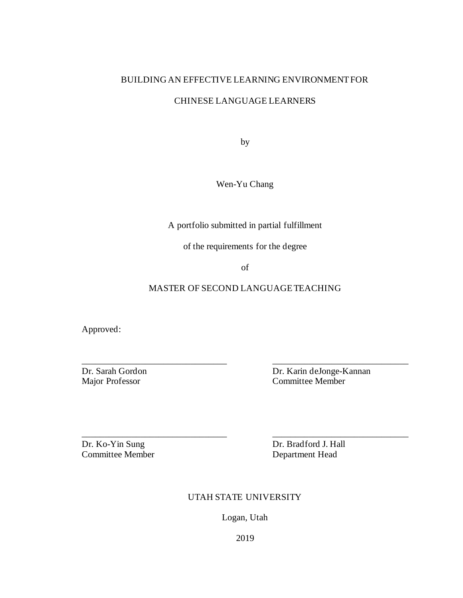### BUILDING AN EFFECTIVE LEARNING ENVIRONMENT FOR

### CHINESE LANGUAGE LEARNERS

by

Wen-Yu Chang

A portfolio submitted in partial fulfillment

of the requirements for the degree

of

### MASTER OF SECOND LANGUAGE TEACHING

\_\_\_\_\_\_\_\_\_\_\_\_\_\_\_\_\_\_\_\_\_\_\_\_\_\_\_\_\_\_\_\_ \_\_\_\_\_\_\_\_\_\_\_\_\_\_\_\_\_\_\_\_\_\_\_\_\_\_\_\_\_\_

Approved:

Dr. Sarah Gordon Dr. Karin deJonge-Kannan Major Professor Committee Member

Committee Member Department Head

Dr. Ko-Yin Sung Dr. Bradford J. Hall

### UTAH STATE UNIVERSITY

\_\_\_\_\_\_\_\_\_\_\_\_\_\_\_\_\_\_\_\_\_\_\_\_\_\_\_\_\_\_\_\_ \_\_\_\_\_\_\_\_\_\_\_\_\_\_\_\_\_\_\_\_\_\_\_\_\_\_\_\_\_\_

Logan, Utah

2019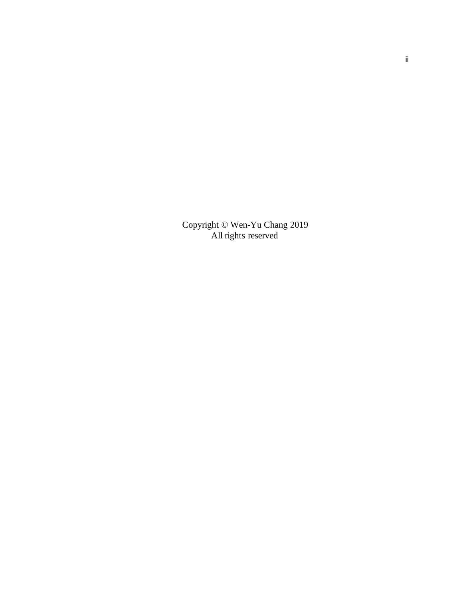Copyright © Wen-Yu Chang 2019 All rights reserved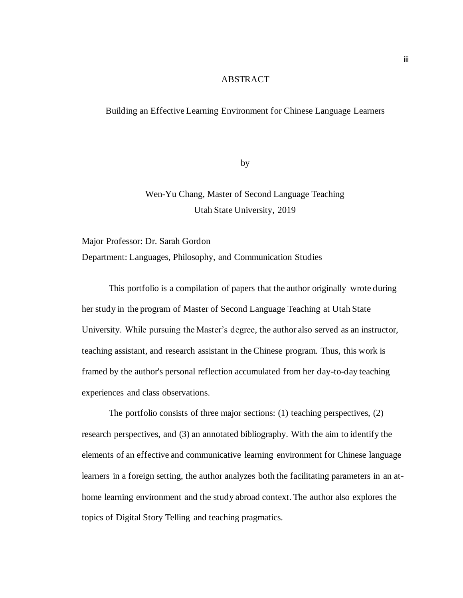### ABSTRACT

### Building an Effective Learning Environment for Chinese Language Learners

by

Wen-Yu Chang, Master of Second Language Teaching Utah State University, 2019

Major Professor: Dr. Sarah Gordon Department: Languages, Philosophy, and Communication Studies

This portfolio is a compilation of papers that the author originally wrote during her study in the program of Master of Second Language Teaching at Utah State University. While pursuing the Master's degree, the author also served as an instructor, teaching assistant, and research assistant in the Chinese program. Thus, this work is framed by the author's personal reflection accumulated from her day-to-day teaching experiences and class observations.

The portfolio consists of three major sections: (1) teaching perspectives, (2) research perspectives, and (3) an annotated bibliography. With the aim to identify the elements of an effective and communicative learning environment for Chinese language learners in a foreign setting, the author analyzes both the facilitating parameters in an athome learning environment and the study abroad context. The author also explores the topics of Digital Story Telling and teaching pragmatics.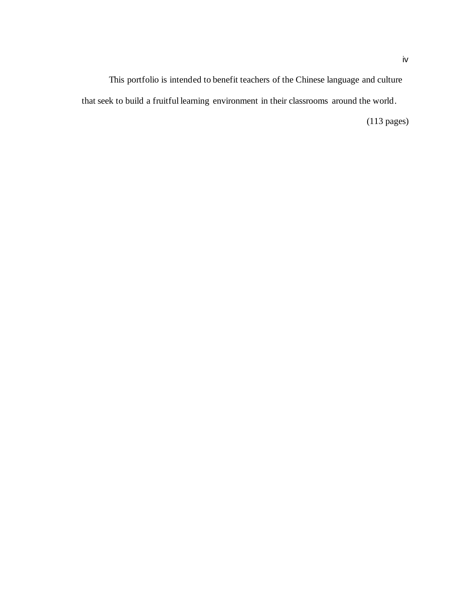This portfolio is intended to benefit teachers of the Chinese language and culture that seek to build a fruitful learning environment in their classrooms around the world.

(113 pages)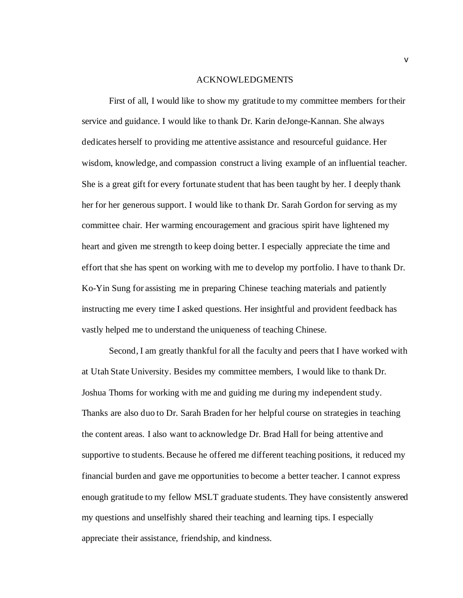#### ACKNOWLEDGMENTS

First of all, I would like to show my gratitude to my committee members for their service and guidance. I would like to thank Dr. Karin deJonge-Kannan. She always dedicates herself to providing me attentive assistance and resourceful guidance. Her wisdom, knowledge, and compassion construct a living example of an influential teacher. She is a great gift for every fortunate student that has been taught by her. I deeply thank her for her generous support. I would like to thank Dr. Sarah Gordon for serving as my committee chair. Her warming encouragement and gracious spirit have lightened my heart and given me strength to keep doing better. I especially appreciate the time and effort that she has spent on working with me to develop my portfolio. I have to thank Dr. Ko-Yin Sung for assisting me in preparing Chinese teaching materials and patiently instructing me every time I asked questions. Her insightful and provident feedback has vastly helped me to understand the uniqueness of teaching Chinese.

Second, I am greatly thankful for all the faculty and peers that I have worked with at Utah State University. Besides my committee members, I would like to thank Dr. Joshua Thoms for working with me and guiding me during my independent study. Thanks are also duo to Dr. Sarah Braden for her helpful course on strategies in teaching the content areas. I also want to acknowledge Dr. Brad Hall for being attentive and supportive to students. Because he offered me different teaching positions, it reduced my financial burden and gave me opportunities to become a better teacher. I cannot express enough gratitude to my fellow MSLT graduate students. They have consistently answered my questions and unselfishly shared their teaching and learning tips. I especially appreciate their assistance, friendship, and kindness.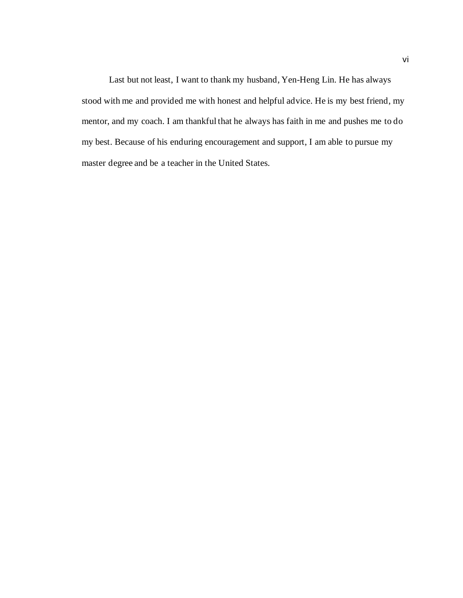Last but not least, I want to thank my husband, Yen-Heng Lin. He has always stood with me and provided me with honest and helpful advice. He is my best friend, my mentor, and my coach. I am thankful that he always has faith in me and pushes me to do my best. Because of his enduring encouragement and support, I am able to pursue my master degree and be a teacher in the United States.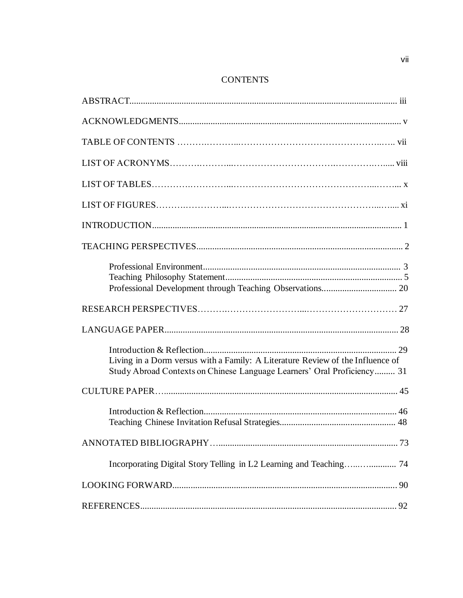### **CONTENTS**

| Living in a Dorm versus with a Family: A Literature Review of the Influence of<br>Study Abroad Contexts on Chinese Language Learners' Oral Proficiency 31 |
|-----------------------------------------------------------------------------------------------------------------------------------------------------------|
|                                                                                                                                                           |
|                                                                                                                                                           |
|                                                                                                                                                           |
| Incorporating Digital Story Telling in L2 Learning and Teaching 74                                                                                        |
|                                                                                                                                                           |
|                                                                                                                                                           |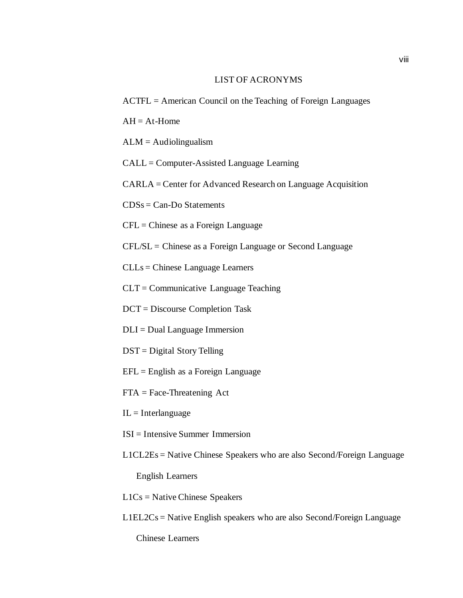### LIST OF ACRONYMS

- ACTFL = American Council on the Teaching of Foreign Languages
- $AH = At$ -Home
- $ALM =$  Audiolingualism
- CALL = Computer-Assisted Language Learning

CARLA = Center for Advanced Research on Language Acquisition

 $CDSs = Can-Do$  Statements

CFL = Chinese as a Foreign Language

CFL/SL = Chinese as a Foreign Language or Second Language

CLLs = Chinese Language Learners

CLT = Communicative Language Teaching

DCT = Discourse Completion Task

- DLI = Dual Language Immersion
- DST = Digital Story Telling
- $EFL =$  English as a Foreign Language
- FTA = Face-Threatening Act
- $IL = Interlanguage$
- ISI = Intensive Summer Immersion
- L1CL2Es = Native Chinese Speakers who are also Second/Foreign Language

English Learners

- L1Cs = Native Chinese Speakers
- L1EL2Cs = Native English speakers who are also Second/Foreign Language

Chinese Learners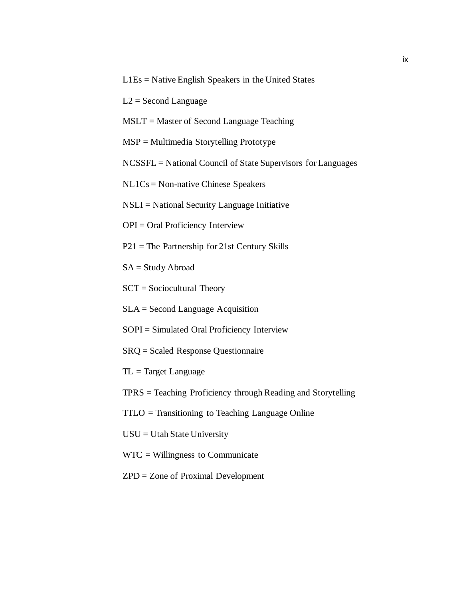- L1Es = Native English Speakers in the United States
- $L2 =$  Second Language
- MSLT = Master of Second Language Teaching
- MSP = Multimedia Storytelling Prototype
- NCSSFL = National Council of State Supervisors for Languages
- NL1Cs = Non-native Chinese Speakers
- NSLI = National Security Language Initiative
- OPI = Oral Proficiency Interview
- P21 = The Partnership for 21st Century Skills
- $SA = Study Abroad$
- SCT = Sociocultural Theory
- SLA = Second Language Acquisition
- SOPI = Simulated Oral Proficiency Interview
- SRQ = Scaled Response Questionnaire
- TL = Target Language
- TPRS = Teaching Proficiency through Reading and Storytelling
- TTLO = Transitioning to Teaching Language Online
- USU = Utah State University
- WTC = Willingness to Communicate
- ZPD = Zone of Proximal Development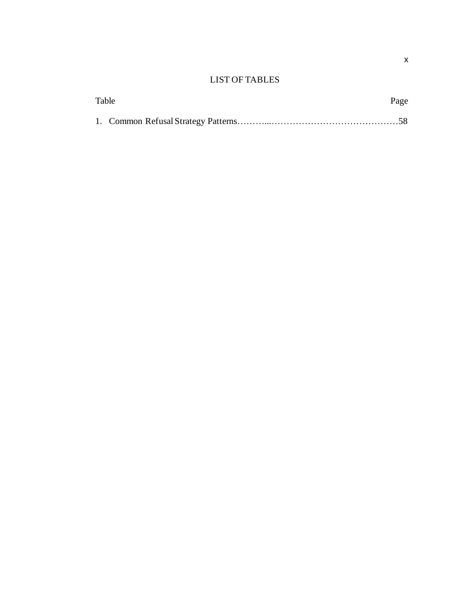### LIST OF TABLES

| Table |  | Page |
|-------|--|------|
|       |  |      |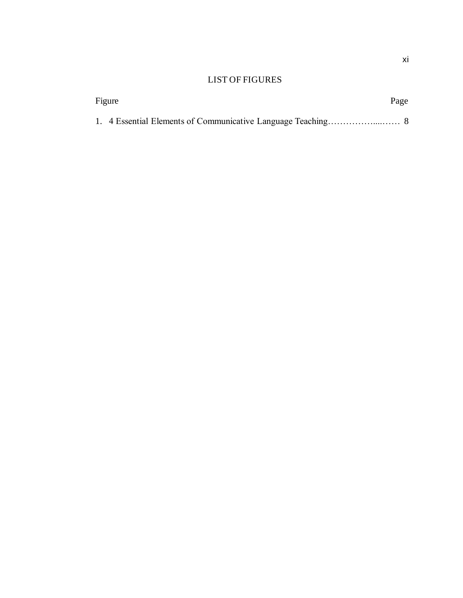### LIST OF FIGURES

| Figure |  | Page |  |
|--------|--|------|--|
|        |  |      |  |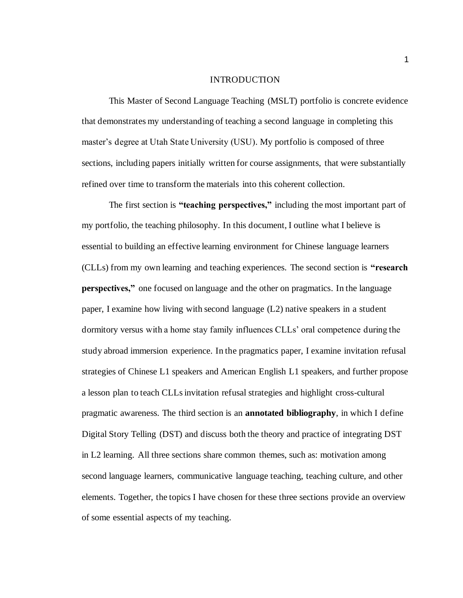#### INTRODUCTION

This Master of Second Language Teaching (MSLT) portfolio is concrete evidence that demonstrates my understanding of teaching a second language in completing this master's degree at Utah State University (USU). My portfolio is composed of three sections, including papers initially written for course assignments, that were substantially refined over time to transform the materials into this coherent collection.

The first section is **"teaching perspectives,"** including the most important part of my portfolio, the teaching philosophy. In this document, I outline what I believe is essential to building an effective learning environment for Chinese language learners (CLLs) from my own learning and teaching experiences. The second section is **"research perspectives,"** one focused on language and the other on pragmatics. In the language paper, I examine how living with second language (L2) native speakers in a student dormitory versus with a home stay family influences CLLs' oral competence during the study abroad immersion experience. In the pragmatics paper, I examine invitation refusal strategies of Chinese L1 speakers and American English L1 speakers, and further propose a lesson plan to teach CLLs invitation refusal strategies and highlight cross-cultural pragmatic awareness. The third section is an **annotated bibliography**, in which I define Digital Story Telling (DST) and discuss both the theory and practice of integrating DST in L2 learning. All three sections share common themes, such as: motivation among second language learners, communicative language teaching, teaching culture, and other elements. Together, the topics I have chosen for these three sections provide an overview of some essential aspects of my teaching.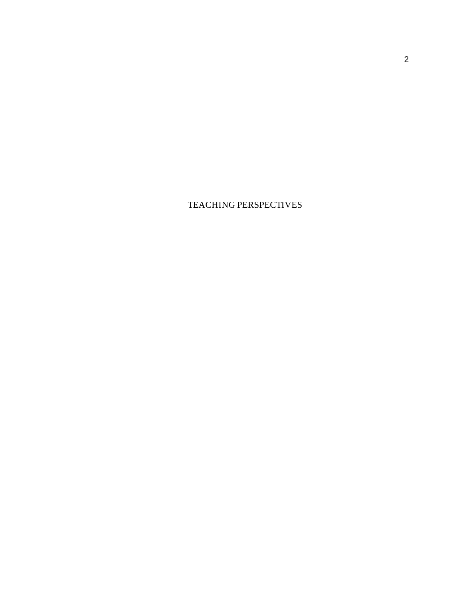TEACHING PERSPECTIVES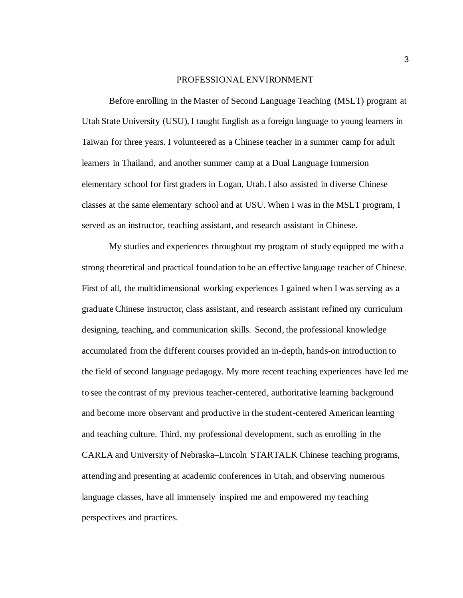#### PROFESSIONAL ENVIRONMENT

Before enrolling in the Master of Second Language Teaching (MSLT) program at Utah State University (USU), I taught English as a foreign language to young learners in Taiwan for three years. I volunteered as a Chinese teacher in a summer camp for adult learners in Thailand, and another summer camp at a Dual Language Immersion elementary school for first graders in Logan, Utah. I also assisted in diverse Chinese classes at the same elementary school and at USU. When I was in the MSLT program, I served as an instructor, teaching assistant, and research assistant in Chinese.

My studies and experiences throughout my program of study equipped me with a strong theoretical and practical foundation to be an effective language teacher of Chinese. First of all, the multidimensional working experiences I gained when I was serving as a graduate Chinese instructor, class assistant, and research assistant refined my curriculum designing, teaching, and communication skills. Second, the professional knowledge accumulated from the different courses provided an in-depth, hands-on introduction to the field of second language pedagogy. My more recent teaching experiences have led me to see the contrast of my previous teacher-centered, authoritative learning background and become more observant and productive in the student-centered American learning and teaching culture. Third, my professional development, such as enrolling in the CARLA and University of Nebraska–Lincoln STARTALK Chinese teaching programs, attending and presenting at academic conferences in Utah, and observing numerous language classes, have all immensely inspired me and empowered my teaching perspectives and practices.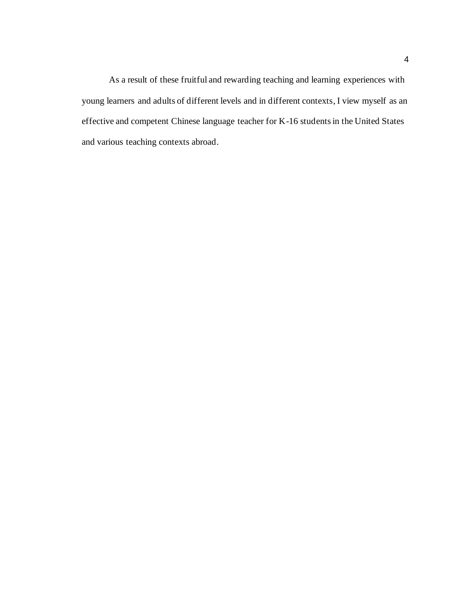As a result of these fruitful and rewarding teaching and learning experiences with young learners and adults of different levels and in different contexts, I view myself as an effective and competent Chinese language teacher for K-16 students in the United States and various teaching contexts abroad.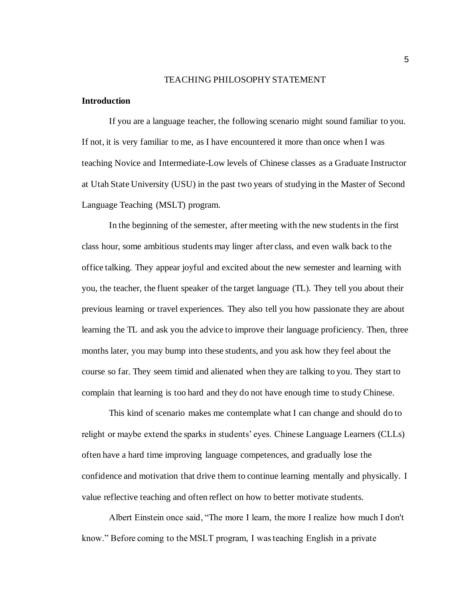#### TEACHING PHILOSOPHY STATEMENT

### **Introduction**

If you are a language teacher, the following scenario might sound familiar to you. If not, it is very familiar to me, as I have encountered it more than once when I was teaching Novice and Intermediate-Low levels of Chinese classes as a Graduate Instructor at Utah State University (USU) in the past two years of studying in the Master of Second Language Teaching (MSLT) program.

In the beginning of the semester, after meeting with the new students in the first class hour, some ambitious students may linger after class, and even walk back to the office talking. They appear joyful and excited about the new semester and learning with you, the teacher, the fluent speaker of the target language (TL). They tell you about their previous learning or travel experiences. They also tell you how passionate they are about learning the TL and ask you the advice to improve their language proficiency. Then, three months later, you may bump into these students, and you ask how they feel about the course so far. They seem timid and alienated when they are talking to you. They start to complain that learning is too hard and they do not have enough time to study Chinese.

This kind of scenario makes me contemplate what I can change and should do to relight or maybe extend the sparks in students' eyes. Chinese Language Learners (CLLs) often have a hard time improving language competences, and gradually lose the confidence and motivation that drive them to continue learning mentally and physically. I value reflective teaching and often reflect on how to better motivate students.

Albert Einstein once said, "The more I learn, the more I realize how much I don't know." Before coming to the MSLT program, I was teaching English in a private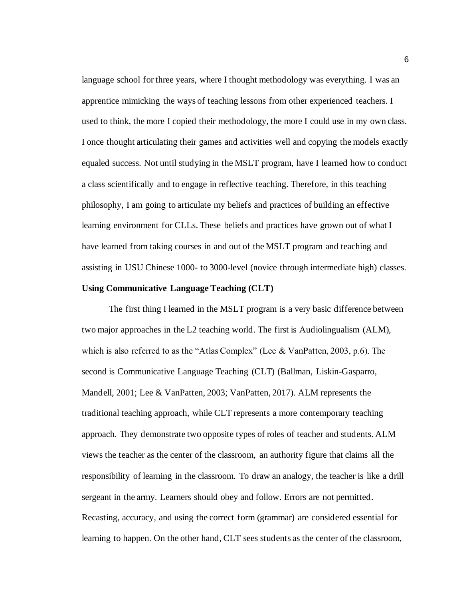language school for three years, where I thought methodology was everything. I was an apprentice mimicking the ways of teaching lessons from other experienced teachers. I used to think, the more I copied their methodology, the more I could use in my own class. I once thought articulating their games and activities well and copying the models exactly equaled success. Not until studying in the MSLT program, have I learned how to conduct a class scientifically and to engage in reflective teaching. Therefore, in this teaching philosophy, I am going to articulate my beliefs and practices of building an effective learning environment for CLLs. These beliefs and practices have grown out of what I have learned from taking courses in and out of the MSLT program and teaching and assisting in USU Chinese 1000- to 3000-level (novice through intermediate high) classes.

### **Using Communicative Language Teaching (CLT)**

The first thing I learned in the MSLT program is a very basic difference between two major approaches in the L2 teaching world. The first is Audiolingualism (ALM), which is also referred to as the "Atlas Complex" (Lee & VanPatten, 2003, p.6). The second is Communicative Language Teaching (CLT) (Ballman, Liskin-Gasparro, Mandell, 2001; Lee & VanPatten, 2003; VanPatten, 2017). ALM represents the traditional teaching approach, while CLT represents a more contemporary teaching approach. They demonstrate two opposite types of roles of teacher and students. ALM views the teacher as the center of the classroom, an authority figure that claims all the responsibility of learning in the classroom. To draw an analogy, the teacher is like a drill sergeant in the army. Learners should obey and follow. Errors are not permitted. Recasting, accuracy, and using the correct form (grammar) are considered essential for learning to happen. On the other hand, CLT sees students as the center of the classroom,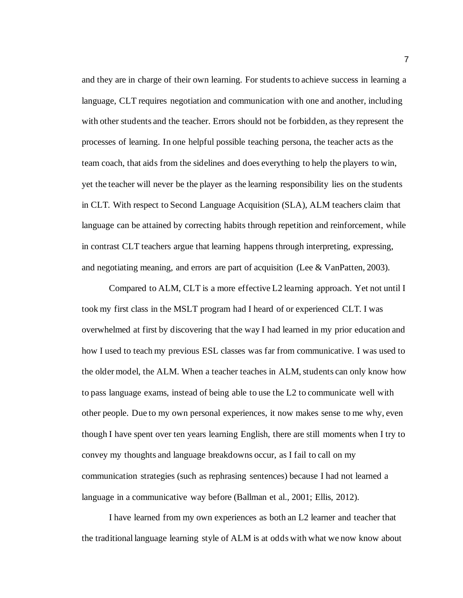and they are in charge of their own learning. For students to achieve success in learning a language, CLT requires negotiation and communication with one and another, including with other students and the teacher. Errors should not be forbidden, as they represent the processes of learning. In one helpful possible teaching persona, the teacher acts as the team coach, that aids from the sidelines and does everything to help the players to win, yet the teacher will never be the player as the learning responsibility lies on the students in CLT. With respect to Second Language Acquisition (SLA), ALM teachers claim that language can be attained by correcting habits through repetition and reinforcement, while in contrast CLT teachers argue that learning happens through interpreting, expressing, and negotiating meaning, and errors are part of acquisition (Lee & VanPatten, 2003).

Compared to ALM, CLT is a more effective L2 learning approach. Yet not until I took my first class in the MSLT program had I heard of or experienced CLT. I was overwhelmed at first by discovering that the way I had learned in my prior education and how I used to teach my previous ESL classes was far from communicative. I was used to the older model, the ALM. When a teacher teaches in ALM, students can only know how to pass language exams, instead of being able to use the L2 to communicate well with other people. Due to my own personal experiences, it now makes sense to me why, even though I have spent over ten years learning English, there are still moments when I try to convey my thoughts and language breakdowns occur, as I fail to call on my communication strategies (such as rephrasing sentences) because I had not learned a language in a communicative way before (Ballman et al., 2001; Ellis, 2012).

I have learned from my own experiences as both an L2 learner and teacher that the traditional language learning style of ALM is at odds with what we now know about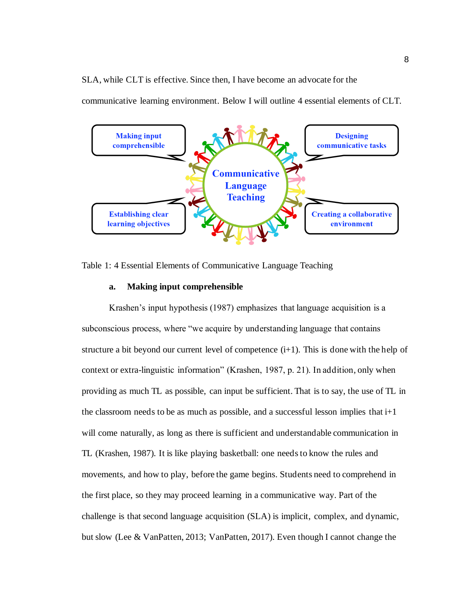SLA, while CLT is effective. Since then, I have become an advocate for the

communicative learning environment. Below I will outline 4 essential elements of CLT.



Table 1: 4 Essential Elements of Communicative Language Teaching

### **a. Making input comprehensible**

Krashen's input hypothesis (1987) emphasizes that language acquisition is a subconscious process, where "we acquire by understanding language that contains structure a bit beyond our current level of competence  $(i+1)$ . This is done with the help of context or extra-linguistic information" (Krashen, 1987, p. 21). In addition, only when providing as much TL as possible, can input be sufficient. That is to say, the use of TL in the classroom needs to be as much as possible, and a successful lesson implies that  $i+1$ will come naturally, as long as there is sufficient and understandable communication in TL (Krashen, 1987). It is like playing basketball: one needs to know the rules and movements, and how to play, before the game begins. Students need to comprehend in the first place, so they may proceed learning in a communicative way. Part of the challenge is that second language acquisition (SLA) is implicit, complex, and dynamic, but slow (Lee & VanPatten, 2013; VanPatten, 2017). Even though I cannot change the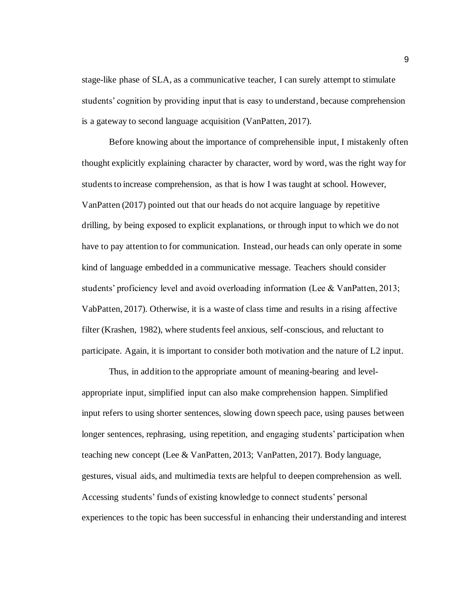stage-like phase of SLA, as a communicative teacher, I can surely attempt to stimulate students' cognition by providing input that is easy to understand, because comprehension is a gateway to second language acquisition (VanPatten, 2017).

Before knowing about the importance of comprehensible input, I mistakenly often thought explicitly explaining character by character, word by word, was the right way for students to increase comprehension, as that is how I was taught at school. However, VanPatten (2017) pointed out that our heads do not acquire language by repetitive drilling, by being exposed to explicit explanations, or through input to which we do not have to pay attention to for communication. Instead, our heads can only operate in some kind of language embedded in a communicative message. Teachers should consider students' proficiency level and avoid overloading information (Lee & VanPatten, 2013; VabPatten, 2017). Otherwise, it is a waste of class time and results in a rising affective filter (Krashen, 1982), where students feel anxious, self-conscious, and reluctant to participate. Again, it is important to consider both motivation and the nature of L2 input.

Thus, in addition to the appropriate amount of meaning-bearing and levelappropriate input, simplified input can also make comprehension happen. Simplified input refers to using shorter sentences, slowing down speech pace, using pauses between longer sentences, rephrasing, using repetition, and engaging students' participation when teaching new concept (Lee & VanPatten, 2013; VanPatten, 2017). Body language, gestures, visual aids, and multimedia texts are helpful to deepen comprehension as well. Accessing students' funds of existing knowledge to connect students' personal experiences to the topic has been successful in enhancing their understanding and interest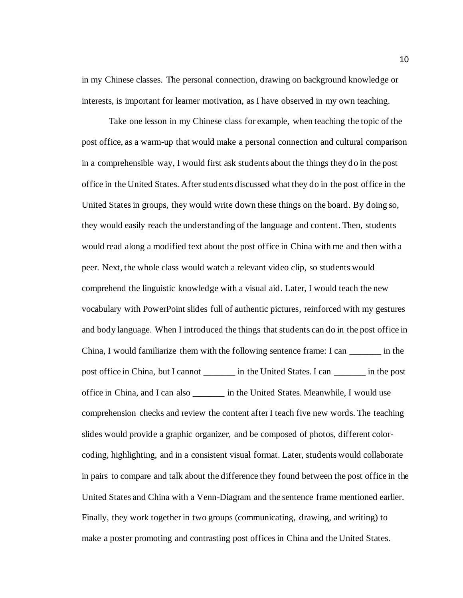in my Chinese classes. The personal connection, drawing on background knowledge or interests, is important for learner motivation, as I have observed in my own teaching.

Take one lesson in my Chinese class for example, when teaching the topic of the post office, as a warm-up that would make a personal connection and cultural comparison in a comprehensible way, I would first ask students about the things they do in the post office in the United States. After students discussed what they do in the post office in the United Statesin groups, they would write down these things on the board. By doing so, they would easily reach the understanding of the language and content. Then, students would read along a modified text about the post office in China with me and then with a peer. Next, the whole class would watch a relevant video clip, so students would comprehend the linguistic knowledge with a visual aid. Later, I would teach the new vocabulary with PowerPoint slides full of authentic pictures, reinforced with my gestures and body language. When I introduced the things that students can do in the post office in China, I would familiarize them with the following sentence frame: I can \_\_\_\_\_\_\_ in the post office in China, but I cannot \_\_\_\_\_\_\_ in the United States. I can \_\_\_\_\_\_\_ in the post office in China, and I can also \_\_\_\_\_\_\_ in the United States. Meanwhile, I would use comprehension checks and review the content after I teach five new words. The teaching slides would provide a graphic organizer, and be composed of photos, different colorcoding, highlighting, and in a consistent visual format. Later, students would collaborate in pairs to compare and talk about the difference they found between the post office in the United States and China with a Venn-Diagram and the sentence frame mentioned earlier. Finally, they work together in two groups (communicating, drawing, and writing) to make a poster promoting and contrasting post officesin China and the United States.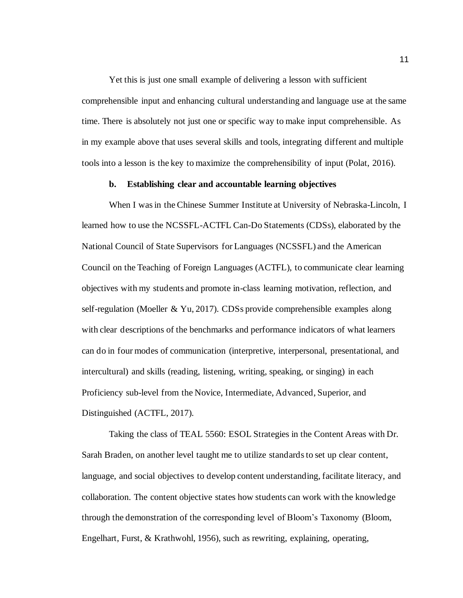Yet this is just one small example of delivering a lesson with sufficient comprehensible input and enhancing cultural understanding and language use at the same time. There is absolutely not just one or specific way to make input comprehensible. As in my example above that uses several skills and tools, integrating different and multiple tools into a lesson is the key to maximize the comprehensibility of input (Polat, 2016).

### **b. Establishing clear and accountable learning objectives**

When I was in the Chinese Summer Institute at University of Nebraska-Lincoln, I learned how to use the NCSSFL-ACTFL Can-Do Statements (CDSs), elaborated by the National Council of State Supervisors for Languages (NCSSFL) and the American Council on the Teaching of Foreign Languages (ACTFL), to communicate clear learning objectives with my students and promote in-class learning motivation, reflection, and self-regulation (Moeller & Yu, 2017). CDSs provide comprehensible examples along with clear descriptions of the benchmarks and performance indicators of what learners can do in four modes of communication (interpretive, interpersonal, presentational, and intercultural) and skills (reading, listening, writing, speaking, or singing) in each Proficiency sub-level from the Novice, Intermediate, Advanced, Superior, and Distinguished (ACTFL, 2017).

Taking the class of TEAL 5560: ESOL Strategies in the Content Areas with Dr. Sarah Braden, on another level taught me to utilize standards to set up clear content, language, and social objectives to develop content understanding, facilitate literacy, and collaboration. The content objective states how students can work with the knowledge through the demonstration of the corresponding level of Bloom's Taxonomy (Bloom, Engelhart, Furst, & Krathwohl, 1956), such as rewriting, explaining, operating,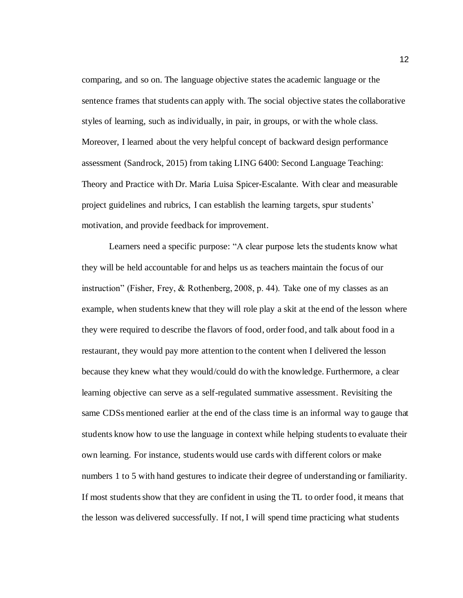comparing, and so on. The language objective states the academic language or the sentence frames that students can apply with. The social objective states the collaborative styles of learning, such as individually, in pair, in groups, or with the whole class. Moreover, I learned about the very helpful concept of backward design performance assessment (Sandrock, 2015) from taking LING 6400: Second Language Teaching: Theory and Practice with Dr. Maria Luisa Spicer-Escalante. With clear and measurable project guidelines and rubrics, I can establish the learning targets, spur students' motivation, and provide feedback for improvement.

Learners need a specific purpose: "A clear purpose lets the students know what they will be held accountable for and helps us as teachers maintain the focus of our instruction" (Fisher, Frey, & Rothenberg, 2008, p. 44). Take one of my classes as an example, when students knew that they will role play a skit at the end of the lesson where they were required to describe the flavors of food, order food, and talk about food in a restaurant, they would pay more attention to the content when I delivered the lesson because they knew what they would/could do with the knowledge. Furthermore, a clear learning objective can serve as a self-regulated summative assessment. Revisiting the same CDSs mentioned earlier at the end of the class time is an informal way to gauge that students know how to use the language in context while helping students to evaluate their own learning. For instance, students would use cards with different colors or make numbers 1 to 5 with hand gestures to indicate their degree of understanding or familiarity. If most students show that they are confident in using the TL to order food, it means that the lesson was delivered successfully. If not, I will spend time practicing what students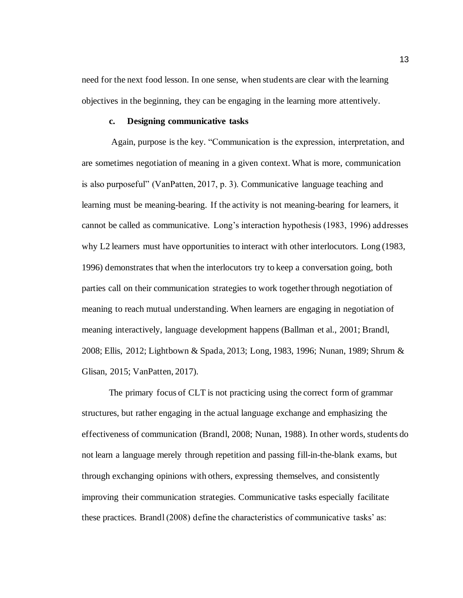need for the next food lesson. In one sense, when students are clear with the learning objectives in the beginning, they can be engaging in the learning more attentively.

### **c. Designing communicative tasks**

Again, purpose is the key. "Communication is the expression, interpretation, and are sometimes negotiation of meaning in a given context. What is more, communication is also purposeful" (VanPatten, 2017, p. 3). Communicative language teaching and learning must be meaning-bearing. If the activity is not meaning-bearing for learners, it cannot be called as communicative. Long's interaction hypothesis (1983, 1996) addresses why L2 learners must have opportunities to interact with other interlocutors. Long (1983, 1996) demonstrates that when the interlocutors try to keep a conversation going, both parties call on their communication strategies to work together through negotiation of meaning to reach mutual understanding. When learners are engaging in negotiation of meaning interactively, language development happens (Ballman et al., 2001; Brandl, 2008; Ellis, 2012; Lightbown & Spada, 2013; Long, 1983, 1996; Nunan, 1989; Shrum & Glisan, 2015; VanPatten, 2017).

The primary focus of CLT is not practicing using the correct form of grammar structures, but rather engaging in the actual language exchange and emphasizing the effectiveness of communication (Brandl, 2008; Nunan, 1988). In other words, students do not learn a language merely through repetition and passing fill-in-the-blank exams, but through exchanging opinions with others, expressing themselves, and consistently improving their communication strategies. Communicative tasks especially facilitate these practices. Brandl (2008) define the characteristics of communicative tasks' as: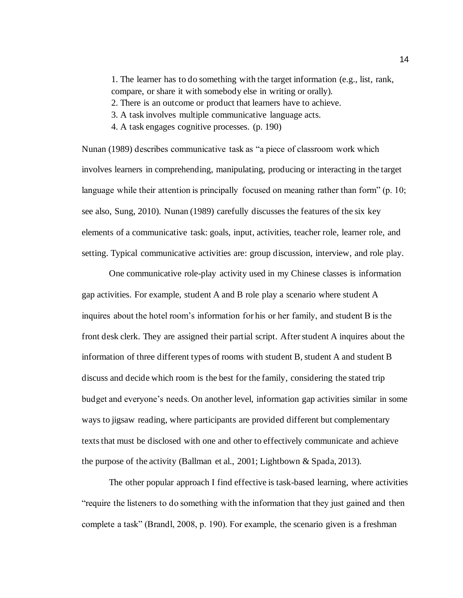1. The learner has to do something with the target information (e.g., list, rank, compare, or share it with somebody else in writing or orally).

2. There is an outcome or product that learners have to achieve.

3. A task involves multiple communicative language acts.

4. A task engages cognitive processes. (p. 190)

Nunan (1989) describes communicative task as "a piece of classroom work which involves learners in comprehending, manipulating, producing or interacting in the target language while their attention is principally focused on meaning rather than form" (p. 10; see also, Sung, 2010). Nunan (1989) carefully discusses the features of the six key elements of a communicative task: goals, input, activities, teacher role, learner role, and setting. Typical communicative activities are: group discussion, interview, and role play.

One communicative role-play activity used in my Chinese classes is information gap activities. For example, student A and B role play a scenario where student A inquires about the hotel room's information for his or her family, and student B is the front desk clerk. They are assigned their partial script. After student A inquires about the information of three different types of rooms with student B, student A and student B discuss and decide which room is the best for the family, considering the stated trip budget and everyone's needs. On another level, information gap activities similar in some ways to jigsaw reading, where participants are provided different but complementary textsthat must be disclosed with one and other to effectively communicate and achieve the purpose of the activity (Ballman et al., 2001; Lightbown & Spada, 2013).

The other popular approach I find effective is task-based learning, where activities "require the listeners to do something with the information that they just gained and then complete a task" (Brandl, 2008, p. 190). For example, the scenario given is a freshman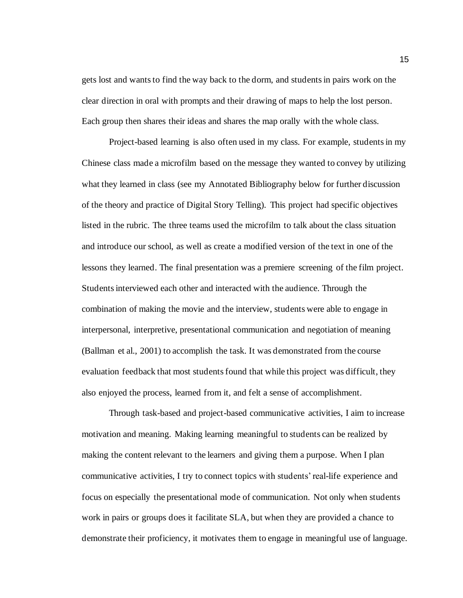gets lost and wants to find the way back to the dorm, and students in pairs work on the clear direction in oral with prompts and their drawing of maps to help the lost person. Each group then shares their ideas and shares the map orally with the whole class.

Project-based learning is also often used in my class. For example, students in my Chinese class made a microfilm based on the message they wanted to convey by utilizing what they learned in class (see my Annotated Bibliography below for further discussion of the theory and practice of Digital Story Telling). This project had specific objectives listed in the rubric. The three teams used the microfilm to talk about the class situation and introduce our school, as well as create a modified version of the text in one of the lessons they learned. The final presentation was a premiere screening of the film project. Students interviewed each other and interacted with the audience. Through the combination of making the movie and the interview, students were able to engage in interpersonal, interpretive, presentational communication and negotiation of meaning (Ballman et al., 2001) to accomplish the task. It was demonstrated from the course evaluation feedback that most students found that while this project was difficult, they also enjoyed the process, learned from it, and felt a sense of accomplishment.

Through task-based and project-based communicative activities, I aim to increase motivation and meaning. Making learning meaningful to students can be realized by making the content relevant to the learners and giving them a purpose. When I plan communicative activities, I try to connect topics with students' real-life experience and focus on especially the presentational mode of communication. Not only when students work in pairs or groups does it facilitate SLA, but when they are provided a chance to demonstrate their proficiency, it motivates them to engage in meaningful use of language.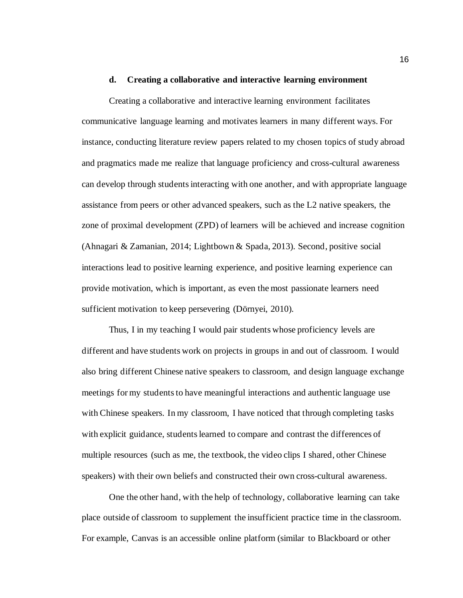#### **d. Creating a collaborative and interactive learning environment**

Creating a collaborative and interactive learning environment facilitates communicative language learning and motivates learners in many different ways. For instance, conducting literature review papers related to my chosen topics of study abroad and pragmatics made me realize that language proficiency and cross-cultural awareness can develop through students interacting with one another, and with appropriate language assistance from peers or other advanced speakers, such as the L2 native speakers, the zone of proximal development (ZPD) of learners will be achieved and increase cognition (Ahnagari & Zamanian, 2014; Lightbown & Spada, 2013). Second, positive social interactions lead to positive learning experience, and positive learning experience can provide motivation, which is important, as even the most passionate learners need sufficient motivation to keep persevering (Dörnyei, 2010).

Thus, I in my teaching I would pair students whose proficiency levels are different and have students work on projects in groups in and out of classroom. I would also bring different Chinese native speakers to classroom, and design language exchange meetings for my students to have meaningful interactions and authentic language use with Chinese speakers. In my classroom, I have noticed that through completing tasks with explicit guidance, students learned to compare and contrast the differences of multiple resources (such as me, the textbook, the video clips I shared, other Chinese speakers) with their own beliefs and constructed their own cross-cultural awareness.

One the other hand, with the help of technology, collaborative learning can take place outside of classroom to supplement the insufficient practice time in the classroom. For example, Canvas is an accessible online platform (similar to Blackboard or other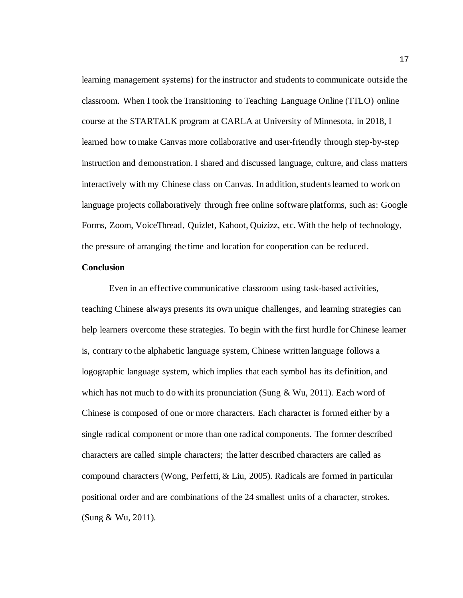learning management systems) for the instructor and students to communicate outside the classroom. When I took the Transitioning to Teaching Language Online (TTLO) online course at the STARTALK program at CARLA at University of Minnesota, in 2018, I learned how to make Canvas more collaborative and user-friendly through step-by-step instruction and demonstration. I shared and discussed language, culture, and class matters interactively with my Chinese class on Canvas. In addition, students learned to work on language projects collaboratively through free online software platforms, such as: Google Forms, Zoom, VoiceThread, Quizlet, Kahoot, Quizizz, etc. With the help of technology, the pressure of arranging the time and location for cooperation can be reduced.

### **Conclusion**

Even in an effective communicative classroom using task-based activities, teaching Chinese always presents its own unique challenges, and learning strategies can help learners overcome these strategies. To begin with the first hurdle for Chinese learner is, contrary to the alphabetic language system, Chinese written language follows a logographic language system, which implies that each symbol has its definition, and which has not much to do with its pronunciation (Sung  $& Wu, 2011$ ). Each word of Chinese is composed of one or more characters. Each character is formed either by a single radical component or more than one radical components. The former described characters are called simple characters; the latter described characters are called as compound characters (Wong, Perfetti, & Liu, 2005). Radicals are formed in particular positional order and are combinations of the 24 smallest units of a character, strokes. (Sung & Wu, 2011).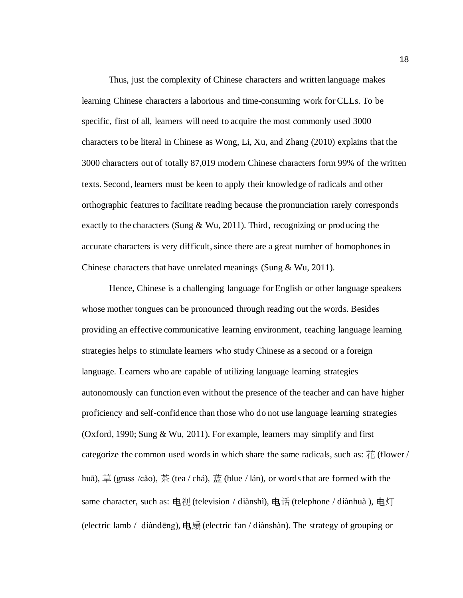Thus, just the complexity of Chinese characters and written language makes learning Chinese characters a laborious and time-consuming work for CLLs. To be specific, first of all, learners will need to acquire the most commonly used 3000 characters to be literal in Chinese as Wong, Li, Xu, and Zhang (2010) explains that the 3000 characters out of totally 87,019 modern Chinese characters form 99% of the written texts. Second, learners must be keen to apply their knowledge of radicals and other orthographic features to facilitate reading because the pronunciation rarely corresponds exactly to the characters (Sung  $& Wu, 2011$ ). Third, recognizing or producing the accurate characters is very difficult, since there are a great number of homophones in Chinese characters that have unrelated meanings (Sung & Wu, 2011).

Hence, Chinese is a challenging language for English or other language speakers whose mother tongues can be pronounced through reading out the words. Besides providing an effective communicative learning environment, teaching language learning strategies helps to stimulate learners who study Chinese as a second or a foreign language. Learners who are capable of utilizing language learning strategies autonomously can function even without the presence of the teacher and can have higher proficiency and self-confidence than those who do not use language learning strategies (Oxford, 1990; Sung & Wu, 2011). For example, learners may simplify and first categorize the common used words in which share the same radicals, such as:  $\ddot{\uparrow}$  (flower / huā), 草 (grass /cǎo), 茶 (tea / chá), 蓝 (blue / lán), or words that are formed with the same character, such as: 电视 (television / diànshì), 电话 (telephone / diànhuà ), 电灯 (electric lamb / diàndēng), 电扇 (electric fan / diànshàn). The strategy of grouping or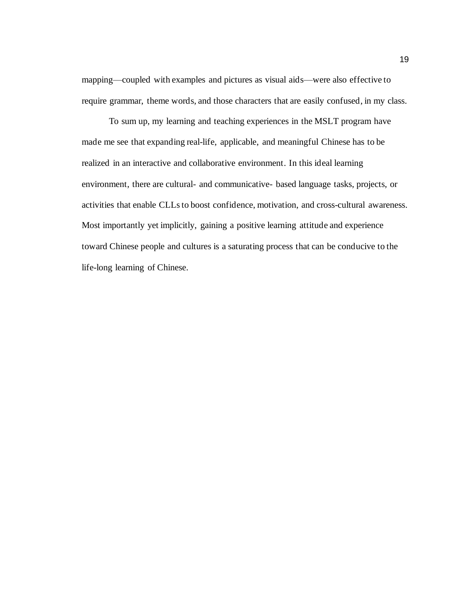mapping—coupled with examples and pictures as visual aids—were also effective to require grammar, theme words, and those characters that are easily confused, in my class.

To sum up, my learning and teaching experiences in the MSLT program have made me see that expanding real-life, applicable, and meaningful Chinese has to be realized in an interactive and collaborative environment. In this ideal learning environment, there are cultural- and communicative- based language tasks, projects, or activities that enable CLLs to boost confidence, motivation, and cross-cultural awareness. Most importantly yet implicitly, gaining a positive learning attitude and experience toward Chinese people and cultures is a saturating process that can be conducive to the life-long learning of Chinese.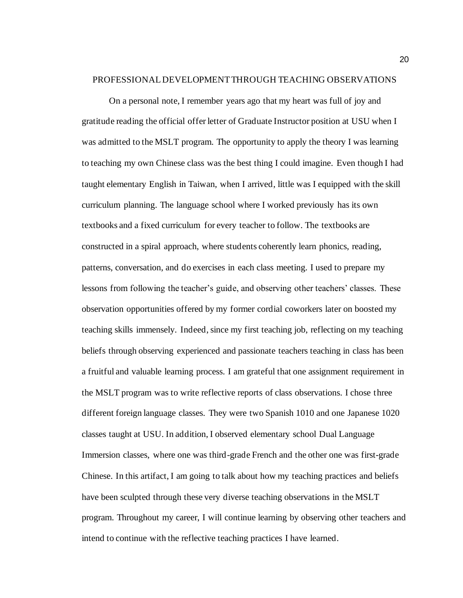#### PROFESSIONAL DEVELOPMENT THROUGH TEACHING OBSERVATIONS

On a personal note, I remember years ago that my heart was full of joy and gratitude reading the official offer letter of Graduate Instructor position at USU when I was admitted to the MSLT program. The opportunity to apply the theory I was learning to teaching my own Chinese class was the best thing I could imagine. Even though I had taught elementary English in Taiwan, when I arrived, little was I equipped with the skill curriculum planning. The language school where I worked previously has its own textbooks and a fixed curriculum for every teacher to follow. The textbooks are constructed in a spiral approach, where students coherently learn phonics, reading, patterns, conversation, and do exercises in each class meeting. I used to prepare my lessons from following the teacher's guide, and observing other teachers' classes. These observation opportunities offered by my former cordial coworkers later on boosted my teaching skills immensely. Indeed, since my first teaching job, reflecting on my teaching beliefs through observing experienced and passionate teachers teaching in class has been a fruitful and valuable learning process. I am grateful that one assignment requirement in the MSLT program was to write reflective reports of class observations. I chose three different foreign language classes. They were two Spanish 1010 and one Japanese 1020 classes taught at USU. In addition, I observed elementary school Dual Language Immersion classes, where one was third-grade French and the other one was first-grade Chinese. In this artifact, I am going to talk about how my teaching practices and beliefs have been sculpted through these very diverse teaching observations in the MSLT program. Throughout my career, I will continue learning by observing other teachers and intend to continue with the reflective teaching practices I have learned.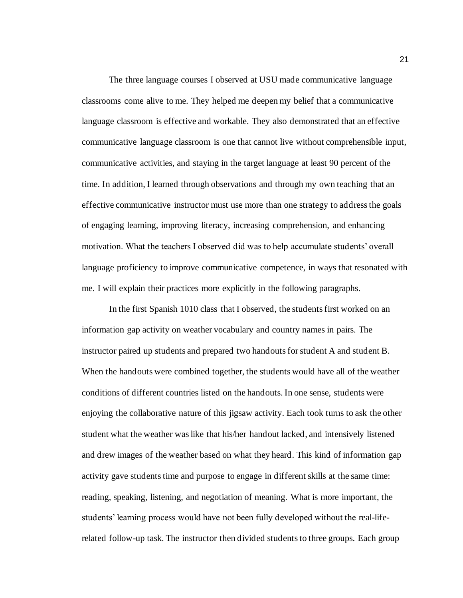The three language courses I observed at USU made communicative language classrooms come alive to me. They helped me deepen my belief that a communicative language classroom is effective and workable. They also demonstrated that an effective communicative language classroom is one that cannot live without comprehensible input, communicative activities, and staying in the target language at least 90 percent of the time. In addition, I learned through observations and through my own teaching that an effective communicative instructor must use more than one strategy to address the goals of engaging learning, improving literacy, increasing comprehension, and enhancing motivation. What the teachers I observed did was to help accumulate students' overall language proficiency to improve communicative competence, in ways that resonated with me. I will explain their practices more explicitly in the following paragraphs.

In the first Spanish 1010 class that I observed, the students first worked on an information gap activity on weather vocabulary and country names in pairs. The instructor paired up students and prepared two handouts for student A and student B. When the handouts were combined together, the students would have all of the weather conditions of different countries listed on the handouts. In one sense, students were enjoying the collaborative nature of this jigsaw activity. Each took turns to ask the other student what the weather was like that his/her handout lacked, and intensively listened and drew images of the weather based on what they heard. This kind of information gap activity gave students time and purpose to engage in different skills at the same time: reading, speaking, listening, and negotiation of meaning. What is more important, the students' learning process would have not been fully developed without the real-liferelated follow-up task. The instructor then divided students to three groups. Each group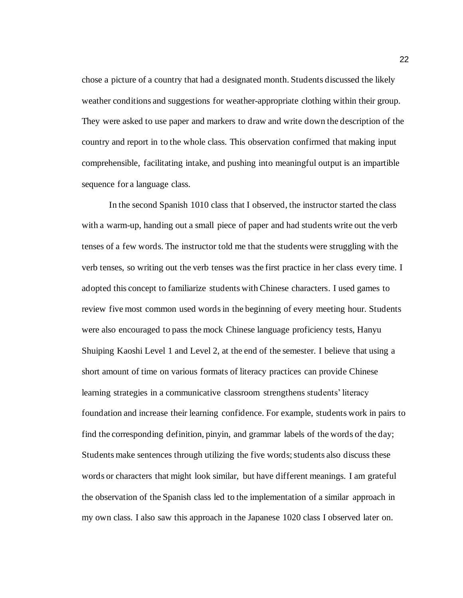chose a picture of a country that had a designated month. Students discussed the likely weather conditions and suggestions for weather-appropriate clothing within their group. They were asked to use paper and markers to draw and write down the description of the country and report in to the whole class. This observation confirmed that making input comprehensible, facilitating intake, and pushing into meaningful output is an impartible sequence for a language class.

In the second Spanish 1010 class that I observed, the instructor started the class with a warm-up, handing out a small piece of paper and had students write out the verb tenses of a few words. The instructor told me that the students were struggling with the verb tenses, so writing out the verb tenses was the first practice in her class every time. I adopted this concept to familiarize students with Chinese characters. I used games to review five most common used words in the beginning of every meeting hour. Students were also encouraged to pass the mock Chinese language proficiency tests, Hanyu Shuiping Kaoshi Level 1 and Level 2, at the end of the semester. I believe that using a short amount of time on various formats of literacy practices can provide Chinese learning strategies in a communicative classroom strengthens students' literacy foundation and increase their learning confidence. For example, students work in pairs to find the corresponding definition, pinyin, and grammar labels of the words of the day; Students make sentences through utilizing the five words; students also discuss these words or characters that might look similar, but have different meanings. I am grateful the observation of the Spanish class led to the implementation of a similar approach in my own class. I also saw this approach in the Japanese 1020 class I observed later on.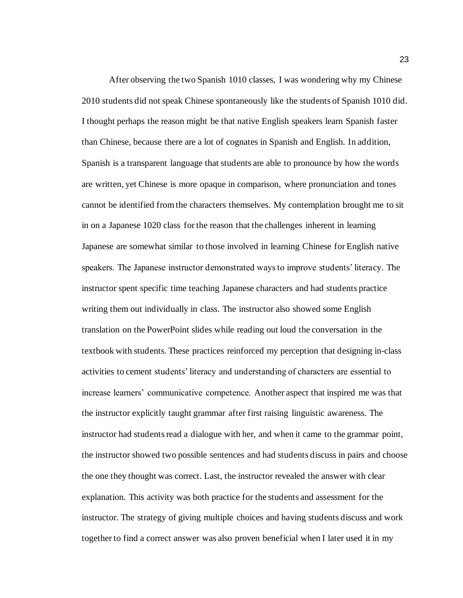After observing the two Spanish 1010 classes, I was wondering why my Chinese 2010 students did not speak Chinese spontaneously like the students of Spanish 1010 did. I thought perhaps the reason might be that native English speakers learn Spanish faster than Chinese, because there are a lot of cognates in Spanish and English. In addition, Spanish is a transparent language that students are able to pronounce by how the words are written, yet Chinese is more opaque in comparison, where pronunciation and tones cannot be identified from the characters themselves. My contemplation brought me to sit in on a Japanese 1020 class for the reason that the challenges inherent in learning Japanese are somewhat similar to those involved in learning Chinese for English native speakers. The Japanese instructor demonstrated ways to improve students' literacy. The instructor spent specific time teaching Japanese characters and had students practice writing them out individually in class. The instructor also showed some English translation on the PowerPoint slides while reading out loud the conversation in the textbook with students. These practices reinforced my perception that designing in-class activities to cement students' literacy and understanding of characters are essential to increase learners' communicative competence. Another aspect that inspired me was that the instructor explicitly taught grammar after first raising linguistic awareness. The instructor had students read a dialogue with her, and when it came to the grammar point, the instructor showed two possible sentences and had students discuss in pairs and choose the one they thought was correct. Last, the instructor revealed the answer with clear explanation. This activity was both practice for the students and assessment for the instructor. The strategy of giving multiple choices and having students discuss and work together to find a correct answer was also proven beneficial when I later used it in my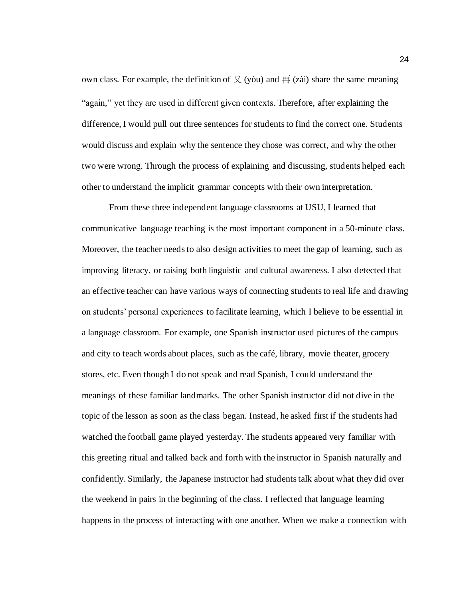own class. For example, the definition of  $\chi$  (yòu) and  $\overline{H}$  (zài) share the same meaning "again," yet they are used in different given contexts. Therefore, after explaining the difference, I would pull out three sentences for students to find the correct one. Students would discuss and explain why the sentence they chose was correct, and why the other two were wrong. Through the process of explaining and discussing, students helped each other to understand the implicit grammar concepts with their own interpretation.

From these three independent language classrooms at USU, I learned that communicative language teaching is the most important component in a 50-minute class. Moreover, the teacher needs to also design activities to meet the gap of learning, such as improving literacy, or raising both linguistic and cultural awareness. I also detected that an effective teacher can have various ways of connecting students to real life and drawing on students' personal experiences to facilitate learning, which I believe to be essential in a language classroom. For example, one Spanish instructor used pictures of the campus and city to teach words about places, such as the café, library, movie theater, grocery stores, etc. Even though I do not speak and read Spanish, I could understand the meanings of these familiar landmarks. The other Spanish instructor did not dive in the topic of the lesson as soon as the class began. Instead, he asked first if the students had watched the football game played yesterday. The students appeared very familiar with this greeting ritual and talked back and forth with the instructor in Spanish naturally and confidently. Similarly, the Japanese instructor had students talk about what they did over the weekend in pairs in the beginning of the class. I reflected that language learning happens in the process of interacting with one another. When we make a connection with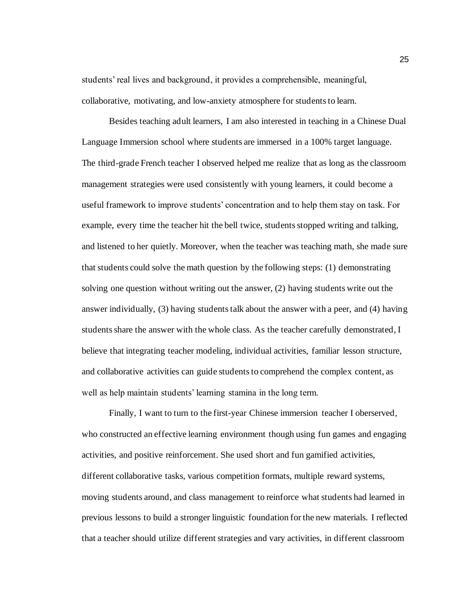students' real lives and background, it provides a comprehensible, meaningful, collaborative, motivating, and low-anxiety atmosphere for students to learn.

Besides teaching adult learners, I am also interested in teaching in a Chinese Dual Language Immersion school where students are immersed in a 100% target language. The third-grade French teacher I observed helped me realize that as long as the classroom management strategies were used consistently with young learners, it could become a useful framework to improve students' concentration and to help them stay on task. For example, every time the teacher hit the bell twice, students stopped writing and talking, and listened to her quietly. Moreover, when the teacher was teaching math, she made sure that students could solve the math question by the following steps: (1) demonstrating solving one question without writing out the answer, (2) having students write out the answer individually, (3) having students talk about the answer with a peer, and (4) having students share the answer with the whole class. As the teacher carefully demonstrated, I believe that integrating teacher modeling, individual activities, familiar lesson structure, and collaborative activities can guide students to comprehend the complex content, as well as help maintain students' learning stamina in the long term.

Finally, I want to turn to the first-year Chinese immersion teacher I oberserved, who constructed an effective learning environment though using fun games and engaging activities, and positive reinforcement. She used short and fun gamified activities, different collaborative tasks, various competition formats, multiple reward systems, moving students around, and class management to reinforce what students had learned in previous lessons to build a stronger linguistic foundation for the new materials. I reflected that a teacher should utilize different strategies and vary activities, in different classroom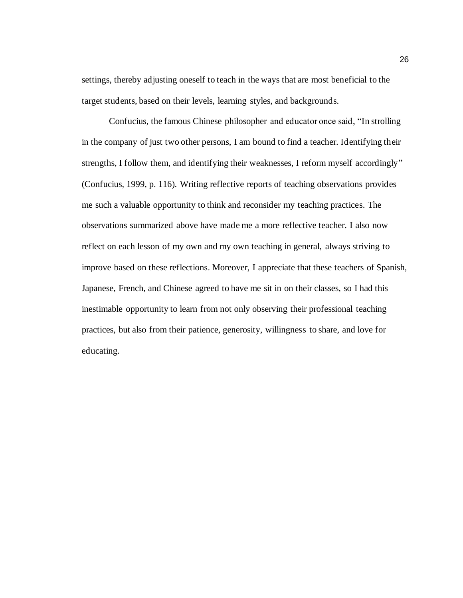settings, thereby adjusting oneself to teach in the ways that are most beneficial to the target students, based on their levels, learning styles, and backgrounds.

Confucius, the famous Chinese philosopher and educator once said, "In strolling in the company of just two other persons, I am bound to find a teacher. Identifying their strengths, I follow them, and identifying their weaknesses, I reform myself accordingly" (Confucius, 1999, p. 116). Writing reflective reports of teaching observations provides me such a valuable opportunity to think and reconsider my teaching practices. The observations summarized above have made me a more reflective teacher. I also now reflect on each lesson of my own and my own teaching in general, always striving to improve based on these reflections. Moreover, I appreciate that these teachers of Spanish, Japanese, French, and Chinese agreed to have me sit in on their classes, so I had this inestimable opportunity to learn from not only observing their professional teaching practices, but also from their patience, generosity, willingness to share, and love for educating.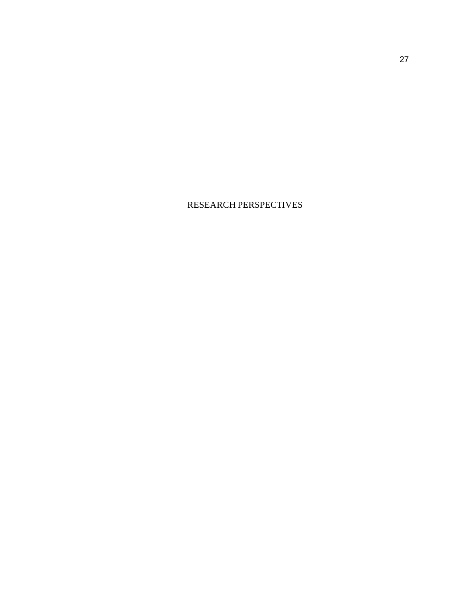RESEARCH PERSPECTIVES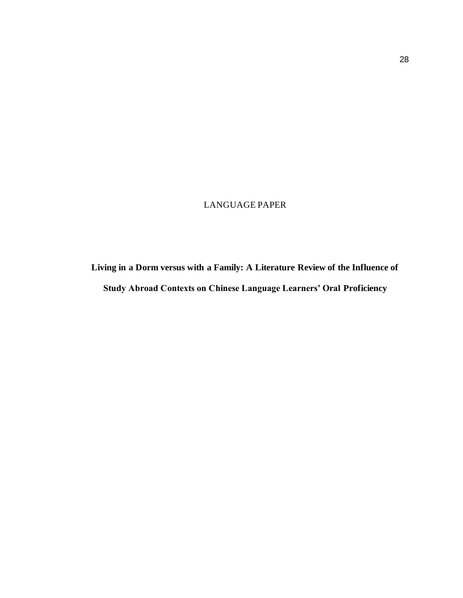# LANGUAGE PAPER

# **Living in a Dorm versus with a Family: A Literature Review of the Influence of Study Abroad Contexts on Chinese Language Learners' Oral Proficiency**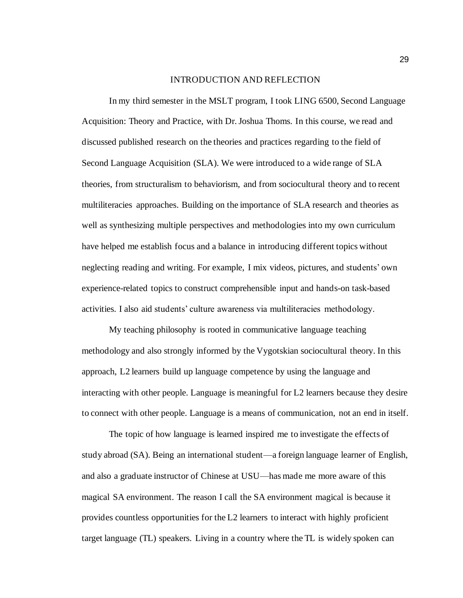#### INTRODUCTION AND REFLECTION

In my third semester in the MSLT program, I took LING 6500, Second Language Acquisition: Theory and Practice, with Dr. Joshua Thoms. In this course, we read and discussed published research on the theories and practices regarding to the field of Second Language Acquisition (SLA). We were introduced to a wide range of SLA theories, from structuralism to behaviorism, and from sociocultural theory and to recent multiliteracies approaches. Building on the importance of SLA research and theories as well as synthesizing multiple perspectives and methodologies into my own curriculum have helped me establish focus and a balance in introducing different topics without neglecting reading and writing. For example, I mix videos, pictures, and students' own experience-related topics to construct comprehensible input and hands-on task-based activities. I also aid students' culture awareness via multiliteracies methodology.

My teaching philosophy is rooted in communicative language teaching methodology and also strongly informed by the Vygotskian sociocultural theory. In this approach, L2 learners build up language competence by using the language and interacting with other people. Language is meaningful for L2 learners because they desire to connect with other people. Language is a means of communication, not an end in itself.

The topic of how language is learned inspired me to investigate the effects of study abroad (SA). Being an international student—a foreign language learner of English, and also a graduate instructor of Chinese at USU—has made me more aware of this magical SA environment. The reason I call the SA environment magical is because it provides countless opportunities for the L2 learners to interact with highly proficient target language (TL) speakers. Living in a country where the TL is widely spoken can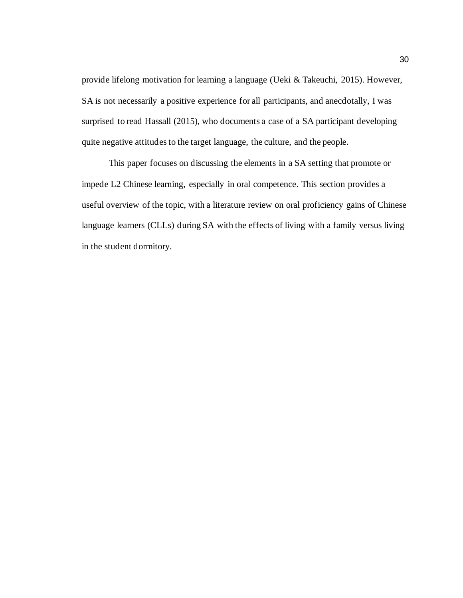provide lifelong motivation for learning a language (Ueki & Takeuchi, 2015). However, SA is not necessarily a positive experience for all participants, and anecdotally, I was surprised to read Hassall (2015), who documents a case of a SA participant developing quite negative attitudes to the target language, the culture, and the people.

This paper focuses on discussing the elements in a SA setting that promote or impede L2 Chinese learning, especially in oral competence. This section provides a useful overview of the topic, with a literature review on oral proficiency gains of Chinese language learners (CLLs) during SA with the effects of living with a family versus living in the student dormitory.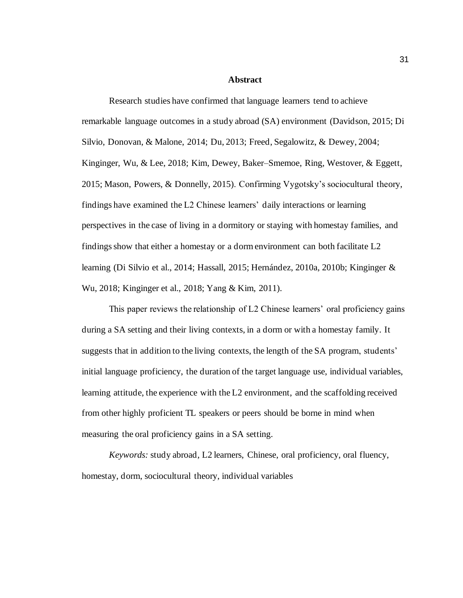#### **Abstract**

Research studies have confirmed that language learners tend to achieve remarkable language outcomes in a study abroad (SA) environment (Davidson, 2015; Di Silvio, Donovan, & Malone, 2014; Du, 2013; Freed, Segalowitz, & Dewey, 2004; Kinginger, Wu, & Lee, 2018; Kim, Dewey, Baker–Smemoe, Ring, Westover, & Eggett, 2015; Mason, Powers, & Donnelly, 2015). Confirming Vygotsky's sociocultural theory, findings have examined the L2 Chinese learners' daily interactions or learning perspectives in the case of living in a dormitory or staying with homestay families, and findings show that either a homestay or a dorm environment can both facilitate L2 learning (Di Silvio et al., 2014; Hassall, 2015; Hernández, 2010a, 2010b; Kinginger & Wu, 2018; Kinginger et al., 2018; Yang & Kim, 2011).

This paper reviews the relationship of L2 Chinese learners' oral proficiency gains during a SA setting and their living contexts, in a dorm or with a homestay family. It suggests that in addition to the living contexts, the length of the SA program, students' initial language proficiency, the duration of the target language use, individual variables, learning attitude, the experience with the L2 environment, and the scaffolding received from other highly proficient TL speakers or peers should be borne in mind when measuring the oral proficiency gains in a SA setting.

*Keywords:* study abroad, L2 learners, Chinese, oral proficiency, oral fluency, homestay, dorm, sociocultural theory, individual variables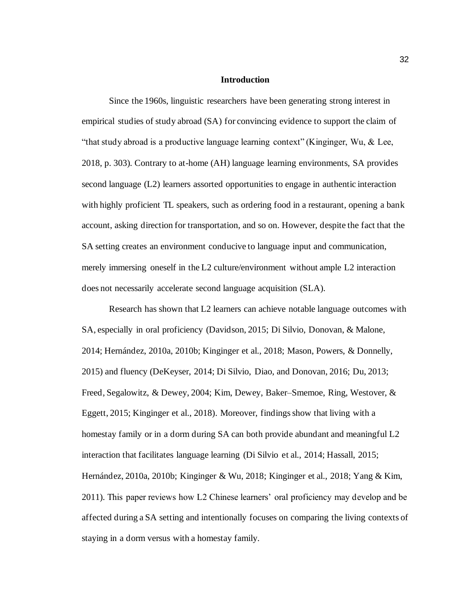#### **Introduction**

Since the 1960s, linguistic researchers have been generating strong interest in empirical studies of study abroad (SA) for convincing evidence to support the claim of "that study abroad is a productive language learning context" (Kinginger, Wu, & Lee, 2018, p. 303). Contrary to at-home (AH) language learning environments, SA provides second language (L2) learners assorted opportunities to engage in authentic interaction with highly proficient TL speakers, such as ordering food in a restaurant, opening a bank account, asking direction for transportation, and so on. However, despite the fact that the SA setting creates an environment conducive to language input and communication, merely immersing oneself in the L2 culture/environment without ample L2 interaction does not necessarily accelerate second language acquisition (SLA).

Research has shown that L2 learners can achieve notable language outcomes with SA, especially in oral proficiency (Davidson, 2015; Di Silvio, Donovan, & Malone, 2014; Hernández, 2010a, 2010b; Kinginger et al., 2018; Mason, Powers, & Donnelly, 2015) and fluency (DeKeyser, 2014; Di Silvio, Diao, and Donovan, 2016; Du, 2013; Freed, Segalowitz, & Dewey, 2004; Kim, Dewey, Baker–Smemoe, Ring, Westover, & Eggett, 2015; Kinginger et al., 2018). Moreover, findings show that living with a homestay family or in a dorm during SA can both provide abundant and meaningful L2 interaction that facilitates language learning (Di Silvio et al., 2014; Hassall, 2015; Hernández, 2010a, 2010b; Kinginger & Wu, 2018; Kinginger et al., 2018; Yang & Kim, 2011). This paper reviews how L2 Chinese learners' oral proficiency may develop and be affected during a SA setting and intentionally focuses on comparing the living contexts of staying in a dorm versus with a homestay family.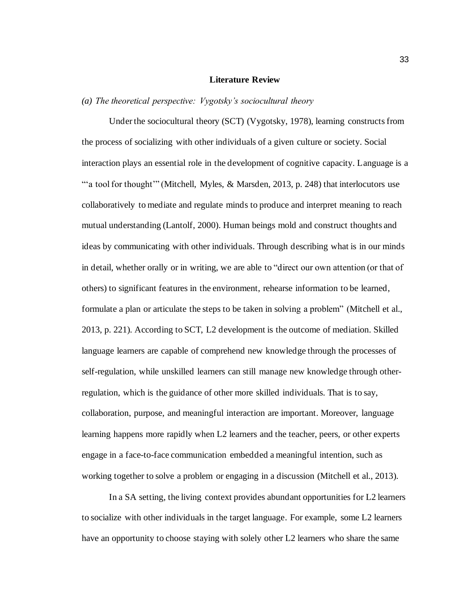# **Literature Review**

# *(a) The theoretical perspective: Vygotsky's sociocultural theory*

Under the sociocultural theory (SCT) (Vygotsky, 1978), learning constructs from the process of socializing with other individuals of a given culture or society. Social interaction plays an essential role in the development of cognitive capacity. Language is a "a tool for thought" (Mitchell, Myles, & Marsden, 2013, p. 248) that interlocutors use collaboratively to mediate and regulate minds to produce and interpret meaning to reach mutual understanding (Lantolf, 2000). Human beings mold and construct thoughts and ideas by communicating with other individuals. Through describing what is in our minds in detail, whether orally or in writing, we are able to "direct our own attention (or that of others) to significant features in the environment, rehearse information to be learned, formulate a plan or articulate the steps to be taken in solving a problem" (Mitchell et al., 2013, p. 221). According to SCT, L2 development is the outcome of mediation. Skilled language learners are capable of comprehend new knowledge through the processes of self-regulation, while unskilled learners can still manage new knowledge through otherregulation, which is the guidance of other more skilled individuals. That is to say, collaboration, purpose, and meaningful interaction are important. Moreover, language learning happens more rapidly when L2 learners and the teacher, peers, or other experts engage in a face-to-face communication embedded a meaningful intention, such as working together to solve a problem or engaging in a discussion (Mitchell et al., 2013).

In a SA setting, the living context provides abundant opportunities for L2 learners to socialize with other individuals in the target language. For example, some L2 learners have an opportunity to choose staying with solely other L2 learners who share the same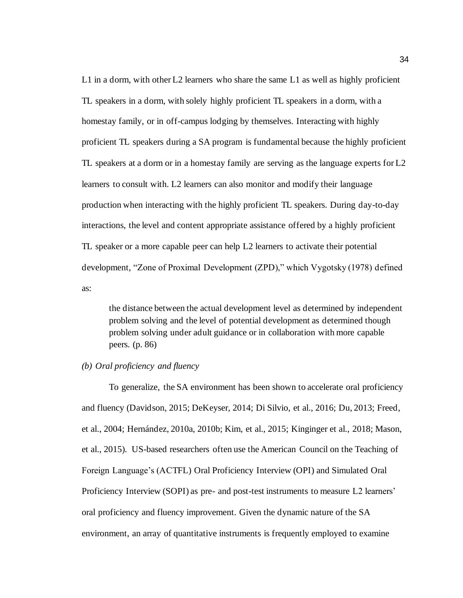L1 in a dorm, with other L2 learners who share the same L1 as well as highly proficient TL speakers in a dorm, with solely highly proficient TL speakers in a dorm, with a homestay family, or in off-campus lodging by themselves. Interacting with highly proficient TL speakers during a SA program is fundamental because the highly proficient TL speakers at a dorm or in a homestay family are serving as the language experts for L2 learners to consult with. L2 learners can also monitor and modify their language production when interacting with the highly proficient TL speakers. During day-to-day interactions, the level and content appropriate assistance offered by a highly proficient TL speaker or a more capable peer can help L2 learners to activate their potential development, "Zone of Proximal Development (ZPD)," which Vygotsky (1978) defined as:

the distance between the actual development level as determined by independent problem solving and the level of potential development as determined though problem solving under adult guidance or in collaboration with more capable peers. (p. 86)

# *(b) Oral proficiency and fluency*

To generalize, the SA environment has been shown to accelerate oral proficiency and fluency (Davidson, 2015; DeKeyser, 2014; Di Silvio, et al., 2016; Du, 2013; Freed, et al., 2004; Hernández, 2010a, 2010b; Kim, et al., 2015; Kinginger et al., 2018; Mason, et al., 2015). US-based researchers often use the American Council on the Teaching of Foreign Language's (ACTFL) Oral Proficiency Interview (OPI) and Simulated Oral Proficiency Interview (SOPI) as pre- and post-test instruments to measure L2 learners' oral proficiency and fluency improvement. Given the dynamic nature of the SA environment, an array of quantitative instruments is frequently employed to examine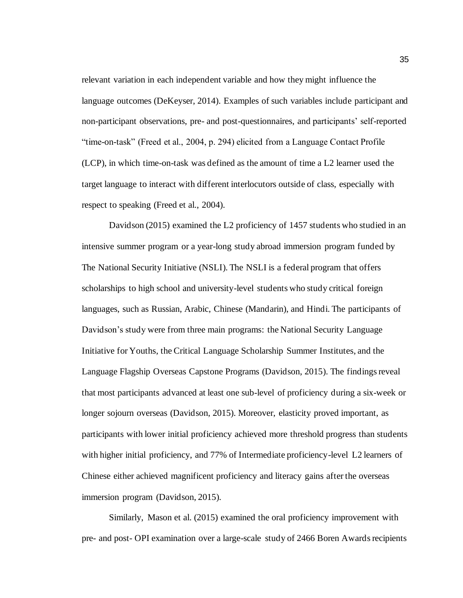relevant variation in each independent variable and how they might influence the language outcomes (DeKeyser, 2014). Examples of such variables include participant and non-participant observations, pre- and post-questionnaires, and participants' self-reported "time-on-task" (Freed et al., 2004, p. 294) elicited from a Language Contact Profile (LCP), in which time-on-task was defined as the amount of time a L2 learner used the target language to interact with different interlocutors outside of class, especially with respect to speaking (Freed et al., 2004).

Davidson (2015) examined the L2 proficiency of 1457 students who studied in an intensive summer program or a year-long study abroad immersion program funded by The National Security Initiative (NSLI). The NSLI is a federal program that offers scholarships to high school and university-level students who study critical foreign languages, such as Russian, Arabic, Chinese (Mandarin), and Hindi. The participants of Davidson's study were from three main programs: the National Security Language Initiative for Youths, the Critical Language Scholarship Summer Institutes, and the Language Flagship Overseas Capstone Programs (Davidson, 2015). The findings reveal that most participants advanced at least one sub-level of proficiency during a six-week or longer sojourn overseas (Davidson, 2015). Moreover, elasticity proved important, as participants with lower initial proficiency achieved more threshold progress than students with higher initial proficiency, and 77% of Intermediate proficiency-level L2 learners of Chinese either achieved magnificent proficiency and literacy gains after the overseas immersion program (Davidson, 2015).

Similarly, Mason et al. (2015) examined the oral proficiency improvement with pre- and post- OPI examination over a large-scale study of 2466 Boren Awards recipients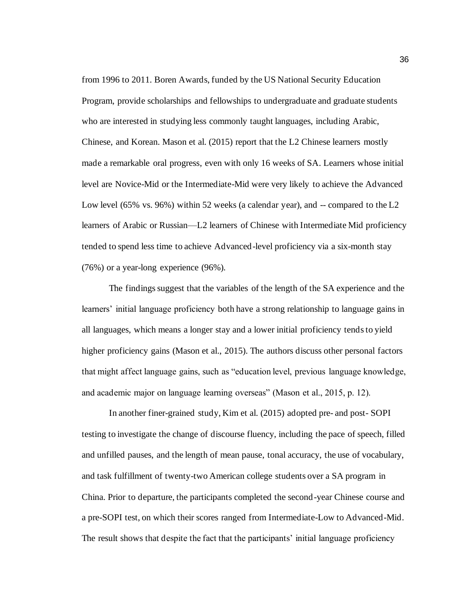from 1996 to 2011. Boren Awards, funded by the US National Security Education Program, provide scholarships and fellowships to undergraduate and graduate students who are interested in studying less commonly taught languages, including Arabic, Chinese, and Korean. Mason et al. (2015) report that the L2 Chinese learners mostly made a remarkable oral progress, even with only 16 weeks of SA. Learners whose initial level are Novice-Mid or the Intermediate-Mid were very likely to achieve the Advanced Low level (65% vs. 96%) within 52 weeks (a calendar year), and -- compared to the L2 learners of Arabic or Russian—L2 learners of Chinese with Intermediate Mid proficiency tended to spend less time to achieve Advanced-level proficiency via a six-month stay (76%) or a year-long experience (96%).

The findings suggest that the variables of the length of the SA experience and the learners' initial language proficiency both have a strong relationship to language gains in all languages, which means a longer stay and a lower initial proficiency tends to yield higher proficiency gains (Mason et al., 2015). The authors discuss other personal factors that might affect language gains, such as "education level, previous language knowledge, and academic major on language learning overseas" (Mason et al., 2015, p. 12).

In another finer-grained study, Kim et al. (2015) adopted pre- and post- SOPI testing to investigate the change of discourse fluency, including the pace of speech, filled and unfilled pauses, and the length of mean pause, tonal accuracy, the use of vocabulary, and task fulfillment of twenty-two American college students over a SA program in China. Prior to departure, the participants completed the second-year Chinese course and a pre-SOPI test, on which their scores ranged from Intermediate-Low to Advanced-Mid. The result shows that despite the fact that the participants' initial language proficiency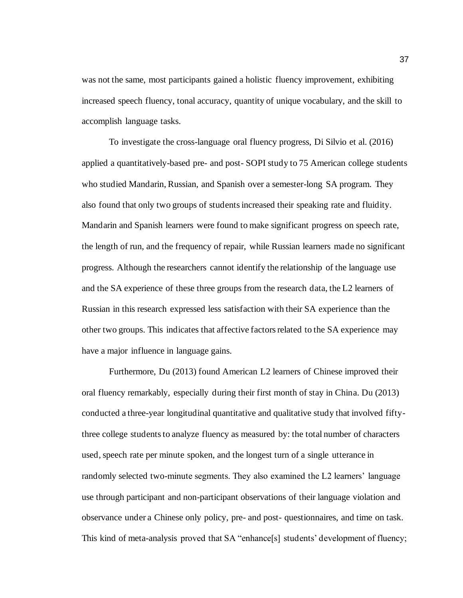was not the same, most participants gained a holistic fluency improvement, exhibiting increased speech fluency, tonal accuracy, quantity of unique vocabulary, and the skill to accomplish language tasks.

To investigate the cross-language oral fluency progress, Di Silvio et al. (2016) applied a quantitatively-based pre- and post- SOPI study to 75 American college students who studied Mandarin, Russian, and Spanish over a semester-long SA program. They also found that only two groups of students increased their speaking rate and fluidity. Mandarin and Spanish learners were found to make significant progress on speech rate, the length of run, and the frequency of repair, while Russian learners made no significant progress. Although the researchers cannot identify the relationship of the language use and the SA experience of these three groups from the research data, the L2 learners of Russian in this research expressed less satisfaction with their SA experience than the other two groups. This indicates that affective factors related to the SA experience may have a major influence in language gains.

Furthermore, Du (2013) found American L2 learners of Chinese improved their oral fluency remarkably, especially during their first month of stay in China. Du (2013) conducted a three-year longitudinal quantitative and qualitative study that involved fiftythree college students to analyze fluency as measured by: the total number of characters used, speech rate per minute spoken, and the longest turn of a single utterance in randomly selected two-minute segments. They also examined the L2 learners' language use through participant and non-participant observations of their language violation and observance under a Chinese only policy, pre- and post- questionnaires, and time on task. This kind of meta-analysis proved that SA "enhance[s] students' development of fluency;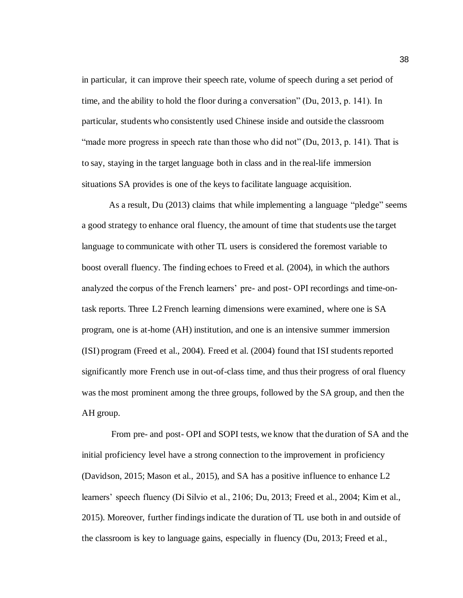in particular, it can improve their speech rate, volume of speech during a set period of time, and the ability to hold the floor during a conversation" (Du, 2013, p. 141). In particular, students who consistently used Chinese inside and outside the classroom "made more progress in speech rate than those who did not" (Du, 2013, p. 141). That is to say, staying in the target language both in class and in the real-life immersion situations SA provides is one of the keys to facilitate language acquisition.

As a result, Du (2013) claims that while implementing a language "pledge" seems a good strategy to enhance oral fluency, the amount of time that students use the target language to communicate with other TL users is considered the foremost variable to boost overall fluency. The finding echoes to Freed et al. (2004), in which the authors analyzed the corpus of the French learners' pre- and post- OPI recordings and time-ontask reports. Three L2 French learning dimensions were examined, where one is SA program, one is at-home (AH) institution, and one is an intensive summer immersion (ISI) program (Freed et al., 2004). Freed et al. (2004) found that ISI students reported significantly more French use in out-of-class time, and thus their progress of oral fluency was the most prominent among the three groups, followed by the SA group, and then the AH group.

From pre- and post- OPI and SOPI tests, we know that the duration of SA and the initial proficiency level have a strong connection to the improvement in proficiency (Davidson, 2015; Mason et al., 2015), and SA has a positive influence to enhance L2 learners' speech fluency (Di Silvio et al., 2106; Du, 2013; Freed et al., 2004; Kim et al., 2015). Moreover, further findings indicate the duration of TL use both in and outside of the classroom is key to language gains, especially in fluency (Du, 2013; Freed et al.,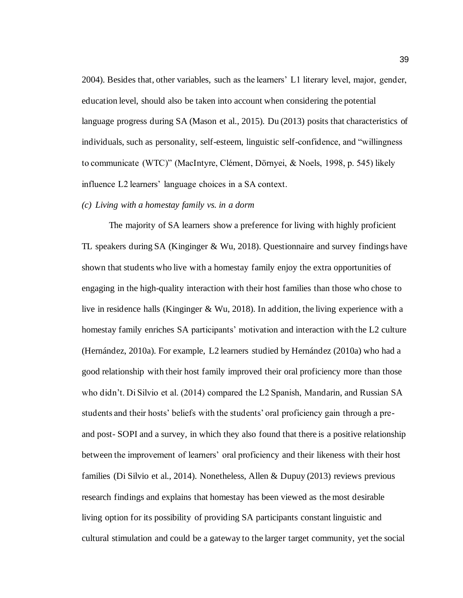2004). Besides that, other variables, such as the learners' L1 literary level, major, gender, education level, should also be taken into account when considering the potential language progress during SA (Mason et al., 2015). Du (2013) posits that characteristics of individuals, such as personality, self-esteem, linguistic self-confidence, and "willingness to communicate (WTC)" (MacIntyre, Clément, Dörnyei, & Noels, 1998, p. 545) likely influence L2 learners' language choices in a SA context.

# *(c) Living with a homestay family vs. in a dorm*

The majority of SA learners show a preference for living with highly proficient TL speakers during SA (Kinginger & Wu, 2018). Questionnaire and survey findings have shown that students who live with a homestay family enjoy the extra opportunities of engaging in the high-quality interaction with their host families than those who chose to live in residence halls (Kinginger & Wu, 2018). In addition, the living experience with a homestay family enriches SA participants' motivation and interaction with the L2 culture (Hernández, 2010a). For example, L2 learners studied by Hernández (2010a) who had a good relationship with their host family improved their oral proficiency more than those who didn't. Di Silvio et al. (2014) compared the L2 Spanish, Mandarin, and Russian SA students and their hosts' beliefs with the students' oral proficiency gain through a preand post- SOPI and a survey, in which they also found that there is a positive relationship between the improvement of learners' oral proficiency and their likeness with their host families (Di Silvio et al., 2014). Nonetheless, Allen & Dupuy (2013) reviews previous research findings and explains that homestay has been viewed as the most desirable living option for its possibility of providing SA participants constant linguistic and cultural stimulation and could be a gateway to the larger target community, yet the social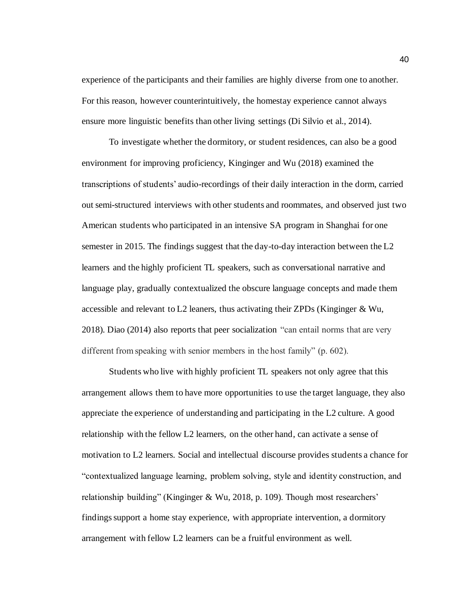experience of the participants and their families are highly diverse from one to another. For this reason, however counterintuitively, the homestay experience cannot always ensure more linguistic benefits than other living settings (Di Silvio et al., 2014).

To investigate whether the dormitory, or student residences, can also be a good environment for improving proficiency, Kinginger and Wu (2018) examined the transcriptions of students' audio-recordings of their daily interaction in the dorm, carried out semi-structured interviews with other students and roommates, and observed just two American students who participated in an intensive SA program in Shanghai for one semester in 2015. The findings suggest that the day-to-day interaction between the L2 learners and the highly proficient TL speakers, such as conversational narrative and language play, gradually contextualized the obscure language concepts and made them accessible and relevant to L2 leaners, thus activating their ZPDs (Kinginger  $\&$  Wu, 2018). Diao (2014) also reports that peer socialization "can entail norms that are very different from speaking with senior members in the host family" (p. 602).

Students who live with highly proficient TL speakers not only agree that this arrangement allows them to have more opportunities to use the target language, they also appreciate the experience of understanding and participating in the L2 culture. A good relationship with the fellow L2 learners, on the other hand, can activate a sense of motivation to L2 learners. Social and intellectual discourse provides students a chance for "contextualized language learning, problem solving, style and identity construction, and relationship building" (Kinginger & Wu, 2018, p. 109). Though most researchers' findings support a home stay experience, with appropriate intervention, a dormitory arrangement with fellow L2 learners can be a fruitful environment as well.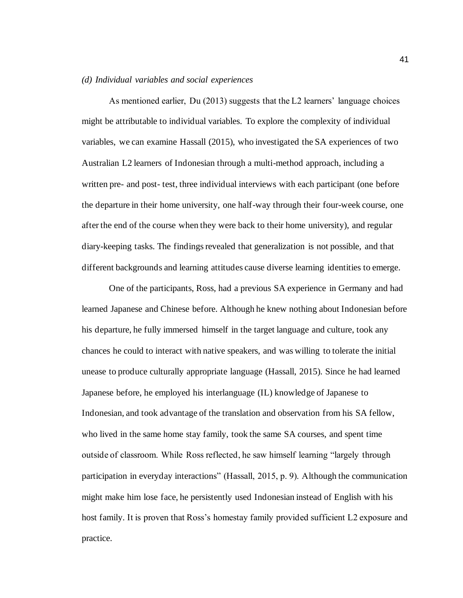### *(d) Individual variables and social experiences*

As mentioned earlier, Du (2013) suggests that the L2 learners' language choices might be attributable to individual variables. To explore the complexity of individual variables, we can examine Hassall (2015), who investigated the SA experiences of two Australian L2 learners of Indonesian through a multi-method approach, including a written pre- and post- test, three individual interviews with each participant (one before the departure in their home university, one half-way through their four-week course, one after the end of the course when they were back to their home university), and regular diary-keeping tasks. The findings revealed that generalization is not possible, and that different backgrounds and learning attitudes cause diverse learning identities to emerge.

One of the participants, Ross, had a previous SA experience in Germany and had learned Japanese and Chinese before. Although he knew nothing about Indonesian before his departure, he fully immersed himself in the target language and culture, took any chances he could to interact with native speakers, and was willing to tolerate the initial unease to produce culturally appropriate language (Hassall, 2015). Since he had learned Japanese before, he employed his interlanguage (IL) knowledge of Japanese to Indonesian, and took advantage of the translation and observation from his SA fellow, who lived in the same home stay family, took the same SA courses, and spent time outside of classroom. While Ross reflected, he saw himself learning "largely through participation in everyday interactions" (Hassall, 2015, p. 9). Although the communication might make him lose face, he persistently used Indonesian instead of English with his host family. It is proven that Ross's homestay family provided sufficient L2 exposure and practice.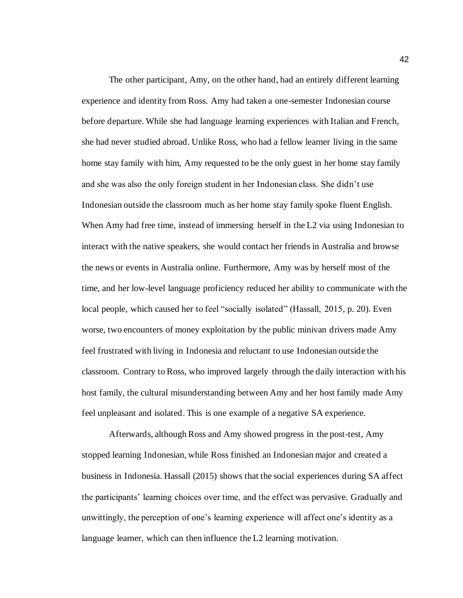The other participant, Amy, on the other hand, had an entirely different learning experience and identity from Ross. Amy had taken a one-semester Indonesian course before departure. While she had language learning experiences with Italian and French, she had never studied abroad. Unlike Ross, who had a fellow learner living in the same home stay family with him, Amy requested to be the only guest in her home stay family and she was also the only foreign student in her Indonesian class. She didn't use Indonesian outside the classroom much as her home stay family spoke fluent English. When Amy had free time, instead of immersing herself in the L2 via using Indonesian to interact with the native speakers, she would contact her friends in Australia and browse the news or events in Australia online. Furthermore, Amy was by herself most of the time, and her low-level language proficiency reduced her ability to communicate with the local people, which caused her to feel "socially isolated" (Hassall, 2015, p. 20). Even worse, two encounters of money exploitation by the public minivan drivers made Amy feel frustrated with living in Indonesia and reluctant to use Indonesian outside the classroom. Contrary to Ross, who improved largely through the daily interaction with his host family, the cultural misunderstanding between Amy and her host family made Amy feel unpleasant and isolated. This is one example of a negative SA experience.

Afterwards, although Ross and Amy showed progress in the post-test, Amy stopped learning Indonesian, while Ross finished an Indonesian major and created a business in Indonesia. Hassall (2015) shows that the social experiences during SA affect the participants' learning choices over time, and the effect was pervasive. Gradually and unwittingly, the perception of one's learning experience will affect one's identity as a language learner, which can then influence the L2 learning motivation.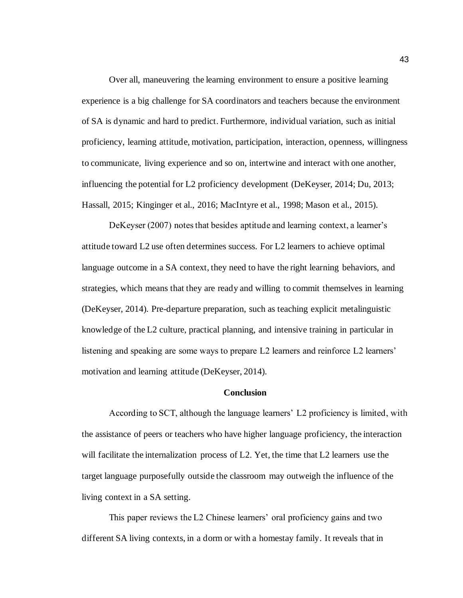Over all, maneuvering the learning environment to ensure a positive learning experience is a big challenge for SA coordinators and teachers because the environment of SA is dynamic and hard to predict. Furthermore, individual variation, such as initial proficiency, learning attitude, motivation, participation, interaction, openness, willingness to communicate, living experience and so on, intertwine and interact with one another, influencing the potential for L2 proficiency development (DeKeyser, 2014; Du, 2013; Hassall, 2015; Kinginger et al., 2016; MacIntyre et al., 1998; Mason et al., 2015).

DeKeyser (2007) notes that besides aptitude and learning context, a learner's attitude toward L2 use often determines success. For L2 learners to achieve optimal language outcome in a SA context, they need to have the right learning behaviors, and strategies, which means that they are ready and willing to commit themselves in learning (DeKeyser, 2014). Pre-departure preparation, such as teaching explicit metalinguistic knowledge of the L2 culture, practical planning, and intensive training in particular in listening and speaking are some ways to prepare L2 learners and reinforce L2 learners' motivation and learning attitude (DeKeyser, 2014).

#### **Conclusion**

According to SCT, although the language learners' L2 proficiency is limited, with the assistance of peers or teachers who have higher language proficiency, the interaction will facilitate the internalization process of L2. Yet, the time that L2 learners use the target language purposefully outside the classroom may outweigh the influence of the living context in a SA setting.

This paper reviews the L2 Chinese learners' oral proficiency gains and two different SA living contexts, in a dorm or with a homestay family. It reveals that in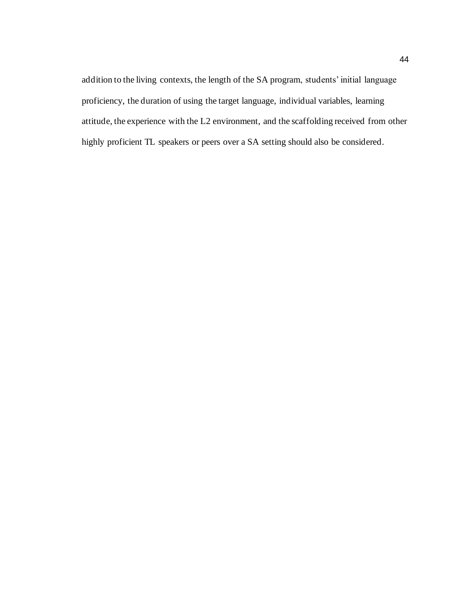addition to the living contexts, the length of the SA program, students' initial language proficiency, the duration of using the target language, individual variables, learning attitude, the experience with the L2 environment, and the scaffolding received from other highly proficient TL speakers or peers over a SA setting should also be considered.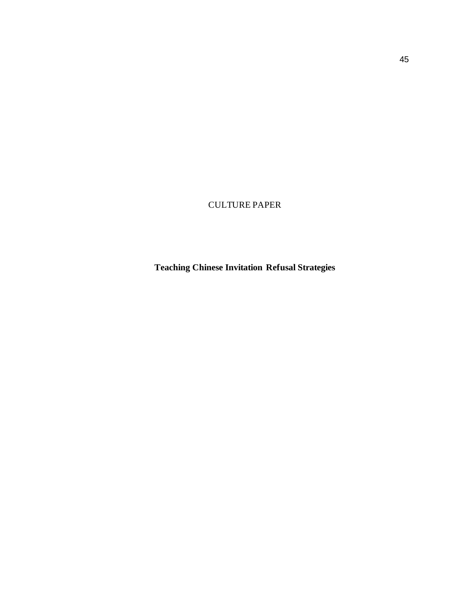CULTURE PAPER

**Teaching Chinese Invitation Refusal Strategies**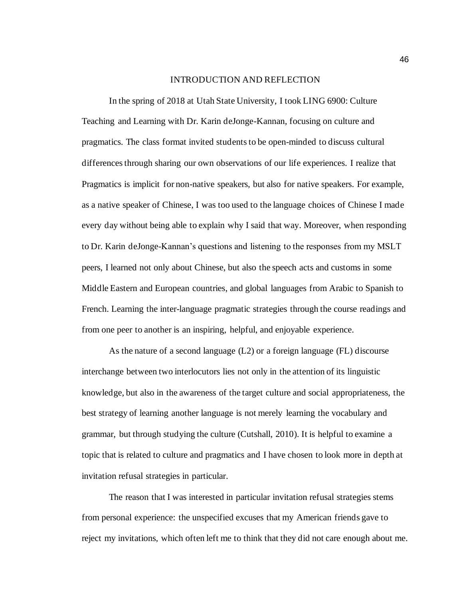#### INTRODUCTION AND REFLECTION

In the spring of 2018 at Utah State University, I took LING 6900: Culture Teaching and Learning with Dr. Karin deJonge-Kannan, focusing on culture and pragmatics. The class format invited students to be open-minded to discuss cultural differences through sharing our own observations of our life experiences. I realize that Pragmatics is implicit for non-native speakers, but also for native speakers. For example, as a native speaker of Chinese, I was too used to the language choices of Chinese I made every day without being able to explain why I said that way. Moreover, when responding to Dr. Karin deJonge-Kannan's questions and listening to the responses from my MSLT peers, I learned not only about Chinese, but also the speech acts and customs in some Middle Eastern and European countries, and global languages from Arabic to Spanish to French. Learning the inter-language pragmatic strategies through the course readings and from one peer to another is an inspiring, helpful, and enjoyable experience.

As the nature of a second language (L2) or a foreign language (FL) discourse interchange between two interlocutors lies not only in the attention of its linguistic knowledge, but also in the awareness of the target culture and social appropriateness, the best strategy of learning another language is not merely learning the vocabulary and grammar, but through studying the culture (Cutshall, 2010). It is helpful to examine a topic that is related to culture and pragmatics and I have chosen to look more in depth at invitation refusal strategies in particular.

The reason that I was interested in particular invitation refusal strategies stems from personal experience: the unspecified excuses that my American friends gave to reject my invitations, which often left me to think that they did not care enough about me.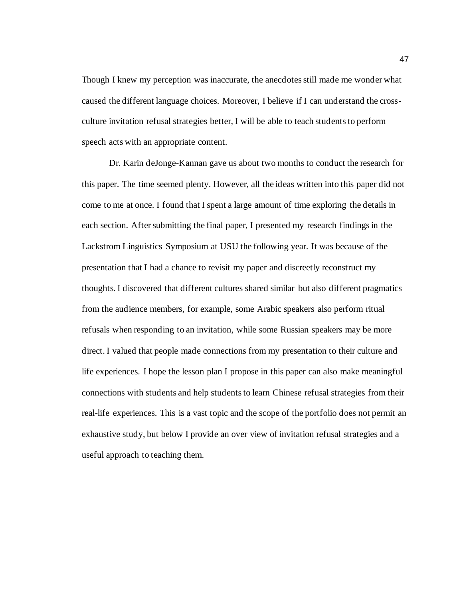Though I knew my perception was inaccurate, the anecdotes still made me wonder what caused the different language choices. Moreover, I believe if I can understand the crossculture invitation refusal strategies better, I will be able to teach students to perform speech acts with an appropriate content.

Dr. Karin deJonge-Kannan gave us about two months to conduct the research for this paper. The time seemed plenty. However, all the ideas written into this paper did not come to me at once. I found that I spent a large amount of time exploring the details in each section. After submitting the final paper, I presented my research findings in the Lackstrom Linguistics Symposium at USU the following year. It was because of the presentation that I had a chance to revisit my paper and discreetly reconstruct my thoughts. I discovered that different cultures shared similar but also different pragmatics from the audience members, for example, some Arabic speakers also perform ritual refusals when responding to an invitation, while some Russian speakers may be more direct. I valued that people made connections from my presentation to their culture and life experiences. I hope the lesson plan I propose in this paper can also make meaningful connections with students and help students to learn Chinese refusal strategies from their real-life experiences. This is a vast topic and the scope of the portfolio does not permit an exhaustive study, but below I provide an over view of invitation refusal strategies and a useful approach to teaching them.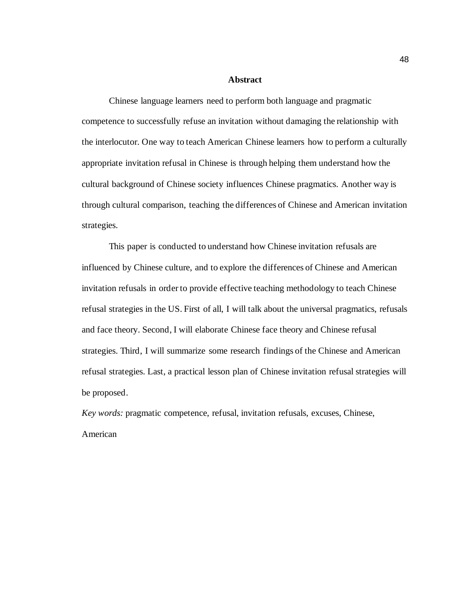#### **Abstract**

Chinese language learners need to perform both language and pragmatic competence to successfully refuse an invitation without damaging the relationship with the interlocutor. One way to teach American Chinese learners how to perform a culturally appropriate invitation refusal in Chinese is through helping them understand how the cultural background of Chinese society influences Chinese pragmatics. Another way is through cultural comparison, teaching the differences of Chinese and American invitation strategies.

This paper is conducted to understand how Chinese invitation refusals are influenced by Chinese culture, and to explore the differences of Chinese and American invitation refusals in order to provide effective teaching methodology to teach Chinese refusal strategies in the US. First of all, I will talk about the universal pragmatics, refusals and face theory. Second, I will elaborate Chinese face theory and Chinese refusal strategies. Third, I will summarize some research findings of the Chinese and American refusal strategies. Last, a practical lesson plan of Chinese invitation refusal strategies will be proposed.

*Key words:* pragmatic competence, refusal, invitation refusals, excuses, Chinese, American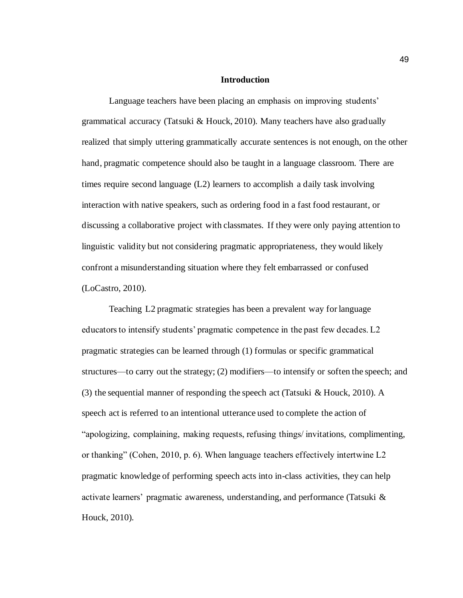#### **Introduction**

Language teachers have been placing an emphasis on improving students' grammatical accuracy (Tatsuki & Houck, 2010). Many teachers have also gradually realized that simply uttering grammatically accurate sentences is not enough, on the other hand, pragmatic competence should also be taught in a language classroom. There are times require second language (L2) learners to accomplish a daily task involving interaction with native speakers, such as ordering food in a fast food restaurant, or discussing a collaborative project with classmates. If they were only paying attention to linguistic validity but not considering pragmatic appropriateness, they would likely confront a misunderstanding situation where they felt embarrassed or confused (LoCastro, 2010).

Teaching L2 pragmatic strategies has been a prevalent way for language educators to intensify students' pragmatic competence in the past few decades. L2 pragmatic strategies can be learned through (1) formulas or specific grammatical structures—to carry out the strategy; (2) modifiers—to intensify or soften the speech; and (3) the sequential manner of responding the speech act (Tatsuki & Houck, 2010). A speech act is referred to an intentional utterance used to complete the action of "apologizing, complaining, making requests, refusing things/ invitations, complimenting, or thanking" (Cohen, 2010, p. 6). When language teachers effectively intertwine L2 pragmatic knowledge of performing speech acts into in-class activities, they can help activate learners' pragmatic awareness, understanding, and performance (Tatsuki & Houck, 2010).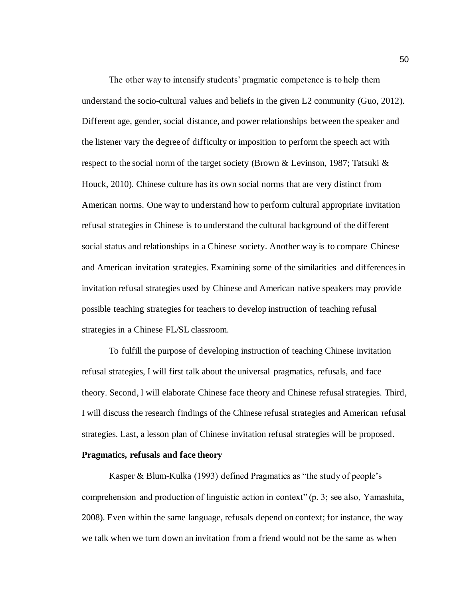The other way to intensify students' pragmatic competence is to help them understand the socio-cultural values and beliefs in the given L2 community (Guo, 2012). Different age, gender, social distance, and power relationships between the speaker and the listener vary the degree of difficulty or imposition to perform the speech act with respect to the social norm of the target society (Brown & Levinson, 1987; Tatsuki & Houck, 2010). Chinese culture has its own social norms that are very distinct from American norms. One way to understand how to perform cultural appropriate invitation refusal strategies in Chinese is to understand the cultural background of the different social status and relationships in a Chinese society. Another way is to compare Chinese and American invitation strategies. Examining some of the similarities and differences in invitation refusal strategies used by Chinese and American native speakers may provide possible teaching strategies for teachers to develop instruction of teaching refusal strategies in a Chinese FL/SL classroom.

To fulfill the purpose of developing instruction of teaching Chinese invitation refusal strategies, I will first talk about the universal pragmatics, refusals, and face theory. Second, I will elaborate Chinese face theory and Chinese refusal strategies. Third, I will discuss the research findings of the Chinese refusal strategies and American refusal strategies. Last, a lesson plan of Chinese invitation refusal strategies will be proposed.

# **Pragmatics, refusals and face theory**

Kasper & Blum-Kulka (1993) defined Pragmatics as "the study of people's comprehension and production of linguistic action in context" (p. 3; see also, Yamashita, 2008). Even within the same language, refusals depend on context; for instance, the way we talk when we turn down an invitation from a friend would not be the same as when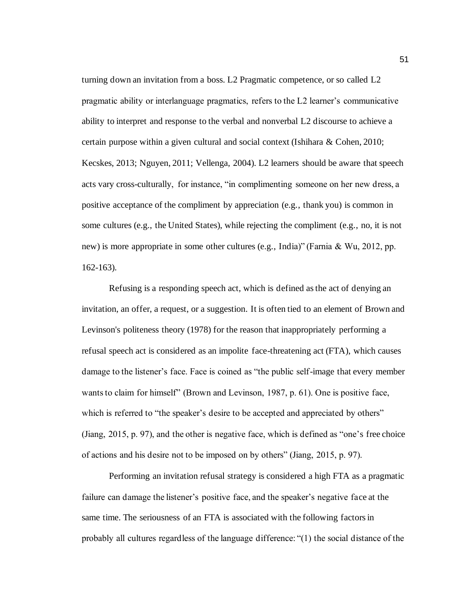turning down an invitation from a boss. L2 Pragmatic competence, or so called L2 pragmatic ability or interlanguage pragmatics, refers to the L2 learner's communicative ability to interpret and response to the verbal and nonverbal L2 discourse to achieve a certain purpose within a given cultural and social context (Ishihara & Cohen, 2010; Kecskes, 2013; Nguyen, 2011; Vellenga, 2004). L2 learners should be aware that speech acts vary cross-culturally, for instance, "in complimenting someone on her new dress, a positive acceptance of the compliment by appreciation (e.g., thank you) is common in some cultures (e.g., the United States), while rejecting the compliment (e.g., no, it is not new) is more appropriate in some other cultures (e.g., India)" (Farnia & Wu, 2012, pp. 162-163).

Refusing is a responding speech act, which is defined as the act of denying an invitation, an offer, a request, or a suggestion. It is often tied to an element of Brown and Levinson's politeness theory (1978) for the reason that inappropriately performing a refusal speech act is considered as an impolite face-threatening act (FTA), which causes damage to the listener's face. Face is coined as "the public self-image that every member wants to claim for himself" (Brown and Levinson, 1987, p. 61). One is positive face, which is referred to "the speaker's desire to be accepted and appreciated by others" (Jiang, 2015, p. 97), and the other is negative face, which is defined as "one's free choice of actions and his desire not to be imposed on by others" (Jiang, 2015, p. 97).

Performing an invitation refusal strategy is considered a high FTA as a pragmatic failure can damage the listener's positive face, and the speaker's negative face at the same time. The seriousness of an FTA is associated with the following factors in probably all cultures regardless of the language difference: "(1) the social distance of the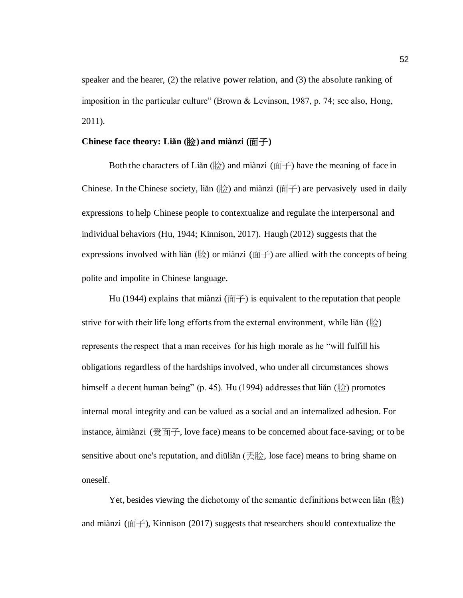speaker and the hearer, (2) the relative power relation, and (3) the absolute ranking of imposition in the particular culture" (Brown & Levinson, 1987, p. 74; see also, Hong, 2011).

# **Chinese face theory: Liǎn (**脸**) and miànzi (**面子**)**

Both the characters of Liǎn (脸) and miànzi (面子) have the meaning of face in Chinese. In the Chinese society, liǎn  $(\frac{R}{N})$  and miànzi ( $\overline{m}$ ) are pervasively used in daily expressions to help Chinese people to contextualize and regulate the interpersonal and individual behaviors (Hu, 1944; Kinnison, 2017). Haugh (2012) suggests that the expressions involved with liǎn (脸) or miànzi (面子) are allied with the concepts of being polite and impolite in Chinese language.

Hu (1944) explains that miànzi (面子) is equivalent to the reputation that people strive for with their life long efforts from the external environment, while liǎn ( $\&$ ) represents the respect that a man receives for his high morale as he "will fulfill his obligations regardless of the hardships involved, who under all circumstances shows himself a decent human being" (p. 45). Hu (1994) addresses that liǎn (脸) promotes internal moral integrity and can be valued as a social and an internalized adhesion. For instance, àimiànzi (爱面子, love face) means to be concerned about face-saving; or to be sensitive about one's reputation, and diūliǎn (丢脸, lose face) means to bring shame on oneself.

Yet, besides viewing the dichotomy of the semantic definitions between liǎn ( $\Re$ ) and miànzi (面子), Kinnison (2017) suggests that researchers should contextualize the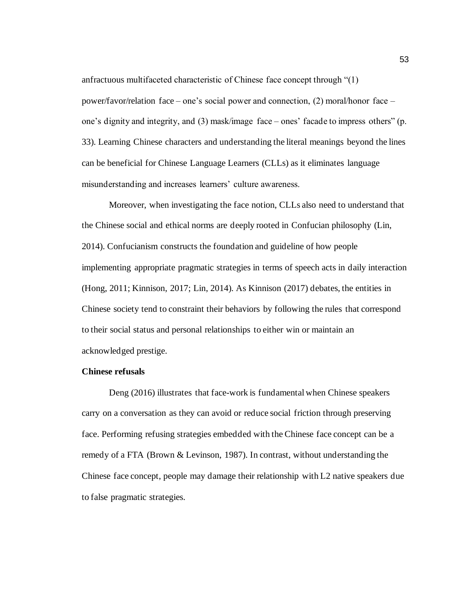anfractuous multifaceted characteristic of Chinese face concept through "(1) power/favor/relation face – one's social power and connection, (2) moral/honor face – one's dignity and integrity, and (3) mask/image face – ones' facade to impress others" (p. 33). Learning Chinese characters and understanding the literal meanings beyond the lines can be beneficial for Chinese Language Learners (CLLs) as it eliminates language misunderstanding and increases learners' culture awareness.

Moreover, when investigating the face notion, CLLs also need to understand that the Chinese social and ethical norms are deeply rooted in Confucian philosophy (Lin, 2014). Confucianism constructs the foundation and guideline of how people implementing appropriate pragmatic strategies in terms of speech acts in daily interaction (Hong, 2011; Kinnison, 2017; Lin, 2014). As Kinnison (2017) debates, the entities in Chinese society tend to constraint their behaviors by following the rules that correspond to their social status and personal relationships to either win or maintain an acknowledged prestige.

# **Chinese refusals**

Deng (2016) illustrates that face-work is fundamental when Chinese speakers carry on a conversation as they can avoid or reduce social friction through preserving face. Performing refusing strategies embedded with the Chinese face concept can be a remedy of a FTA (Brown & Levinson, 1987). In contrast, without understanding the Chinese face concept, people may damage their relationship with L2 native speakers due to false pragmatic strategies.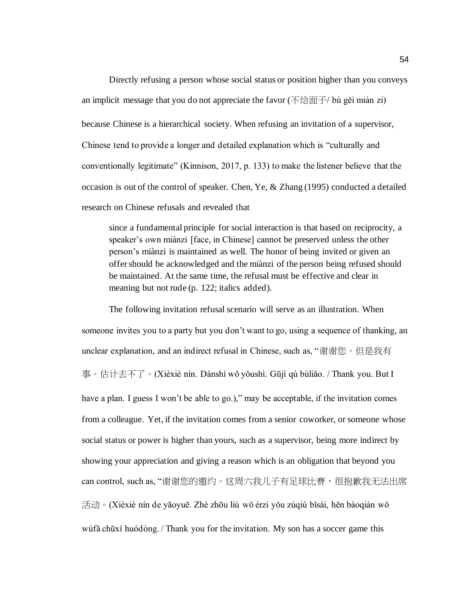Directly refusing a person whose social status or position higher than you conveys an implicit message that you do not appreciate the favor (不给面子/ bù gěi miàn zi) because Chinese is a hierarchical society. When refusing an invitation of a supervisor, Chinese tend to provide a longer and detailed explanation which is "culturally and conventionally legitimate" (Kinnison, 2017, p. 133) to make the listener believe that the occasion is out of the control of speaker. Chen, Ye, & Zhang (1995) conducted a detailed research on Chinese refusals and revealed that

since a fundamental principle for social interaction is that based on reciprocity, a speaker's own miànzi [face, in Chinese] cannot be preserved unless the other person's miànzi is maintained as well. The honor of being invited or given an offer should be acknowledged and the miànzi of the person being refused should be maintained. At the same time, the refusal must be effective and clear in meaning but not rude (p. 122; italics added).

The following invitation refusal scenario will serve as an illustration. When someone invites you to a party but you don't want to go, using a sequence of thanking, an unclear explanation, and an indirect refusal in Chinese, such as, "谢谢您。但是我有 事。估计去不了。(Xièxiè nín. Dànshì wǒ yǒushì. Gūjì qù bùliǎo. / Thank you. But I have a plan. I guess I won't be able to go.)," may be acceptable, if the invitation comes from a colleague. Yet, if the invitation comes from a senior coworker, or someone whose social status or power is higher than yours, such as a supervisor, being more indirect by showing your appreciation and giving a reason which is an obligation that beyond you can control, such as, "谢谢您的邀约。这周六我儿子有足球比赛,很抱歉我无法出席 活动。(Xièxiè nín de yāoyuē. Zhè zhōu liù wǒ érzi yǒu zúqiú bǐsài, hěn bàoqiàn wǒ wúfǎ chūxí huódòng. / Thank you for the invitation. My son has a soccer game this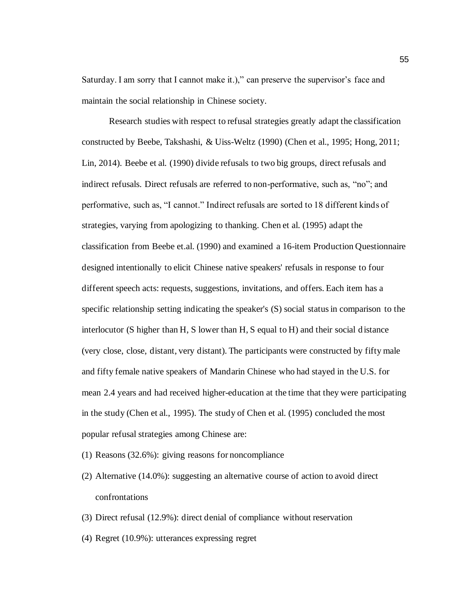Saturday. I am sorry that I cannot make it.)," can preserve the supervisor's face and maintain the social relationship in Chinese society.

Research studies with respect to refusal strategies greatly adapt the classification constructed by Beebe, Takshashi, & Uiss-Weltz (1990) (Chen et al., 1995; Hong, 2011; Lin, 2014). Beebe et al. (1990) divide refusals to two big groups, direct refusals and indirect refusals. Direct refusals are referred to non-performative, such as, "no"; and performative, such as, "I cannot." Indirect refusals are sorted to 18 different kinds of strategies, varying from apologizing to thanking. Chen et al. (1995) adapt the classification from Beebe et.al. (1990) and examined a 16-item Production Questionnaire designed intentionally to elicit Chinese native speakers' refusals in response to four different speech acts: requests, suggestions, invitations, and offers. Each item has a specific relationship setting indicating the speaker's (S) social status in comparison to the interlocutor (S higher than H, S lower than H, S equal to H) and their social distance (very close, close, distant, very distant). The participants were constructed by fifty male and fifty female native speakers of Mandarin Chinese who had stayed in the U.S. for mean 2.4 years and had received higher-education at the time that they were participating in the study (Chen et al., 1995). The study of Chen et al. (1995) concluded the most popular refusal strategies among Chinese are:

- (1) Reasons (32.6%): giving reasons for noncompliance
- (2) Alternative (14.0%): suggesting an alternative course of action to avoid direct confrontations
- (3) Direct refusal (12.9%): direct denial of compliance without reservation
- (4) Regret (10.9%): utterances expressing regret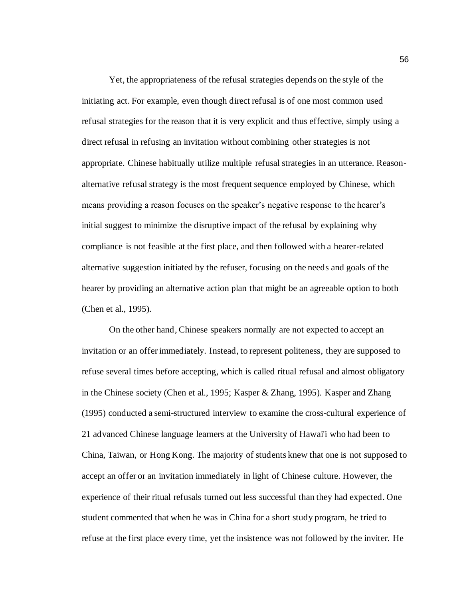Yet, the appropriateness of the refusal strategies depends on the style of the initiating act. For example, even though direct refusal is of one most common used refusal strategies for the reason that it is very explicit and thus effective, simply using a direct refusal in refusing an invitation without combining other strategies is not appropriate. Chinese habitually utilize multiple refusal strategies in an utterance. Reasonalternative refusal strategy is the most frequent sequence employed by Chinese, which means providing a reason focuses on the speaker's negative response to the hearer's initial suggest to minimize the disruptive impact of the refusal by explaining why compliance is not feasible at the first place, and then followed with a hearer-related alternative suggestion initiated by the refuser, focusing on the needs and goals of the hearer by providing an alternative action plan that might be an agreeable option to both (Chen et al., 1995).

On the other hand, Chinese speakers normally are not expected to accept an invitation or an offer immediately. Instead, to represent politeness, they are supposed to refuse several times before accepting, which is called ritual refusal and almost obligatory in the Chinese society (Chen et al., 1995; Kasper & Zhang, 1995). Kasper and Zhang (1995) conducted a semi-structured interview to examine the cross-cultural experience of 21 advanced Chinese language learners at the University of Hawai'i who had been to China, Taiwan, or Hong Kong. The majority of students knew that one is not supposed to accept an offer or an invitation immediately in light of Chinese culture. However, the experience of their ritual refusals turned out less successful than they had expected. One student commented that when he was in China for a short study program, he tried to refuse at the first place every time, yet the insistence was not followed by the inviter. He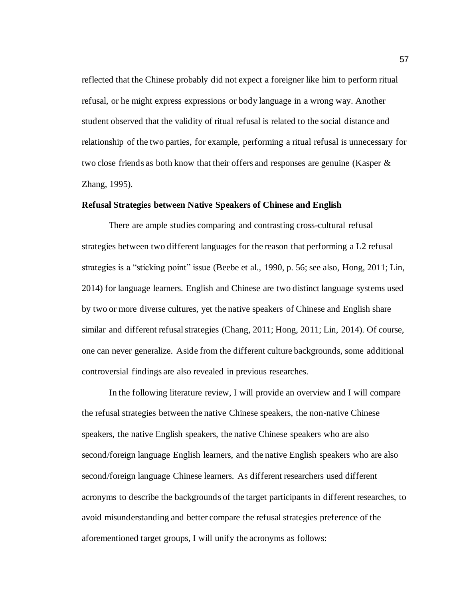reflected that the Chinese probably did not expect a foreigner like him to perform ritual refusal, or he might express expressions or body language in a wrong way. Another student observed that the validity of ritual refusal is related to the social distance and relationship of the two parties, for example, performing a ritual refusal is unnecessary for two close friends as both know that their offers and responses are genuine (Kasper & Zhang, 1995).

# **Refusal Strategies between Native Speakers of Chinese and English**

There are ample studies comparing and contrasting cross-cultural refusal strategies between two different languages for the reason that performing a L2 refusal strategies is a "sticking point" issue (Beebe et al., 1990, p. 56; see also, Hong, 2011; Lin, 2014) for language learners. English and Chinese are two distinct language systems used by two or more diverse cultures, yet the native speakers of Chinese and English share similar and different refusal strategies (Chang, 2011; Hong, 2011; Lin, 2014). Of course, one can never generalize. Aside from the different culture backgrounds, some additional controversial findings are also revealed in previous researches.

In the following literature review, I will provide an overview and I will compare the refusal strategies between the native Chinese speakers, the non-native Chinese speakers, the native English speakers, the native Chinese speakers who are also second/foreign language English learners, and the native English speakers who are also second/foreign language Chinese learners. As different researchers used different acronyms to describe the backgrounds of the target participants in different researches, to avoid misunderstanding and better compare the refusal strategies preference of the aforementioned target groups, I will unify the acronyms as follows: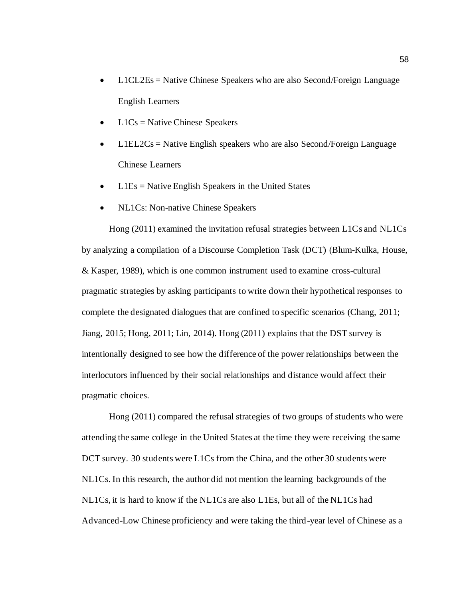- L1CL2Es = Native Chinese Speakers who are also Second/Foreign Language English Learners
- $L1Cs =$  Native Chinese Speakers
- $L1EL2Cs =$  Native English speakers who are also Second/Foreign Language Chinese Learners
- $L1Es =$  Native English Speakers in the United States
- NL1Cs: Non-native Chinese Speakers

Hong (2011) examined the invitation refusal strategies between L1Cs and NL1Cs by analyzing a compilation of a Discourse Completion Task (DCT) (Blum-Kulka, House, & Kasper, 1989), which is one common instrument used to examine cross-cultural pragmatic strategies by asking participants to write down their hypothetical responses to complete the designated dialogues that are confined to specific scenarios (Chang, 2011; Jiang, 2015; Hong, 2011; Lin, 2014). Hong (2011) explains that the DST survey is intentionally designed to see how the difference of the power relationships between the interlocutors influenced by their social relationships and distance would affect their pragmatic choices.

Hong (2011) compared the refusal strategies of two groups of students who were attending the same college in the United States at the time they were receiving the same DCT survey. 30 students were L1Cs from the China, and the other 30 students were NL1Cs. In this research, the author did not mention the learning backgrounds of the NL1Cs, it is hard to know if the NL1Cs are also L1Es, but all of the NL1Cs had Advanced-Low Chinese proficiency and were taking the third-year level of Chinese as a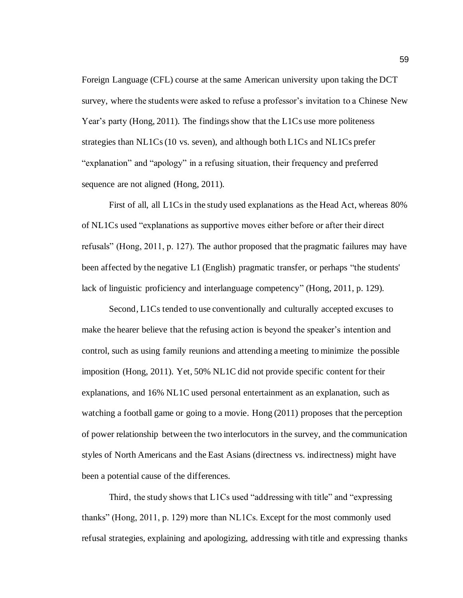Foreign Language (CFL) course at the same American university upon taking the DCT survey, where the students were asked to refuse a professor's invitation to a Chinese New Year's party (Hong, 2011). The findings show that the L1Cs use more politeness strategies than NL1Cs(10 vs. seven), and although both L1Cs and NL1Cs prefer "explanation" and "apology" in a refusing situation, their frequency and preferred sequence are not aligned (Hong, 2011).

First of all, all L1Cs in the study used explanations as the Head Act, whereas 80% of NL1Cs used "explanations as supportive moves either before or after their direct refusals" (Hong, 2011, p. 127). The author proposed that the pragmatic failures may have been affected by the negative L1 (English) pragmatic transfer, or perhaps "the students' lack of linguistic proficiency and interlanguage competency" (Hong, 2011, p. 129).

Second, L1Cs tended to use conventionally and culturally accepted excuses to make the hearer believe that the refusing action is beyond the speaker's intention and control, such as using family reunions and attending a meeting to minimize the possible imposition (Hong, 2011). Yet, 50% NL1C did not provide specific content for their explanations, and 16% NL1C used personal entertainment as an explanation, such as watching a football game or going to a movie. Hong (2011) proposes that the perception of power relationship between the two interlocutors in the survey, and the communication styles of North Americans and the East Asians (directness vs. indirectness) might have been a potential cause of the differences.

Third, the study shows that L1Cs used "addressing with title" and "expressing thanks" (Hong, 2011, p. 129) more than NL1Cs. Except for the most commonly used refusal strategies, explaining and apologizing, addressing with title and expressing thanks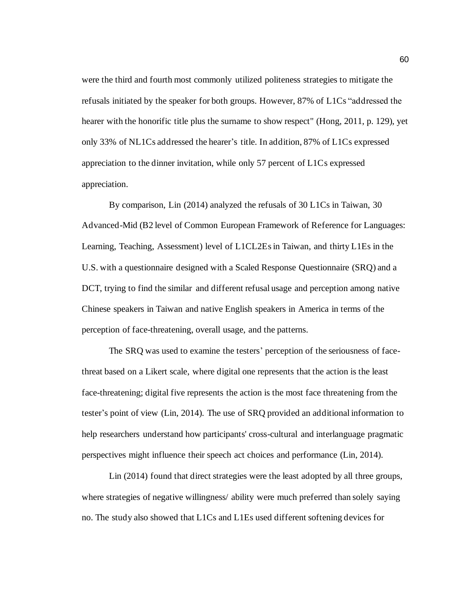were the third and fourth most commonly utilized politeness strategies to mitigate the refusals initiated by the speaker for both groups. However, 87% of L1Cs "addressed the hearer with the honorific title plus the surname to show respect" (Hong, 2011, p. 129), yet only 33% of NL1Cs addressed the hearer's title. In addition, 87% of L1Cs expressed appreciation to the dinner invitation, while only 57 percent of L1Cs expressed appreciation.

By comparison, Lin (2014) analyzed the refusals of 30 L1Cs in Taiwan, 30 Advanced-Mid (B2 level of Common European Framework of Reference for Languages: Learning, Teaching, Assessment) level of L1CL2Es in Taiwan, and thirty L1Es in the U.S. with a questionnaire designed with a Scaled Response Questionnaire (SRQ) and a DCT, trying to find the similar and different refusal usage and perception among native Chinese speakers in Taiwan and native English speakers in America in terms of the perception of face-threatening, overall usage, and the patterns.

The SRQ was used to examine the testers' perception of the seriousness of facethreat based on a Likert scale, where digital one represents that the action is the least face-threatening; digital five represents the action is the most face threatening from the tester's point of view (Lin, 2014). The use of SRQ provided an additional information to help researchers understand how participants' cross-cultural and interlanguage pragmatic perspectives might influence their speech act choices and performance (Lin, 2014).

Lin (2014) found that direct strategies were the least adopted by all three groups, where strategies of negative willingness/ ability were much preferred than solely saying no. The study also showed that L1Cs and L1Es used different softening devices for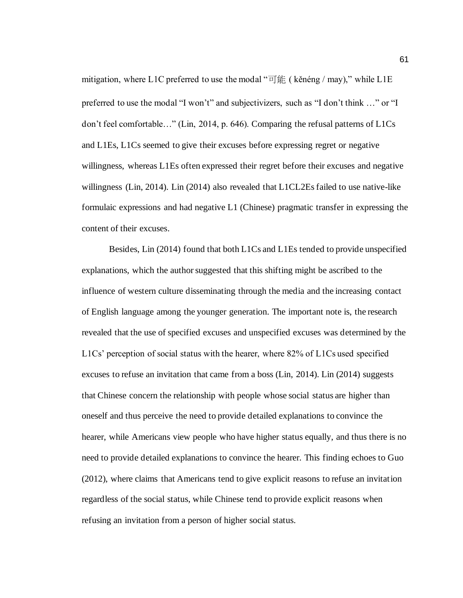mitigation, where L1C preferred to use the modal " $\overrightarrow{\Pi}$  fig. (kenéng / may)," while L1E preferred to use the modal "I won't" and subjectivizers, such as "I don't think …" or "I don't feel comfortable…" (Lin, 2014, p. 646). Comparing the refusal patterns of L1Cs and L1Es, L1Cs seemed to give their excuses before expressing regret or negative willingness, whereas L1Es often expressed their regret before their excuses and negative willingness (Lin, 2014). Lin (2014) also revealed that L1CL2Es failed to use native-like formulaic expressions and had negative L1 (Chinese) pragmatic transfer in expressing the content of their excuses.

Besides, Lin (2014) found that both L1Cs and L1Es tended to provide unspecified explanations, which the author suggested that this shifting might be ascribed to the influence of western culture disseminating through the media and the increasing contact of English language among the younger generation. The important note is, the research revealed that the use of specified excuses and unspecified excuses was determined by the L1Cs' perception of social status with the hearer, where 82% of L1Cs used specified excuses to refuse an invitation that came from a boss (Lin, 2014). Lin (2014) suggests that Chinese concern the relationship with people whose social status are higher than oneself and thus perceive the need to provide detailed explanations to convince the hearer, while Americans view people who have higher status equally, and thus there is no need to provide detailed explanations to convince the hearer. This finding echoes to Guo (2012), where claims that Americans tend to give explicit reasons to refuse an invitation regardless of the social status, while Chinese tend to provide explicit reasons when refusing an invitation from a person of higher social status.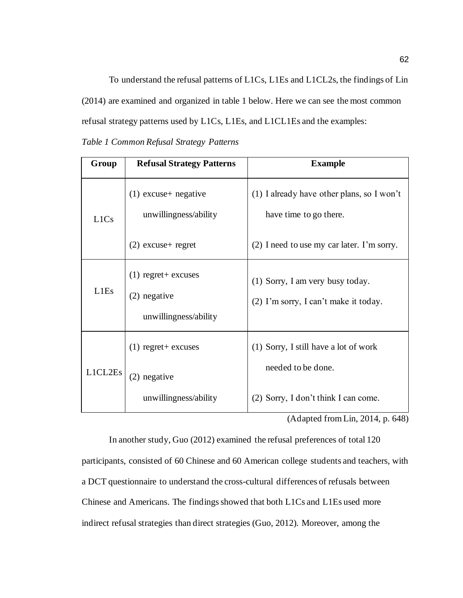To understand the refusal patterns of L1Cs, L1Es and L1CL2s, the findings of Lin (2014) are examined and organized in table 1 below. Here we can see the most common refusal strategy patterns used by L1Cs, L1Es, and L1CL1Es and the examples:

*Table 1 Common Refusal Strategy Patterns*

| Group                         | <b>Refusal Strategy Patterns</b>                                  | <b>Example</b>                                                            |
|-------------------------------|-------------------------------------------------------------------|---------------------------------------------------------------------------|
| L <sub>1</sub> C <sub>s</sub> | $(1)$ excuse + negative<br>unwillingness/ability                  | $(1)$ I already have other plans, so I won't<br>have time to go there.    |
|                               | $(2)$ excuse + regret                                             | (2) I need to use my car later. I'm sorry.                                |
| L <sub>1</sub> E <sub>s</sub> | $(1)$ regret + excuses<br>$(2)$ negative<br>unwillingness/ability | (1) Sorry, I am very busy today.<br>(2) I'm sorry, I can't make it today. |
| L1CL2E <sub>s</sub>           | $(1)$ regret + excuses<br>(2) negative                            | (1) Sorry, I still have a lot of work<br>needed to be done.               |
|                               | unwillingness/ability                                             | (2) Sorry, I don't think I can come.                                      |

(Adapted from Lin, 2014, p. 648)

In another study, Guo (2012) examined the refusal preferences of total 120 participants, consisted of 60 Chinese and 60 American college students and teachers, with a DCT questionnaire to understand the cross-cultural differences of refusals between Chinese and Americans. The findings showed that both L1Cs and L1Es used more indirect refusal strategies than direct strategies (Guo, 2012). Moreover, among the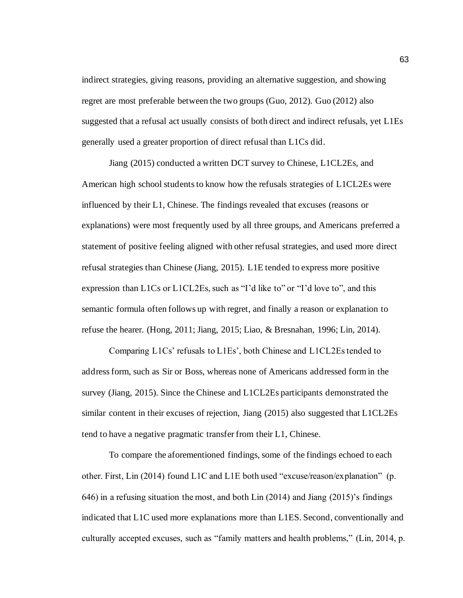indirect strategies, giving reasons, providing an alternative suggestion, and showing regret are most preferable between the two groups (Guo, 2012). Guo (2012) also suggested that a refusal act usually consists of both direct and indirect refusals, yet L1Es generally used a greater proportion of direct refusal than L1Cs did.

Jiang (2015) conducted a written DCT survey to Chinese, L1CL2Es, and American high school students to know how the refusals strategies of L1CL2Es were influenced by their L1, Chinese. The findings revealed that excuses (reasons or explanations) were most frequently used by all three groups, and Americans preferred a statement of positive feeling aligned with other refusal strategies, and used more direct refusal strategies than Chinese (Jiang, 2015). L1E tended to express more positive expression than L1Cs or L1CL2Es, such as "I'd like to" or "I'd love to", and this semantic formula often follows up with regret, and finally a reason or explanation to refuse the hearer. (Hong, 2011; Jiang, 2015; Liao, & Bresnahan, 1996; Lin, 2014).

Comparing L1Cs' refusals to L1Es', both Chinese and L1CL2Es tended to address form, such as Sir or Boss, whereas none of Americans addressed form in the survey (Jiang, 2015). Since the Chinese and L1CL2Es participants demonstrated the similar content in their excuses of rejection, Jiang (2015) also suggested that L1CL2Es tend to have a negative pragmatic transfer from their L1, Chinese.

To compare the aforementioned findings, some of the findings echoed to each other. First, Lin (2014) found L1C and L1E both used "excuse/reason/explanation" (p. 646) in a refusing situation the most, and both Lin (2014) and Jiang (2015)'s findings indicated that L1C used more explanations more than L1ES. Second, conventionally and culturally accepted excuses, such as "family matters and health problems," (Lin, 2014, p.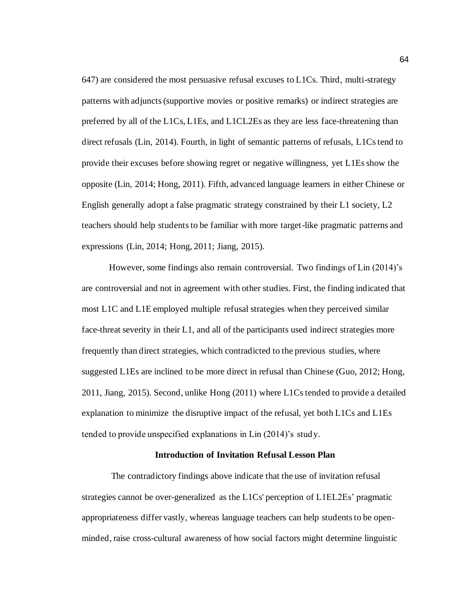647) are considered the most persuasive refusal excuses to L1Cs. Third, multi-strategy patterns with adjuncts (supportive movies or positive remarks) or indirect strategies are preferred by all of the L1Cs, L1Es, and L1CL2Es as they are less face-threatening than direct refusals (Lin, 2014). Fourth, in light of semantic patterns of refusals, L1Cs tend to provide their excuses before showing regret or negative willingness, yet L1Es show the opposite (Lin, 2014; Hong, 2011). Fifth, advanced language learners in either Chinese or English generally adopt a false pragmatic strategy constrained by their L1 society, L2 teachers should help students to be familiar with more target-like pragmatic patterns and expressions (Lin, 2014; Hong, 2011; Jiang, 2015).

However, some findings also remain controversial. Two findings of Lin (2014)'s are controversial and not in agreement with other studies. First, the finding indicated that most L1C and L1E employed multiple refusal strategies when they perceived similar face-threat severity in their L1, and all of the participants used indirect strategies more frequently than direct strategies, which contradicted to the previous studies, where suggested L1Es are inclined to be more direct in refusal than Chinese (Guo, 2012; Hong, 2011, Jiang, 2015). Second, unlike Hong (2011) where L1Cs tended to provide a detailed explanation to minimize the disruptive impact of the refusal, yet both L1Cs and L1Es tended to provide unspecified explanations in Lin (2014)'s study.

## **Introduction of Invitation Refusal Lesson Plan**

The contradictory findings above indicate that the use of invitation refusal strategies cannot be over-generalized as the L1Cs' perception of L1EL2Es' pragmatic appropriateness differ vastly, whereas language teachers can help students to be openminded, raise cross-cultural awareness of how social factors might determine linguistic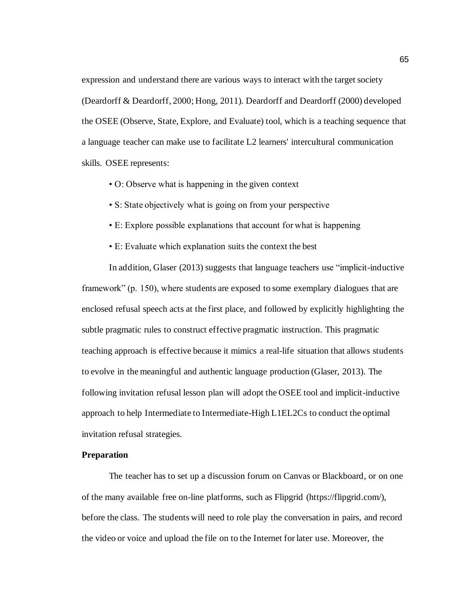expression and understand there are various ways to interact with the target society (Deardorff & Deardorff, 2000; Hong, 2011). Deardorff and Deardorff (2000) developed the OSEE (Observe, State, Explore, and Evaluate) tool, which is a teaching sequence that a language teacher can make use to facilitate L2 learners' intercultural communication skills. OSEE represents:

- O: Observe what is happening in the given context
- S: State objectively what is going on from your perspective
- E: Explore possible explanations that account for what is happening
- E: Evaluate which explanation suits the context the best

In addition, Glaser (2013) suggests that language teachers use "implicit-inductive framework" (p. 150), where students are exposed to some exemplary dialogues that are enclosed refusal speech acts at the first place, and followed by explicitly highlighting the subtle pragmatic rules to construct effective pragmatic instruction. This pragmatic teaching approach is effective because it mimics a real-life situation that allows students to evolve in the meaningful and authentic language production (Glaser, 2013). The following invitation refusal lesson plan will adopt the OSEE tool and implicit-inductive approach to help Intermediate to Intermediate-High L1EL2Cs to conduct the optimal invitation refusal strategies.

## **Preparation**

The teacher has to set up a discussion forum on Canvas or Blackboard, or on one of the many available free on-line platforms, such as Flipgrid (https://flipgrid.com/), before the class. The students will need to role play the conversation in pairs, and record the video or voice and upload the file on to the Internet for later use. Moreover, the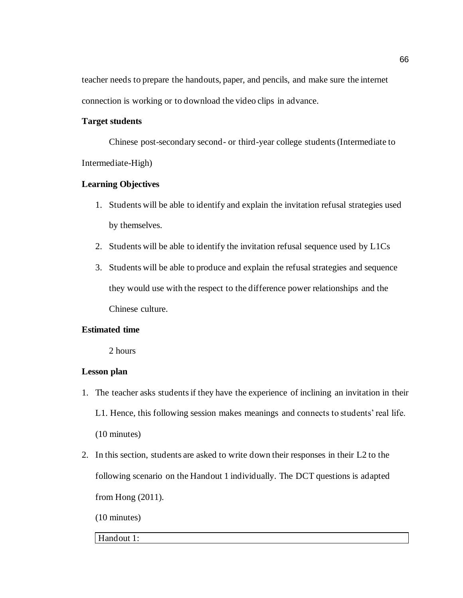teacher needs to prepare the handouts, paper, and pencils, and make sure the internet connection is working or to download the video clips in advance.

## **Target students**

Chinese post-secondary second- or third-year college students (Intermediate to Intermediate-High)

## **Learning Objectives**

- 1. Students will be able to identify and explain the invitation refusal strategies used by themselves.
- 2. Students will be able to identify the invitation refusal sequence used by L1Cs
- 3. Students will be able to produce and explain the refusal strategies and sequence they would use with the respect to the difference power relationships and the Chinese culture.

## **Estimated time**

2 hours

## **Lesson plan**

- 1. The teacher asks students if they have the experience of inclining an invitation in their L1. Hence, this following session makes meanings and connects to students' real life. (10 minutes)
- 2. In this section, students are asked to write down their responses in their L2 to the following scenario on the Handout 1 individually. The DCT questions is adapted from Hong (2011).

(10 minutes)

## Handout 1: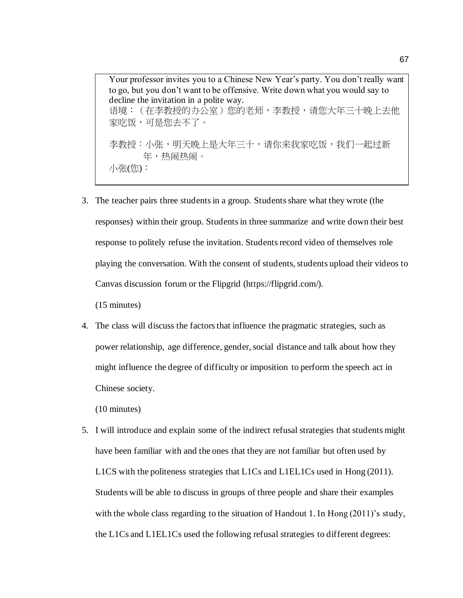Your professor invites you to a Chinese New Year's party. You don't really want to go, but you don't want to be offensive. Write down what you would say to decline the invitation in a polite way. 语境:(在李教授的办公室)您的老师,李教授,请您大年三十晚上去他 家吃饭,可是您去不了。 李教授:小张,明天晚上是大年三十,请你来我家吃饭,我们一起过新 年,热闹热闹。 小张(您):

3. The teacher pairs three students in a group. Students share what they wrote (the responses) within their group. Students in three summarize and write down their best response to politely refuse the invitation. Students record video of themselves role playing the conversation. With the consent of students, students upload their videos to Canvas discussion forum or the Flipgrid (https://flipgrid.com/).

(15 minutes)

4. The class will discuss the factors that influence the pragmatic strategies, such as power relationship, age difference, gender, social distance and talk about how they might influence the degree of difficulty or imposition to perform the speech act in Chinese society.

(10 minutes)

5. I will introduce and explain some of the indirect refusal strategies that students might have been familiar with and the ones that they are not familiar but often used by L1CS with the politeness strategies that L1Cs and L1EL1Cs used in Hong (2011). Students will be able to discuss in groups of three people and share their examples with the whole class regarding to the situation of Handout 1. In Hong (2011)'s study, the L1Cs and L1EL1Cs used the following refusal strategies to different degrees: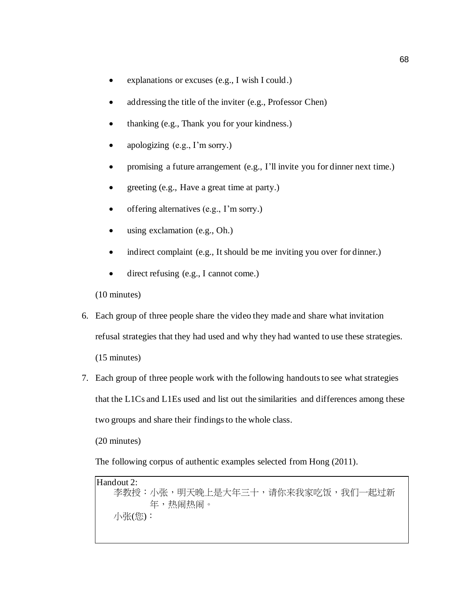- explanations or excuses (e.g., I wish I could.)
- addressing the title of the inviter (e.g., Professor Chen)
- thanking (e.g., Thank you for your kindness.)
- apologizing (e.g., I'm sorry.)
- promising a future arrangement (e.g., I'll invite you for dinner next time.)
- greeting (e.g., Have a great time at party.)
- offering alternatives (e.g., I'm sorry.)
- using exclamation (e.g., Oh.)
- indirect complaint (e.g., It should be me inviting you over for dinner.)
- direct refusing (e.g., I cannot come.)

(10 minutes)

- 6. Each group of three people share the video they made and share what invitation refusal strategies that they had used and why they had wanted to use these strategies. (15 minutes)
- 7. Each group of three people work with the following handouts to see what strategies that the L1Cs and L1Es used and list out the similarities and differences among these two groups and share their findings to the whole class.

(20 minutes)

The following corpus of authentic examples selected from Hong (2011).

Handout 2: 李教授:小张,明天晚上是大年三十,请你来我家吃饭,我们一起过新 年,热闹热闹。 小张(您):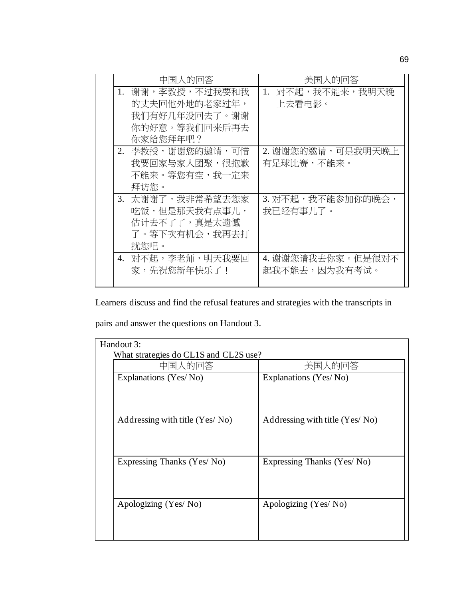| 中国人的回答 |                  | 美国人的回答              |
|--------|------------------|---------------------|
| 1.     | 谢谢,李教授,不过我要和我    | 对不起,我不能来,我明天晚<br>1. |
|        | 的丈夫回他外地的老家过年,    | 上去看电影。              |
|        | 我们有好几年没回去了。谢谢    |                     |
|        | 你的好意。等我们回来后再去    |                     |
|        | 你家给您拜年吧?         |                     |
|        | 2. 李教授,谢谢您的邀请,可惜 | 2. 谢谢您的邀请,可是我明天晚上   |
|        | 我要回家与家人团聚,很抱歉    | 有足球比赛,不能来。          |
|        | 不能来。等您有空,我一定来    |                     |
|        | 拜访您。             |                     |
|        | 3. 太谢谢了,我非常希望去您家 | 3. 对不起,我不能参加你的晚会,   |
|        | 吃饭,但是那天我有点事儿,    | 我已经有事儿了。            |
|        | 估计去不了了,真是太遗憾     |                     |
|        | 了。等下次有机会,我再去打    |                     |
|        | 扰您吧。             |                     |
|        | 4. 对不起,李老师,明天我要回 | 4. 谢谢您请我去你家。但是很对不   |
|        | 家,先祝您新年快乐了!      | 起我不能去,因为我有考试。       |
|        |                  |                     |

Learners discuss and find the refusal features and strategies with the transcripts in

pairs and answer the questions on Handout 3.

| Handout 3:                            |                                |  |  |
|---------------------------------------|--------------------------------|--|--|
| What strategies do CL1S and CL2S use? |                                |  |  |
| 中国人的回答                                | 美国人的回答                         |  |  |
| Explanations (Yes/No)                 | Explanations (Yes/No)          |  |  |
|                                       |                                |  |  |
|                                       |                                |  |  |
|                                       |                                |  |  |
| Addressing with title (Yes/No)        | Addressing with title (Yes/No) |  |  |
|                                       |                                |  |  |
|                                       |                                |  |  |
|                                       |                                |  |  |
| Expressing Thanks (Yes/No)            | Expressing Thanks (Yes/No)     |  |  |
|                                       |                                |  |  |
|                                       |                                |  |  |
|                                       |                                |  |  |
| Apologizing (Yes/No)                  | Apologizing (Yes/No)           |  |  |
|                                       |                                |  |  |
|                                       |                                |  |  |
|                                       |                                |  |  |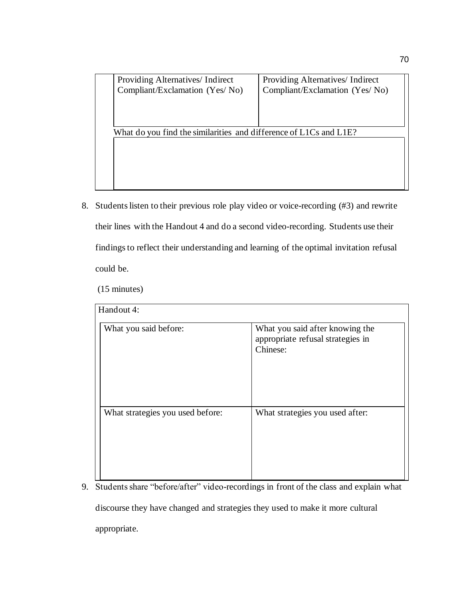| Providing Alternatives/ Indirect                                  | Providing Alternatives/ Indirect |  |
|-------------------------------------------------------------------|----------------------------------|--|
| Compliant/Exclamation (Yes/No)                                    | Compliant/Exclamation (Yes/No)   |  |
|                                                                   |                                  |  |
|                                                                   |                                  |  |
|                                                                   |                                  |  |
| What do you find the similarities and difference of L1Cs and L1E? |                                  |  |
|                                                                   |                                  |  |
|                                                                   |                                  |  |
|                                                                   |                                  |  |
|                                                                   |                                  |  |
|                                                                   |                                  |  |
|                                                                   |                                  |  |

8. Students listen to their previous role play video or voice-recording (#3) and rewrite their lines with the Handout 4 and do a second video-recording. Students use their findings to reflect their understanding and learning of the optimal invitation refusal could be.

(15 minutes)

| Handout 4:                       |                                                                                  |  |  |
|----------------------------------|----------------------------------------------------------------------------------|--|--|
| What you said before:            | What you said after knowing the<br>appropriate refusal strategies in<br>Chinese: |  |  |
| What strategies you used before: | What strategies you used after:                                                  |  |  |

9. Students share "before/after" video-recordings in front of the class and explain what

discourse they have changed and strategies they used to make it more cultural

appropriate.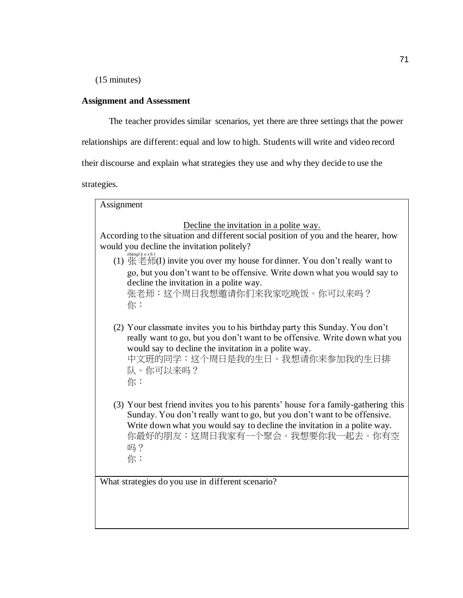(15 minutes)

## **Assignment and Assessment**

The teacher provides similar scenarios, yet there are three settings that the power

relationships are different: equal and low to high. Students will write and video record

their discourse and explain what strategies they use and why they decide to use the

strategies.

Assignment Decline the invitation in a polite way. According to the situation and different social position of you and the hearer, how would you decline the invitation politely? (1) 张老师(I) invite you over my house for dinner. You don't really want to go, but you don't want to be offensive. Write down what you would say to decline the invitation in a polite way. 张老师:这个周日我想邀请你们来我家吃晚饭。你可以来吗? 你: (2) Your classmate invites you to his birthday party this Sunday. You don't really want to go, but you don't want to be offensive. Write down what you would say to decline the invitation in a polite way. 中文班的同学:这个周日是我的生日。我想请你来参加我的生日排 队。你可以来吗? 你: (3) Your best friend invites you to his parents' house for a family-gathering this Sunday. You don't really want to go, but you don't want to be offensive. Write down what you would say to decline the invitation in a polite way. 你最好的朋友:这周日我家有一个聚会。我想要你我一起去。你有空 吗? 你:

What strategies do you use in different scenario?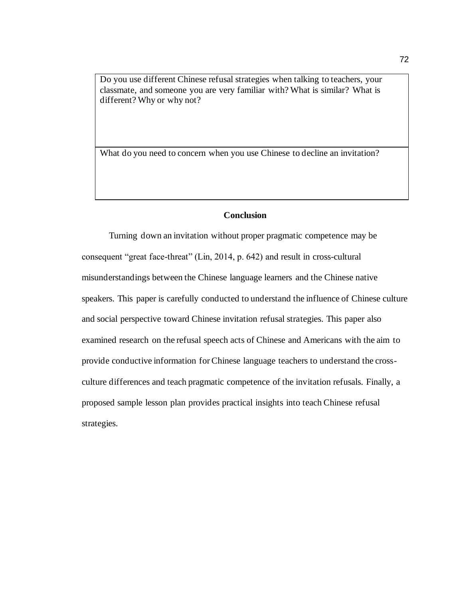Do you use different Chinese refusal strategies when talking to teachers, your classmate, and someone you are very familiar with? What is similar? What is different? Why or why not?

What do you need to concern when you use Chinese to decline an invitation?

## **Conclusion**

Turning down an invitation without proper pragmatic competence may be consequent "great face-threat" (Lin, 2014, p. 642) and result in cross-cultural misunderstandings between the Chinese language learners and the Chinese native speakers. This paper is carefully conducted to understand the influence of Chinese culture and social perspective toward Chinese invitation refusal strategies. This paper also examined research on the refusal speech acts of Chinese and Americans with the aim to provide conductive information for Chinese language teachers to understand the crossculture differences and teach pragmatic competence of the invitation refusals. Finally, a proposed sample lesson plan provides practical insights into teach Chinese refusal strategies.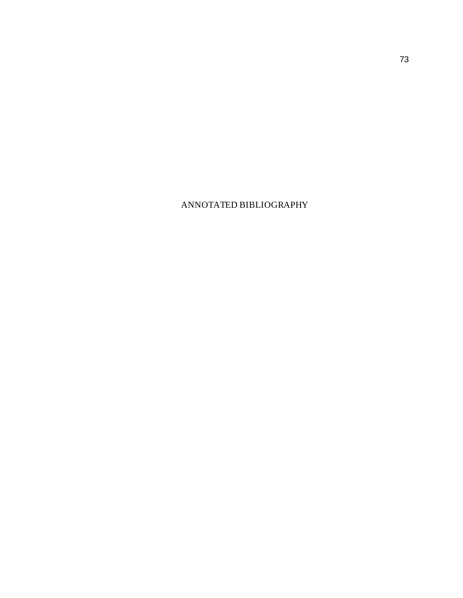## ANNOTATED BIBLIOGRAPHY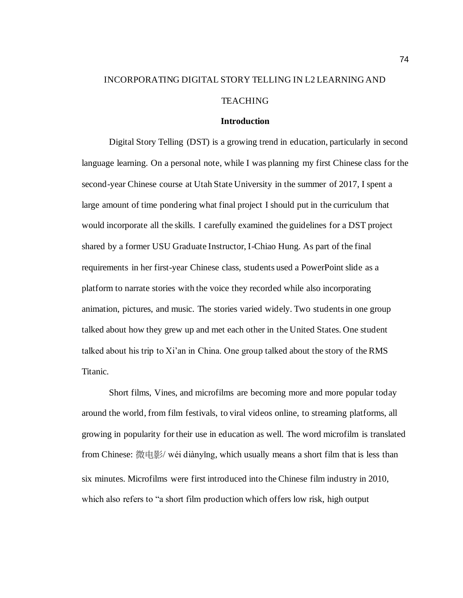# INCORPORATING DIGITAL STORY TELLING IN L2 LEARNING AND **TEACHING**

#### **Introduction**

Digital Story Telling (DST) is a growing trend in education, particularly in second language learning. On a personal note, while I was planning my first Chinese class for the second-year Chinese course at Utah State University in the summer of 2017, I spent a large amount of time pondering what final project I should put in the curriculum that would incorporate all the skills. I carefully examined the guidelines for a DST project shared by a former USU Graduate Instructor, I-Chiao Hung. As part of the final requirements in her first-year Chinese class, students used a PowerPoint slide as a platform to narrate stories with the voice they recorded while also incorporating animation, pictures, and music. The stories varied widely. Two students in one group talked about how they grew up and met each other in the United States. One student talked about his trip to Xi'an in China. One group talked about the story of the RMS Titanic.

Short films, Vines, and microfilms are becoming more and more popular today around the world, from film festivals, to viral videos online, to streaming platforms, all growing in popularity for their use in education as well. The word microfilm is translated from Chinese: 微电影/ wéi diànyǐng, which usually means a short film that is less than six minutes. Microfilms were first introduced into the Chinese film industry in 2010, which also refers to "a short film production which offers low risk, high output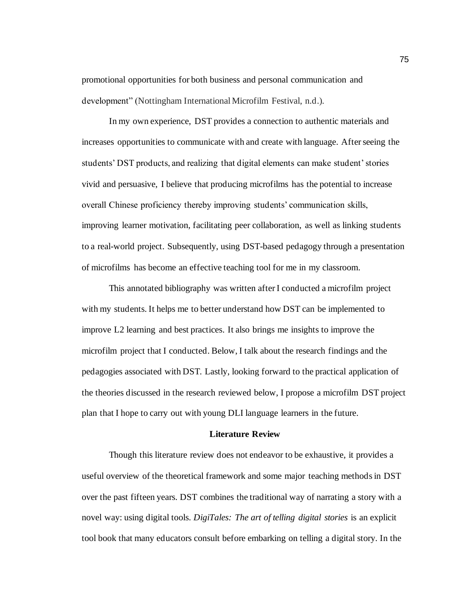promotional opportunities for both business and personal communication and development" (Nottingham International Microfilm Festival, n.d.).

In my own experience, DST provides a connection to authentic materials and increases opportunities to communicate with and create with language. After seeing the students' DST products, and realizing that digital elements can make student' stories vivid and persuasive, I believe that producing microfilms has the potential to increase overall Chinese proficiency thereby improving students' communication skills, improving learner motivation, facilitating peer collaboration, as well as linking students to a real-world project. Subsequently, using DST-based pedagogy through a presentation of microfilms has become an effective teaching tool for me in my classroom.

This annotated bibliography was written after I conducted a microfilm project with my students. It helps me to better understand how DST can be implemented to improve L2 learning and best practices. It also brings me insights to improve the microfilm project that I conducted. Below, I talk about the research findings and the pedagogies associated with DST. Lastly, looking forward to the practical application of the theories discussed in the research reviewed below, I propose a microfilm DST project plan that I hope to carry out with young DLI language learners in the future.

#### **Literature Review**

Though this literature review does not endeavor to be exhaustive, it provides a useful overview of the theoretical framework and some major teaching methods in DST over the past fifteen years. DST combines the traditional way of narrating a story with a novel way: using digital tools. *DigiTales: The art of telling digital stories* is an explicit tool book that many educators consult before embarking on telling a digital story. In the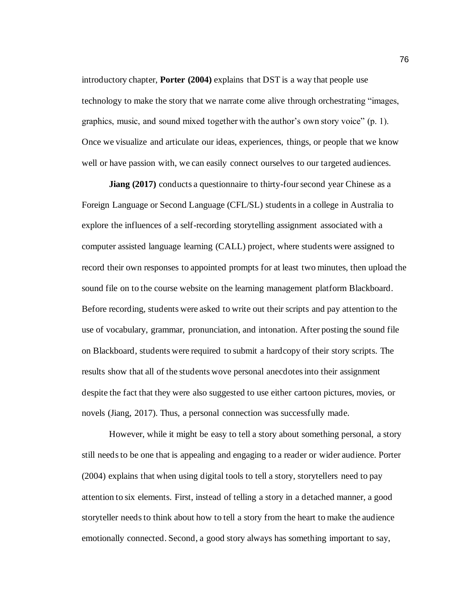introductory chapter, **Porter (2004)** explains that DST is a way that people use technology to make the story that we narrate come alive through orchestrating "images, graphics, music, and sound mixed together with the author's own story voice" (p. 1). Once we visualize and articulate our ideas, experiences, things, or people that we know well or have passion with, we can easily connect ourselves to our targeted audiences.

**Jiang (2017)** conducts a questionnaire to thirty-four second year Chinese as a Foreign Language or Second Language (CFL/SL) students in a college in Australia to explore the influences of a self-recording storytelling assignment associated with a computer assisted language learning (CALL) project, where students were assigned to record their own responses to appointed prompts for at least two minutes, then upload the sound file on to the course website on the learning management platform Blackboard. Before recording, students were asked to write out their scripts and pay attention to the use of vocabulary, grammar, pronunciation, and intonation. After posting the sound file on Blackboard, students were required to submit a hardcopy of their story scripts. The results show that all of the students wove personal anecdotes into their assignment despite the fact that they were also suggested to use either cartoon pictures, movies, or novels (Jiang, 2017). Thus, a personal connection was successfully made.

However, while it might be easy to tell a story about something personal, a story still needs to be one that is appealing and engaging to a reader or wider audience. Porter (2004) explains that when using digital tools to tell a story, storytellers need to pay attention to six elements. First, instead of telling a story in a detached manner, a good storyteller needs to think about how to tell a story from the heart to make the audience emotionally connected. Second, a good story always has something important to say,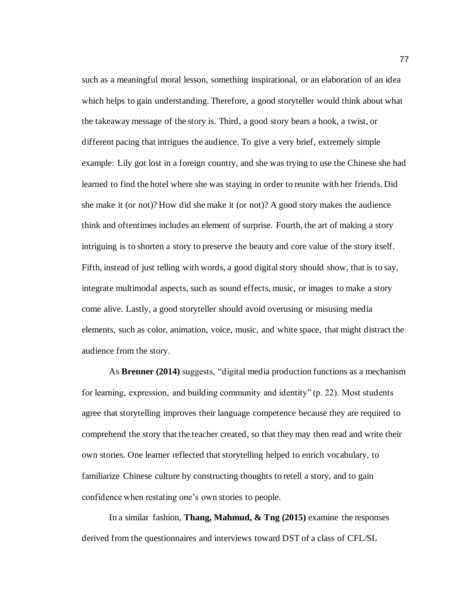such as a meaningful moral lesson, something inspirational, or an elaboration of an idea which helps to gain understanding. Therefore, a good storyteller would think about what the takeaway message of the story is. Third, a good story bears a hook, a twist, or different pacing that intrigues the audience. To give a very brief, extremely simple example: Lily got lost in a foreign country, and she was trying to use the Chinese she had learned to find the hotel where she was staying in order to reunite with her friends. Did she make it (or not)? How did she make it (or not)? A good story makes the audience think and oftentimes includes an element of surprise. Fourth, the art of making a story intriguing is to shorten a story to preserve the beauty and core value of the story itself. Fifth, instead of just telling with words, a good digital story should show, that is to say, integrate multimodal aspects, such as sound effects, music, or images to make a story come alive. Lastly, a good storyteller should avoid overusing or misusing media elements, such as color, animation, voice, music, and white space, that might distract the audience from the story.

As **Brenner (2014)** suggests, "digital media production functions as a mechanism for learning, expression, and building community and identity" (p. 22). Most students agree that storytelling improves their language competence because they are required to comprehend the story that the teacher created, so that they may then read and write their own stories. One learner reflected that storytelling helped to enrich vocabulary, to familiarize Chinese culture by constructing thoughts to retell a story, and to gain confidence when restating one's own stories to people.

In a similar fashion, **Thang, Mahmud, & Tng (2015)** examine the responses derived from the questionnaires and interviews toward DST of a class of CFL/SL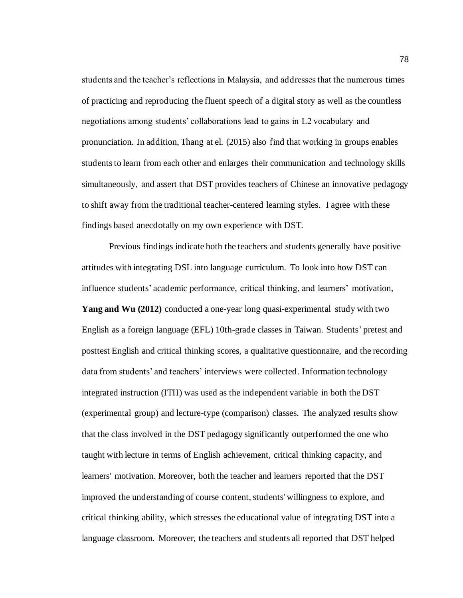students and the teacher's reflections in Malaysia, and addresses that the numerous times of practicing and reproducing the fluent speech of a digital story as well as the countless negotiations among students' collaborations lead to gains in L2 vocabulary and pronunciation. In addition, Thang at el. (2015) also find that working in groups enables students to learn from each other and enlarges their communication and technology skills simultaneously, and assert that DST provides teachers of Chinese an innovative pedagogy to shift away from the traditional teacher-centered learning styles. I agree with these findings based anecdotally on my own experience with DST.

Previous findings indicate both the teachers and students generally have positive attitudes with integrating DSL into language curriculum. To look into how DST can influence students' academic performance, critical thinking, and learners' motivation, **Yang and Wu (2012)** conducted a one-year long quasi-experimental study with two English as a foreign language (EFL) 10th-grade classes in Taiwan. Students' pretest and posttest English and critical thinking scores, a qualitative questionnaire, and the recording data from students' and teachers' interviews were collected. Information technology integrated instruction (ITII) was used as the independent variable in both the DST (experimental group) and lecture-type (comparison) classes. The analyzed results show that the class involved in the DST pedagogy significantly outperformed the one who taught with lecture in terms of English achievement, critical thinking capacity, and learners' motivation. Moreover, both the teacher and learners reported that the DST improved the understanding of course content, students' willingness to explore, and critical thinking ability, which stresses the educational value of integrating DST into a language classroom. Moreover, the teachers and students all reported that DST helped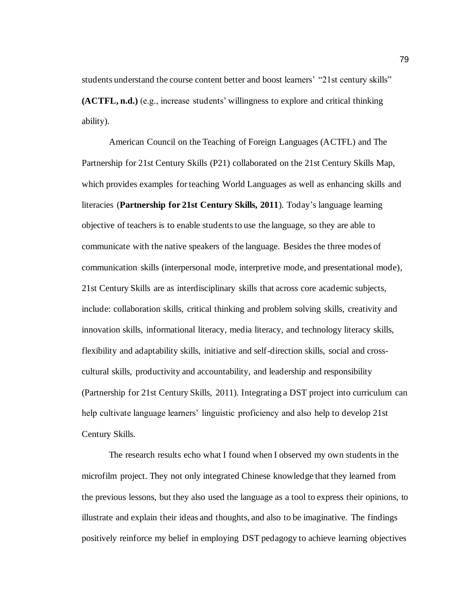students understand the course content better and boost learners' "21st century skills" **(ACTFL, n.d.)** (e.g., increase students' willingness to explore and critical thinking ability).

American Council on the Teaching of Foreign Languages (ACTFL) and The Partnership for 21st Century Skills (P21) collaborated on the 21st Century Skills Map, which provides examples for teaching World Languages as well as enhancing skills and literacies (**Partnership for 21st Century Skills, 2011**). Today's language learning objective of teachers is to enable students to use the language, so they are able to communicate with the native speakers of the language. Besides the three modes of communication skills (interpersonal mode, interpretive mode, and presentational mode), 21st Century Skills are as interdisciplinary skills that across core academic subjects, include: collaboration skills, critical thinking and problem solving skills, creativity and innovation skills, informational literacy, media literacy, and technology literacy skills, flexibility and adaptability skills, initiative and self-direction skills, social and crosscultural skills, productivity and accountability, and leadership and responsibility (Partnership for 21st Century Skills, 2011). Integrating a DST project into curriculum can help cultivate language learners' linguistic proficiency and also help to develop 21st Century Skills.

The research results echo what I found when I observed my own students in the microfilm project. They not only integrated Chinese knowledge that they learned from the previous lessons, but they also used the language as a tool to express their opinions, to illustrate and explain their ideas and thoughts, and also to be imaginative. The findings positively reinforce my belief in employing DST pedagogy to achieve learning objectives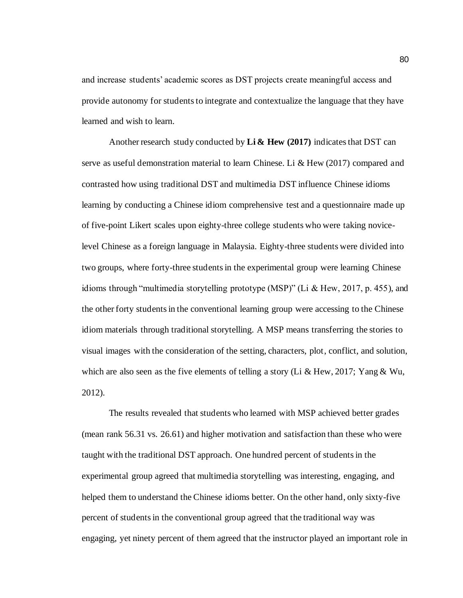and increase students' academic scores as DST projects create meaningful access and provide autonomy for students to integrate and contextualize the language that they have learned and wish to learn.

Another research study conducted by **Li & Hew (2017)** indicates that DST can serve as useful demonstration material to learn Chinese. Li & Hew (2017) compared and contrasted how using traditional DST and multimedia DST influence Chinese idioms learning by conducting a Chinese idiom comprehensive test and a questionnaire made up of five-point Likert scales upon eighty-three college students who were taking novicelevel Chinese as a foreign language in Malaysia. Eighty-three students were divided into two groups, where forty-three students in the experimental group were learning Chinese idioms through "multimedia storytelling prototype (MSP)" (Li & Hew, 2017, p. 455), and the other forty students in the conventional learning group were accessing to the Chinese idiom materials through traditional storytelling. A MSP means transferring the stories to visual images with the consideration of the setting, characters, plot, conflict, and solution, which are also seen as the five elements of telling a story (Li & Hew, 2017; Yang & Wu, 2012).

The results revealed that students who learned with MSP achieved better grades (mean rank 56.31 vs. 26.61) and higher motivation and satisfaction than these who were taught with the traditional DST approach. One hundred percent of students in the experimental group agreed that multimedia storytelling was interesting, engaging, and helped them to understand the Chinese idioms better. On the other hand, only sixty-five percent of students in the conventional group agreed that the traditional way was engaging, yet ninety percent of them agreed that the instructor played an important role in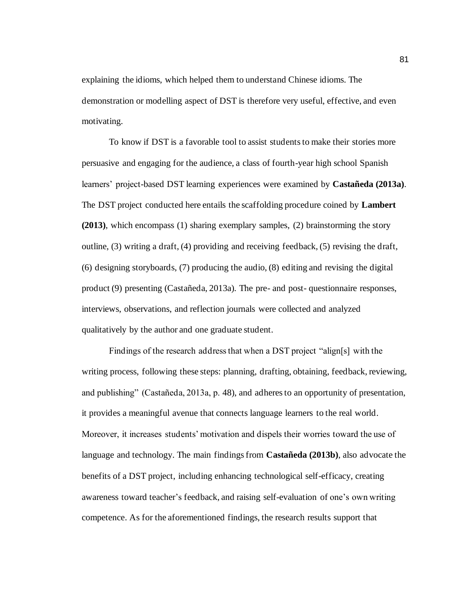explaining the idioms, which helped them to understand Chinese idioms. The demonstration or modelling aspect of DST is therefore very useful, effective, and even motivating.

To know if DST is a favorable tool to assist students to make their stories more persuasive and engaging for the audience, a class of fourth-year high school Spanish learners' project-based DST learning experiences were examined by **Castañeda (2013a)**. The DST project conducted here entails the scaffolding procedure coined by **Lambert (2013)**, which encompass (1) sharing exemplary samples, (2) brainstorming the story outline, (3) writing a draft, (4) providing and receiving feedback, (5) revising the draft, (6) designing storyboards, (7) producing the audio, (8) editing and revising the digital product (9) presenting (Castañeda, 2013a). The pre- and post- questionnaire responses, interviews, observations, and reflection journals were collected and analyzed qualitatively by the author and one graduate student.

Findings of the research address that when a DST project "align[s] with the writing process, following these steps: planning, drafting, obtaining, feedback, reviewing, and publishing" (Castañeda, 2013a, p. 48), and adheres to an opportunity of presentation, it provides a meaningful avenue that connects language learners to the real world. Moreover, it increases students' motivation and dispels their worries toward the use of language and technology. The main findings from **Castañeda (2013b)**, also advocate the benefits of a DST project, including enhancing technological self-efficacy, creating awareness toward teacher's feedback, and raising self-evaluation of one's own writing competence. As for the aforementioned findings, the research results support that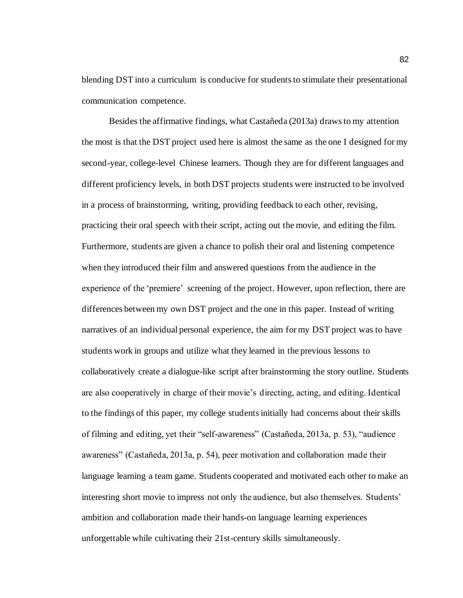blending DST into a curriculum is conducive for students to stimulate their presentational communication competence.

Besides the affirmative findings, what Castañeda (2013a) draws to my attention the most is that the DST project used here is almost the same as the one I designed for my second-year, college-level Chinese learners. Though they are for different languages and different proficiency levels, in both DST projects students were instructed to be involved in a process of brainstorming, writing, providing feedback to each other, revising, practicing their oral speech with their script, acting out the movie, and editing the film. Furthermore, students are given a chance to polish their oral and listening competence when they introduced their film and answered questions from the audience in the experience of the 'premiere' screening of the project. However, upon reflection, there are differences between my own DST project and the one in this paper. Instead of writing narratives of an individual personal experience, the aim for my DST project was to have students work in groups and utilize what they learned in the previous lessons to collaboratively create a dialogue-like script after brainstorming the story outline. Students are also cooperatively in charge of their movie's directing, acting, and editing. Identical to the findings of this paper, my college students initially had concerns about their skills of filming and editing, yet their "self-awareness" (Castañeda, 2013a, p. 53), "audience awareness" (Castañeda, 2013a, p. 54), peer motivation and collaboration made their language learning a team game. Students cooperated and motivated each other to make an interesting short movie to impress not only the audience, but also themselves. Students' ambition and collaboration made their hands-on language learning experiences unforgettable while cultivating their 21st-century skills simultaneously.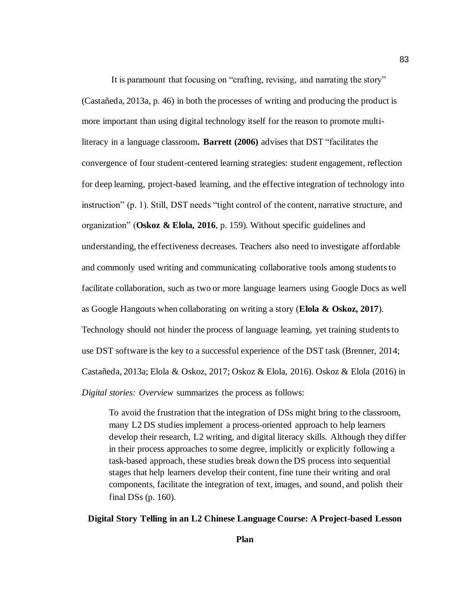It is paramount that focusing on "crafting, revising, and narrating the story" (Castañeda, 2013a, p. 46) in both the processes of writing and producing the product is more important than using digital technology itself for the reason to promote multiliteracy in a language classroom**. Barrett (2006)** advises that DST "facilitates the convergence of four student-centered learning strategies: student engagement, reflection for deep learning, project-based learning, and the effective integration of technology into instruction" (p. 1). Still, DST needs "tight control of the content, narrative structure, and organization" (**Oskoz & Elola, 2016**, p. 159). Without specific guidelines and understanding, the effectiveness decreases. Teachers also need to investigate affordable and commonly used writing and communicating collaborative tools among students to facilitate collaboration, such as two or more language learners using Google Docs as well as Google Hangouts when collaborating on writing a story (**Elola & Oskoz, 2017**). Technology should not hinder the process of language learning, yet training students to use DST software is the key to a successful experience of the DST task (Brenner, 2014; Castañeda, 2013a; Elola & Oskoz, 2017; Oskoz & Elola, 2016). Oskoz & Elola (2016) in *Digital stories: Overview* summarizes the process as follows:

To avoid the frustration that the integration of DSs might bring to the classroom, many L2 DS studies implement a process-oriented approach to help learners develop their research, L2 writing, and digital literacy skills. Although they differ in their process approaches to some degree, implicitly or explicitly following a task-based approach, these studies break down the DS process into sequential stages that help learners develop their content, fine tune their writing and oral components, facilitate the integration of text, images, and sound, and polish their final DSs (p. 160).

## **Digital Story Telling in an L2 Chinese Language Course: A Project-based Lesson**

83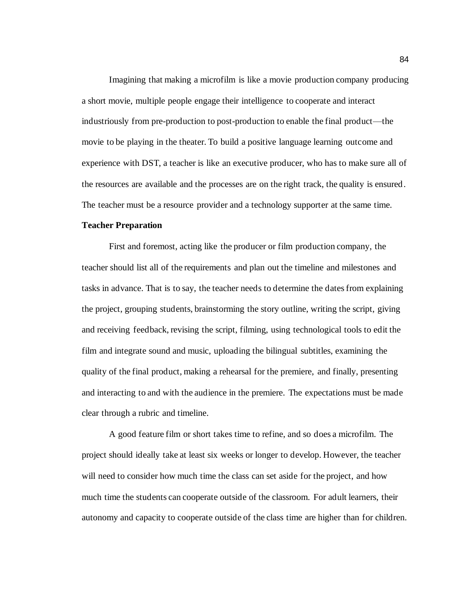Imagining that making a microfilm is like a movie production company producing a short movie, multiple people engage their intelligence to cooperate and interact industriously from pre-production to post-production to enable the final product—the movie to be playing in the theater. To build a positive language learning outcome and experience with DST, a teacher is like an executive producer, who has to make sure all of the resources are available and the processes are on the right track, the quality is ensured. The teacher must be a resource provider and a technology supporter at the same time.

#### **Teacher Preparation**

First and foremost, acting like the producer or film production company, the teacher should list all of the requirements and plan out the timeline and milestones and tasks in advance. That is to say, the teacher needs to determine the dates from explaining the project, grouping students, brainstorming the story outline, writing the script, giving and receiving feedback, revising the script, filming, using technological tools to edit the film and integrate sound and music, uploading the bilingual subtitles, examining the quality of the final product, making a rehearsal for the premiere, and finally, presenting and interacting to and with the audience in the premiere. The expectations must be made clear through a rubric and timeline.

A good feature film or short takes time to refine, and so does a microfilm. The project should ideally take at least six weeks or longer to develop. However, the teacher will need to consider how much time the class can set aside for the project, and how much time the students can cooperate outside of the classroom. For adult learners, their autonomy and capacity to cooperate outside of the class time are higher than for children.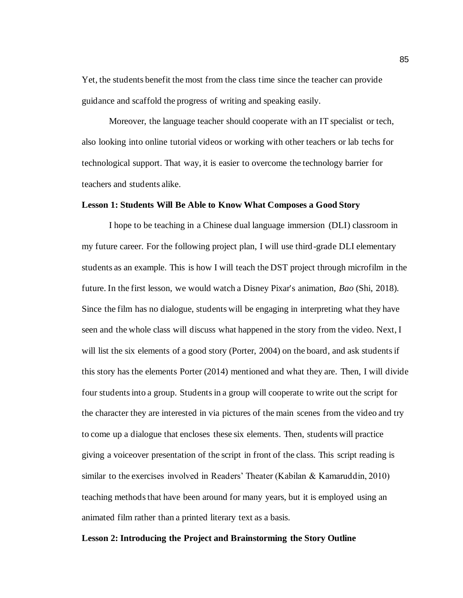Yet, the students benefit the most from the class time since the teacher can provide guidance and scaffold the progress of writing and speaking easily.

Moreover, the language teacher should cooperate with an IT specialist or tech, also looking into online tutorial videos or working with other teachers or lab techs for technological support. That way, it is easier to overcome the technology barrier for teachers and students alike.

#### **Lesson 1: Students Will Be Able to Know What Composes a Good Story**

I hope to be teaching in a Chinese dual language immersion (DLI) classroom in my future career. For the following project plan, I will use third-grade DLI elementary students as an example. This is how I will teach the DST project through microfilm in the future. In the first lesson, we would watch a Disney Pixar's animation, *Bao* (Shi, 2018). Since the film has no dialogue, students will be engaging in interpreting what they have seen and the whole class will discuss what happened in the story from the video. Next, I will list the six elements of a good story (Porter, 2004) on the board, and ask students if this story has the elements Porter (2014) mentioned and what they are. Then, I will divide four students into a group. Students in a group will cooperate to write out the script for the character they are interested in via pictures of the main scenes from the video and try to come up a dialogue that encloses these six elements. Then, students will practice giving a voiceover presentation of the script in front of the class. This script reading is similar to the exercises involved in Readers' Theater (Kabilan & Kamaruddin, 2010) teaching methods that have been around for many years, but it is employed using an animated film rather than a printed literary text as a basis.

#### **Lesson 2: Introducing the Project and Brainstorming the Story Outline**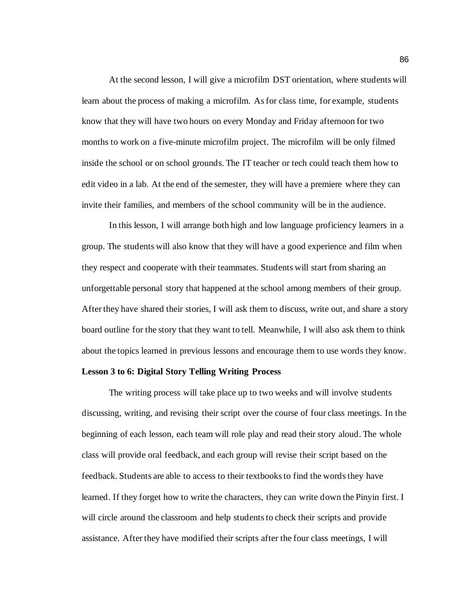At the second lesson, I will give a microfilm DST orientation, where students will learn about the process of making a microfilm. As for class time, for example, students know that they will have two hours on every Monday and Friday afternoon for two months to work on a five-minute microfilm project. The microfilm will be only filmed inside the school or on school grounds. The IT teacher or tech could teach them how to edit video in a lab. At the end of the semester, they will have a premiere where they can invite their families, and members of the school community will be in the audience.

In this lesson, I will arrange both high and low language proficiency learners in a group. The students will also know that they will have a good experience and film when they respect and cooperate with their teammates. Students will start from sharing an unforgettable personal story that happened at the school among members of their group. After they have shared their stories, I will ask them to discuss, write out, and share a story board outline for the story that they want to tell. Meanwhile, I will also ask them to think about the topics learned in previous lessons and encourage them to use words they know.

#### **Lesson 3 to 6: Digital Story Telling Writing Process**

The writing process will take place up to two weeks and will involve students discussing, writing, and revising their script over the course of four class meetings. In the beginning of each lesson, each team will role play and read their story aloud. The whole class will provide oral feedback, and each group will revise their script based on the feedback. Students are able to access to their textbooks to find the words they have learned. If they forget how to write the characters, they can write down the Pinyin first. I will circle around the classroom and help students to check their scripts and provide assistance. After they have modified their scripts after the four class meetings, I will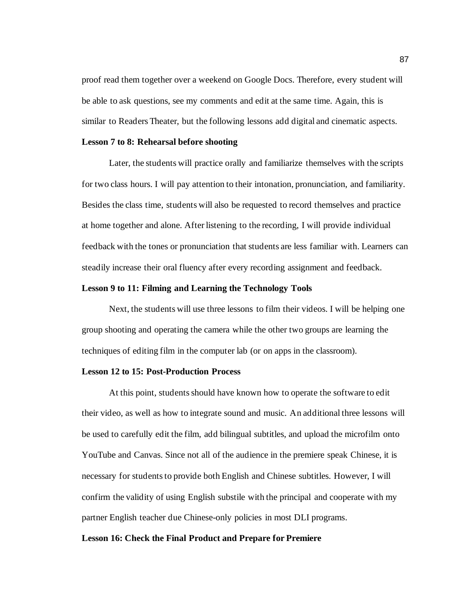proof read them together over a weekend on Google Docs. Therefore, every student will be able to ask questions, see my comments and edit at the same time. Again, this is similar to Readers Theater, but the following lessons add digital and cinematic aspects.

## **Lesson 7 to 8: Rehearsal before shooting**

Later, the students will practice orally and familiarize themselves with the scripts for two class hours. I will pay attention to their intonation, pronunciation, and familiarity. Besides the class time, students will also be requested to record themselves and practice at home together and alone. After listening to the recording, I will provide individual feedback with the tones or pronunciation that students are less familiar with. Learners can steadily increase their oral fluency after every recording assignment and feedback.

#### **Lesson 9 to 11: Filming and Learning the Technology Tools**

Next, the students will use three lessons to film their videos. I will be helping one group shooting and operating the camera while the other two groups are learning the techniques of editing film in the computer lab (or on apps in the classroom).

#### **Lesson 12 to 15: Post-Production Process**

At this point, students should have known how to operate the software to edit their video, as well as how to integrate sound and music. An additional three lessons will be used to carefully edit the film, add bilingual subtitles, and upload the microfilm onto YouTube and Canvas. Since not all of the audience in the premiere speak Chinese, it is necessary for students to provide both English and Chinese subtitles. However, I will confirm the validity of using English substile with the principal and cooperate with my partner English teacher due Chinese-only policies in most DLI programs.

#### **Lesson 16: Check the Final Product and Prepare for Premiere**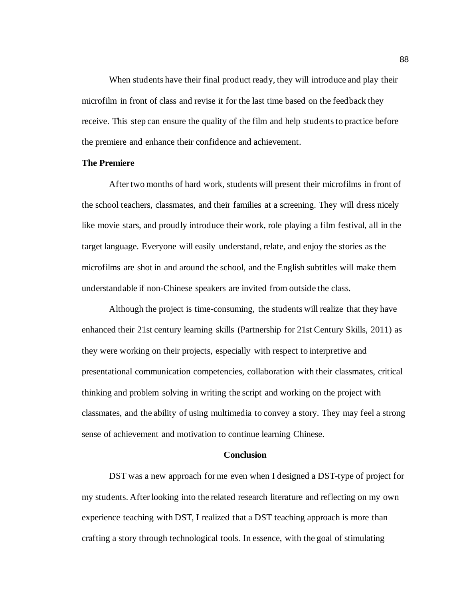When students have their final product ready, they will introduce and play their microfilm in front of class and revise it for the last time based on the feedback they receive. This step can ensure the quality of the film and help students to practice before the premiere and enhance their confidence and achievement.

## **The Premiere**

After two months of hard work, students will present their microfilms in front of the school teachers, classmates, and their families at a screening. They will dress nicely like movie stars, and proudly introduce their work, role playing a film festival, all in the target language. Everyone will easily understand, relate, and enjoy the stories as the microfilms are shot in and around the school, and the English subtitles will make them understandable if non-Chinese speakers are invited from outside the class.

Although the project is time-consuming, the students will realize that they have enhanced their 21st century learning skills (Partnership for 21st Century Skills, 2011) as they were working on their projects, especially with respect to interpretive and presentational communication competencies, collaboration with their classmates, critical thinking and problem solving in writing the script and working on the project with classmates, and the ability of using multimedia to convey a story. They may feel a strong sense of achievement and motivation to continue learning Chinese.

#### **Conclusion**

DST was a new approach for me even when I designed a DST-type of project for my students. After looking into the related research literature and reflecting on my own experience teaching with DST, I realized that a DST teaching approach is more than crafting a story through technological tools. In essence, with the goal of stimulating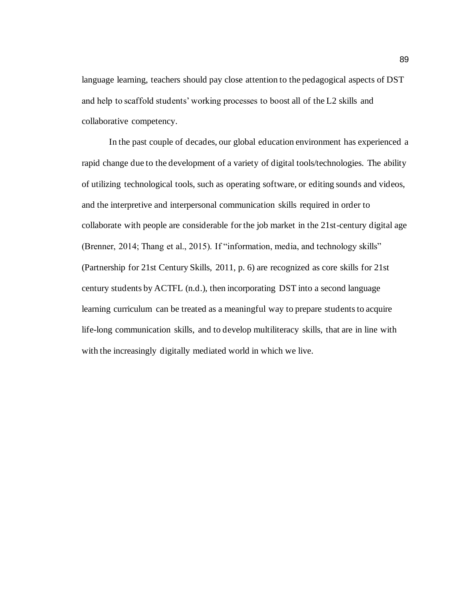language learning, teachers should pay close attention to the pedagogical aspects of DST and help to scaffold students' working processes to boost all of the L2 skills and collaborative competency.

In the past couple of decades, our global education environment has experienced a rapid change due to the development of a variety of digital tools/technologies. The ability of utilizing technological tools, such as operating software, or editing sounds and videos, and the interpretive and interpersonal communication skills required in order to collaborate with people are considerable for the job market in the 21st-century digital age (Brenner, 2014; Thang et al., 2015). If "information, media, and technology skills" (Partnership for 21st Century Skills, 2011, p. 6) are recognized as core skills for 21st century students by ACTFL (n.d.), then incorporating DST into a second language learning curriculum can be treated as a meaningful way to prepare students to acquire life-long communication skills, and to develop multiliteracy skills, that are in line with with the increasingly digitally mediated world in which we live.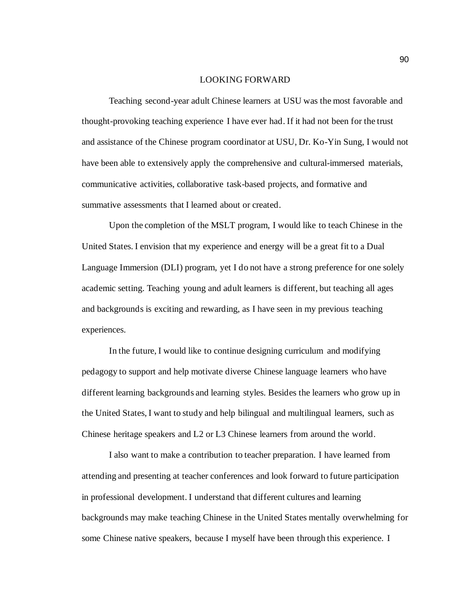#### LOOKING FORWARD

Teaching second-year adult Chinese learners at USU was the most favorable and thought-provoking teaching experience I have ever had. If it had not been for the trust and assistance of the Chinese program coordinator at USU, Dr. Ko-Yin Sung, I would not have been able to extensively apply the comprehensive and cultural-immersed materials, communicative activities, collaborative task-based projects, and formative and summative assessments that I learned about or created.

Upon the completion of the MSLT program, I would like to teach Chinese in the United States. I envision that my experience and energy will be a great fit to a Dual Language Immersion (DLI) program, yet I do not have a strong preference for one solely academic setting. Teaching young and adult learners is different, but teaching all ages and backgrounds is exciting and rewarding, as I have seen in my previous teaching experiences.

In the future, I would like to continue designing curriculum and modifying pedagogy to support and help motivate diverse Chinese language learners who have different learning backgrounds and learning styles. Besides the learners who grow up in the United States, I want to study and help bilingual and multilingual learners, such as Chinese heritage speakers and L2 or L3 Chinese learners from around the world.

I also want to make a contribution to teacher preparation. I have learned from attending and presenting at teacher conferences and look forward to future participation in professional development. I understand that different cultures and learning backgrounds may make teaching Chinese in the United States mentally overwhelming for some Chinese native speakers, because I myself have been through this experience. I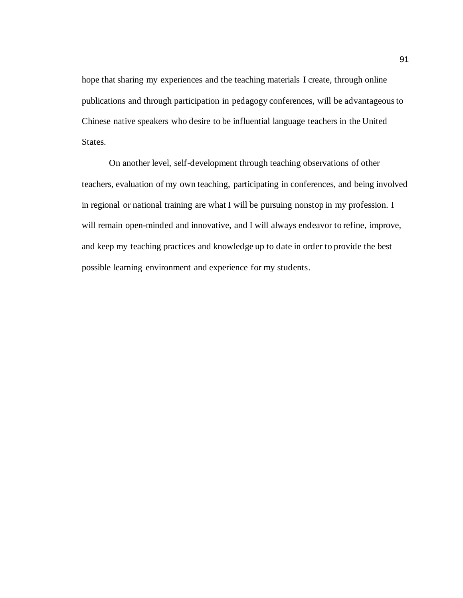hope that sharing my experiences and the teaching materials I create, through online publications and through participation in pedagogy conferences, will be advantageous to Chinese native speakers who desire to be influential language teachers in the United States.

On another level, self-development through teaching observations of other teachers, evaluation of my own teaching, participating in conferences, and being involved in regional or national training are what I will be pursuing nonstop in my profession. I will remain open-minded and innovative, and I will always endeavor to refine, improve, and keep my teaching practices and knowledge up to date in order to provide the best possible learning environment and experience for my students.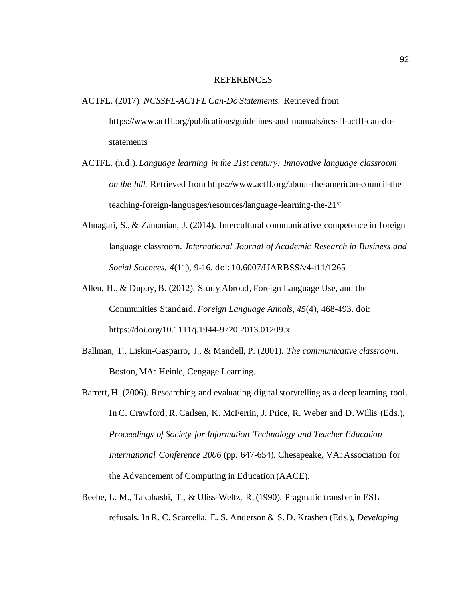#### REFERENCES

- ACTFL. (2017). *NCSSFL-ACTFL Can-Do Statements.* Retrieved from https://www.actfl.org/publications/guidelines-and manuals/ncssfl-actfl-can-dostatements
- ACTFL. (n.d.). *Language learning in the 21st century: Innovative language classroom on the hill.* Retrieved from https://www.actfl.org/about-the-american-council-the teaching-foreign-languages/resources/language-learning-the-21st
- Ahnagari, S., & Zamanian, J. (2014). Intercultural communicative competence in foreign language classroom. *International Journal of Academic Research in Business and Social Sciences, 4*(11), 9-16. doi: 10.6007/IJARBSS/v4-i11/1265
- Allen, H., & Dupuy, B. (2012). Study Abroad, Foreign Language Use, and the Communities Standard. *Foreign Language Annals, 45*(4), 468-493. doi: https://doi.org/10.1111/j.1944-9720.2013.01209.x
- Ballman, T., Liskin-Gasparro, J., & Mandell, P. (2001). *The communicative classroom*. Boston, MA: Heinle, Cengage Learning.
- Barrett, H. (2006). Researching and evaluating digital storytelling as a deep learning tool. In C. Crawford, R. Carlsen, K. McFerrin, J. Price, R. Weber and D. Willis (Eds.), *Proceedings of Society for Information Technology and Teacher Education International Conference 2006* (pp. 647-654). Chesapeake, VA: Association for the Advancement of Computing in Education (AACE).
- Beebe, L. M., Takahashi, T., & Uliss-Weltz, R. (1990). Pragmatic transfer in ESL refusals. In R. C. Scarcella, E. S. Anderson & S. D. Krashen (Eds.), *Developing*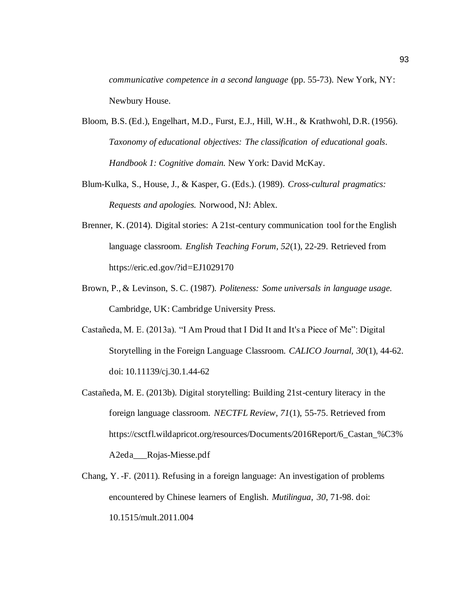*communicative competence in a second language* (pp. 55-73). New York, NY: Newbury House.

- Bloom, B.S. (Ed.), Engelhart, M.D., Furst, E.J., Hill, W.H., & Krathwohl, D.R. (1956). *Taxonomy of educational objectives: The classification of educational goals. Handbook 1: Cognitive domain.* New York: David McKay.
- Blum-Kulka, S., House, J., & Kasper, G. (Eds.). (1989). *Cross-cultural pragmatics: Requests and apologies.* Norwood, NJ: Ablex.
- Brenner, K. (2014). Digital stories: A 21st-century communication tool for the English language classroom. *English Teaching Forum, 52*(1), 22-29. Retrieved from https://eric.ed.gov/?id=EJ1029170
- Brown, P., & Levinson, S. C. (1987). *Politeness: Some universals in language usage.*  Cambridge, UK: Cambridge University Press.
- Castañeda, M. E. (2013a). "I Am Proud that I Did It and It's a Piece of Me": Digital Storytelling in the Foreign Language Classroom. *CALICO Journal, 30*(1), 44-62. doi: 10.11139/cj.30.1.44-62
- Castañeda, M. E. (2013b). Digital storytelling: Building 21st-century literacy in the foreign language classroom. *NECTFL Review, 71*(1), 55-75. Retrieved from https://csctfl.wildapricot.org/resources/Documents/2016Report/6\_Castan\_%C3% A2eda\_\_\_Rojas-Miesse.pdf
- Chang, Y. -F. (2011). Refusing in a foreign language: An investigation of problems encountered by Chinese learners of English. *Mutilingua*, *30*, 71-98. doi: 10.1515/mult.2011.004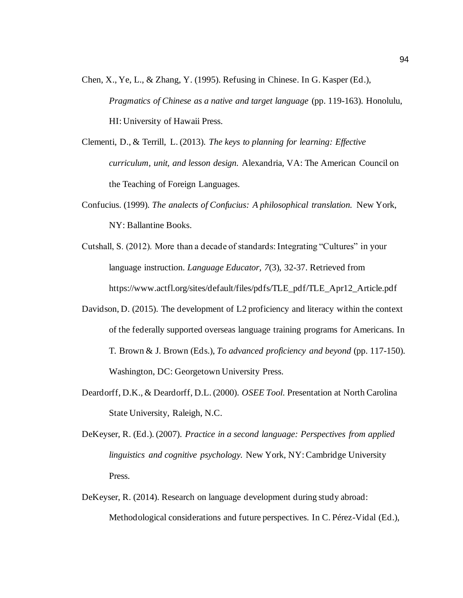- Chen, X., Ye, L., & Zhang, Y. (1995). Refusing in Chinese. In G. Kasper (Ed.), *Pragmatics of Chinese as a native and target language* (pp. 119-163). Honolulu, HI: University of Hawaii Press.
- Clementi, D., & Terrill, L. (2013). *The keys to planning for learning: Effective curriculum, unit, and lesson design.* Alexandria, VA: The American Council on the Teaching of Foreign Languages.
- Confucius. (1999). *The analects of Confucius: A philosophical translation.* New York, NY: Ballantine Books.
- Cutshall, S. (2012). More than a decade of standards: Integrating "Cultures" in your language instruction. *Language Educator, 7*(3), 32-37. Retrieved from https://www.actfl.org/sites/default/files/pdfs/TLE\_pdf/TLE\_Apr12\_Article.pdf
- Davidson, D. (2015). The development of L2 proficiency and literacy within the context of the federally supported overseas language training programs for Americans. In T. Brown & J. Brown (Eds.), *To advanced proficiency and beyond* (pp. 117-150). Washington, DC: Georgetown University Press.
- Deardorff, D.K., & Deardorff, D.L. (2000). *OSEE Tool*. Presentation at North Carolina State University, Raleigh, N.C.
- DeKeyser, R. (Ed.). (2007). *Practice in a second language: Perspectives from applied linguistics and cognitive psychology.* New York, NY: Cambridge University Press.
- DeKeyser, R. (2014). Research on language development during study abroad: Methodological considerations and future perspectives. In C. Pérez-Vidal (Ed.),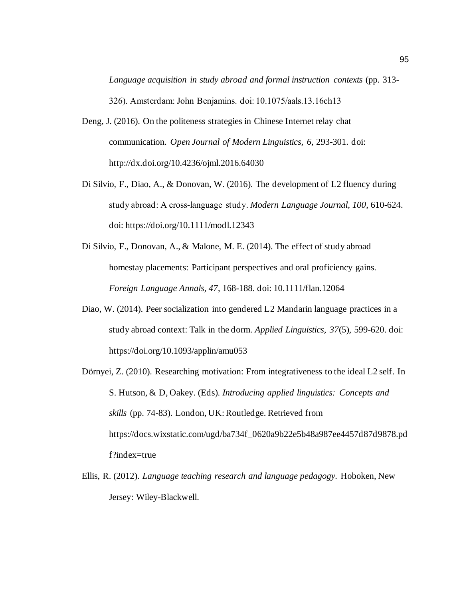*Language acquisition in study abroad and formal instruction contexts* (pp. 313- 326). Amsterdam: John Benjamins. doi: 10.1075/aals.13.16ch13

- Deng, J. (2016). On the politeness strategies in Chinese Internet relay chat communication. *Open Journal of Modern Linguistics, 6,* 293-301. doi: http://dx.doi.org/10.4236/ojml.2016.64030
- Di Silvio, F., Diao, A., & Donovan, W. (2016). The development of L2 fluency during study abroad: A cross‐language study. *Modern Language Journal, 100*, 610-624. doi: https://doi.org/10.1111/modl.12343
- Di Silvio, F., Donovan, A., & Malone, M. E. (2014). The effect of study abroad homestay placements: Participant perspectives and oral proficiency gains. *Foreign Language Annals, 47*, 168-188. doi: 10.1111/flan.12064
- Diao, W. (2014). Peer socialization into gendered L2 Mandarin language practices in a study abroad context: Talk in the dorm. *Applied Linguistics, 37*(5), 599-620. doi: <https://doi.org/10.1093/applin/amu053>
- Dörnyei, Z. (2010). Researching motivation: From integrativeness to the ideal L2 self. In S. Hutson, & D, Oakey. (Eds). *Introducing applied linguistics: Concepts and skills* (pp. 74-83). London, UK: Routledge. Retrieved from https://docs.wixstatic.com/ugd/ba734f\_0620a9b22e5b48a987ee4457d87d9878.pd f?index=true
- Ellis, R. (2012). *Language teaching research and language pedagogy.* Hoboken, New Jersey: Wiley-Blackwell.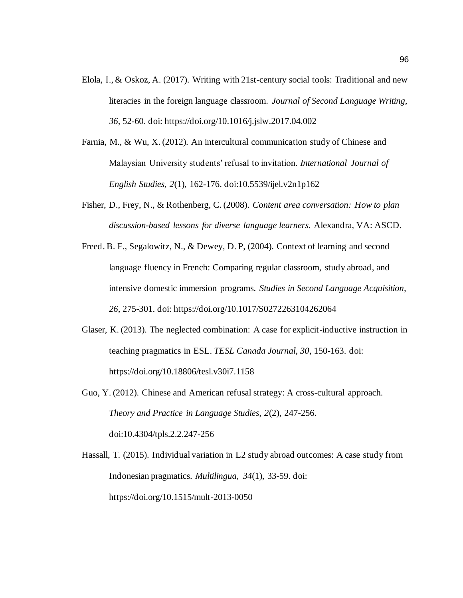- Elola, I., & Oskoz, A. (2017). Writing with 21st-century social tools: Traditional and new literacies in the foreign language classroom. *Journal of Second Language Writing, 36*, 52-60. doi: https://doi.org/10.1016/j.jslw.2017.04.002
- Farnia, M., & Wu, X. (2012). An intercultural communication study of Chinese and Malaysian University students' refusal to invitation. *International Journal of English Studies, 2*(1), 162-176. doi:10.5539/ijel.v2n1p162
- Fisher, D., Frey, N., & Rothenberg, C. (2008). *Content area conversation: How to plan discussion-based lessons for diverse language learners.* Alexandra, VA: ASCD.
- Freed. B. F., Segalowitz, N., & Dewey, D. P, (2004). Context of learning and second language fluency in French: Comparing regular classroom, study abroad, and intensive domestic immersion programs. *Studies in Second Language Acquisition, 26*, 275-301. doi: https://doi.org/10.1017/S0272263104262064
- Glaser, K. (2013). The neglected combination: A case for explicit-inductive instruction in teaching pragmatics in ESL. *TESL Canada Journal, 30*, 150-163. doi: https://doi.org/10.18806/tesl.v30i7.1158
- Guo, Y. (2012). Chinese and American refusal strategy: A cross-cultural approach. *Theory and Practice in Language Studies, 2*(2), 247-256. doi:10.4304/tpls.2.2.247-256
- Hassall, T. (2015). Individual variation in L2 study abroad outcomes: A case study from Indonesian pragmatics. *Multilingua, 34*(1), 33-59. doi: https://doi.org/10.1515/mult-2013-0050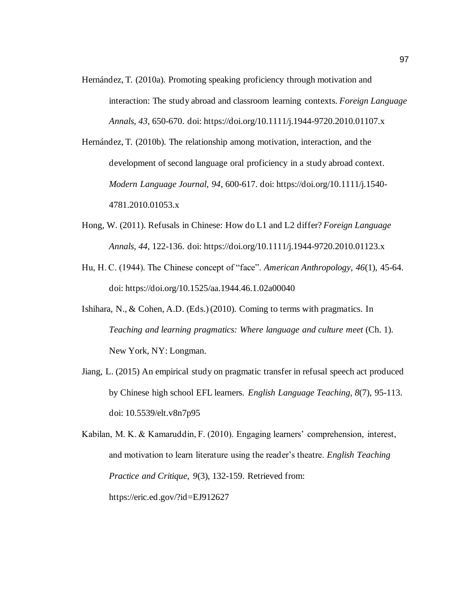- Hernández, T. (2010a). Promoting speaking proficiency through motivation and interaction: The study abroad and classroom learning contexts. *Foreign Language Annals, 43*, 650-670. doi: https://doi.org/10.1111/j.1944-9720.2010.01107.x
- Hernández, T. (2010b). The relationship among motivation, interaction, and the development of second language oral proficiency in a study abroad context. *Modern Language Journal, 94*, 600-617. doi: https://doi.org/10.1111/j.1540- 4781.2010.01053.x
- Hong, W. (2011). Refusals in Chinese: How do L1 and L2 differ? *Foreign Language Annals, 44*, 122-136. doi: https://doi.org/10.1111/j.1944-9720.2010.01123.x
- Hu, H. C. (1944). The Chinese concept of "face". *American Anthropology, 46*(1), 45-64. doi: https://doi.org/10.1525/aa.1944.46.1.02a00040
- Ishihara, N., & Cohen, A.D. (Eds.) (2010). Coming to terms with pragmatics. In *Teaching and learning pragmatics: Where language and culture meet* (Ch. 1). New York, NY: Longman.
- Jiang, L. (2015) An empirical study on pragmatic transfer in refusal speech act produced by Chinese high school EFL learners. *English Language Teaching, 8*(7), 95-113. doi: 10.5539/elt.v8n7p95

Kabilan, M. K. & Kamaruddin, F. (2010). Engaging learners' comprehension, interest, and motivation to learn literature using the reader's theatre. *English Teaching Practice and Critique, 9*(3), 132-159. Retrieved from: https://eric.ed.gov/?id=EJ912627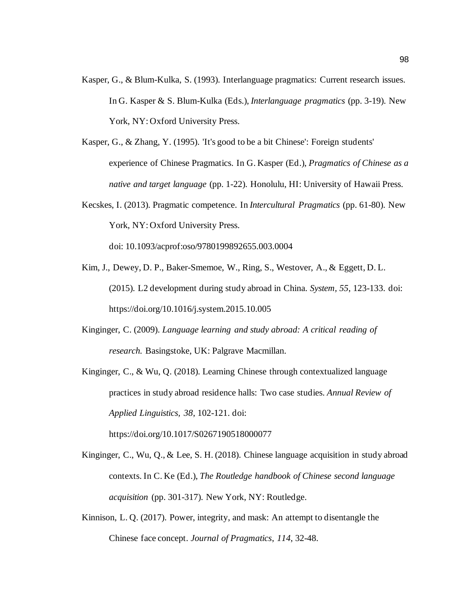- Kasper, G., & Blum-Kulka, S. (1993). Interlanguage pragmatics: Current research issues. In G. Kasper & S. Blum-Kulka (Eds.), *Interlanguage pragmatics* (pp. 3-19). New York, NY: Oxford University Press.
- Kasper, G., & Zhang, Y. (1995). 'It's good to be a bit Chinese': Foreign students' experience of Chinese Pragmatics. In G. Kasper (Ed.), *Pragmatics of Chinese as a native and target language* (pp. 1-22). Honolulu, HI: University of Hawaii Press.
- Kecskes, I. (2013). Pragmatic competence. In *Intercultural Pragmatics* (pp. 61-80). New York, NY: Oxford University Press.

doi: 10.1093/acprof:oso/9780199892655.003.0004

- Kim, J., Dewey, D. P., Baker-Smemoe, W., Ring, S., Westover, A., & Eggett, D. L. (2015). L2 development during study abroad in China. *System, 55*, 123-133. doi: https://doi.org/10.1016/j.system.2015.10.005
- Kinginger, C. (2009). *Language learning and study abroad: A critical reading of research.* Basingstoke, UK: Palgrave Macmillan.
- Kinginger, C., & Wu, Q. (2018). Learning Chinese through contextualized language practices in study abroad residence halls: Two case studies. *Annual Review of Applied Linguistics, 38*, 102-121. doi:

https://doi.org/10.1017/S0267190518000077

- Kinginger, C., Wu, Q., & Lee, S. H. (2018). Chinese language acquisition in study abroad contexts. In C. Ke (Ed.), *The Routledge handbook of Chinese second language acquisition* (pp. 301-317). New York, NY: Routledge.
- Kinnison, L. Q. (2017). Power, integrity, and mask: An attempt to disentangle the Chinese face concept. *Journal of Pragmatics*, *114*, 32-48.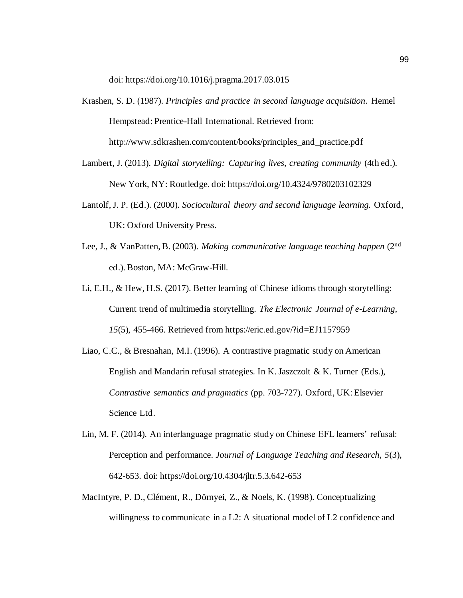doi: https://doi.org/10.1016/j.pragma.2017.03.015

- Krashen, S. D. (1987). *Principles and practice in second language acquisition*. Hemel Hempstead: Prentice-Hall International. Retrieved from: http://www.sdkrashen.com/content/books/principles\_and\_practice.pdf
- Lambert, J. (2013). *Digital storytelling: Capturing lives, creating community* (4th ed.). New York, NY: Routledge. doi: https://doi.org/10.4324/9780203102329
- Lantolf, J. P. (Ed.). (2000). *Sociocultural theory and second language learning.* Oxford, UK: Oxford University Press.
- Lee, J., & VanPatten, B. (2003). *Making communicative language teaching happen* (2nd ed.). Boston, MA: McGraw-Hill.
- Li, E.H., & Hew, H.S. (2017). Better learning of Chinese idioms through storytelling: Current trend of multimedia storytelling. *The Electronic Journal of e-Learning, 15*(5), 455-466. Retrieved from https://eric.ed.gov/?id=EJ1157959
- Liao, C.C., & Bresnahan, M.I. (1996). A contrastive pragmatic study on American English and Mandarin refusal strategies. In K. Jaszczolt & K. Turner (Eds.), *Contrastive semantics and pragmatics* (pp. 703-727). Oxford, UK: Elsevier Science Ltd.
- Lin, M. F. (2014). An interlanguage pragmatic study on Chinese EFL learners' refusal: Perception and performance. *Journal of Language Teaching and Research, 5*(3), 642-653. doi: https://doi.org/10.4304/jltr.5.3.642-653
- MacIntyre, P. D., Clément, R., Dörnyei, Z., & Noels, K. (1998). Conceptualizing willingness to communicate in a L2: A situational model of L2 confidence and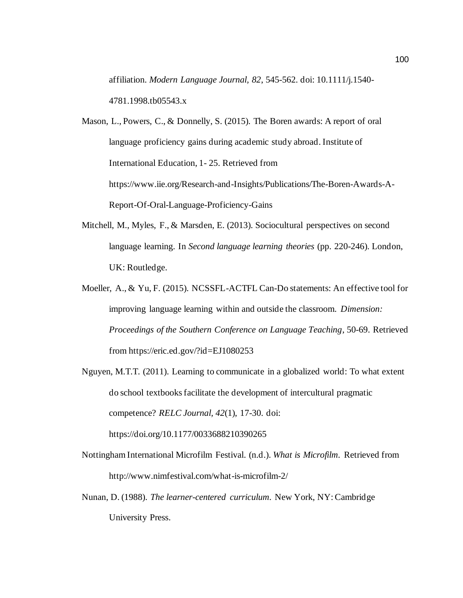affiliation. *Modern Language Journal, 82*, 545-562. doi: 10.1111/j.1540- 4781.1998.tb05543.x

Mason, L., Powers, C., & Donnelly, S. (2015). The Boren awards: A report of oral language proficiency gains during academic study abroad. Institute of International Education, 1- 25. Retrieved from https://www.iie.org/Research-and-Insights/Publications/The-Boren-Awards-A-Report-Of-Oral-Language-Proficiency-Gains

- Mitchell, M., Myles, F., & Marsden, E. (2013). Sociocultural perspectives on second language learning. In *Second language learning theories* (pp. 220-246). London, UK: Routledge.
- Moeller, A., & Yu, F. (2015). NCSSFL-ACTFL Can-Do statements: An effective tool for improving language learning within and outside the classroom. *Dimension: Proceedings of the Southern Conference on Language Teaching*, 50-69. Retrieved from https://eric.ed.gov/?id=EJ1080253

Nguyen, M.T.T. (2011). Learning to communicate in a globalized world: To what extent do school textbooks facilitate the development of intercultural pragmatic competence? *RELC Journal, 42*(1), 17-30. doi:

https://doi.org/10.1177/0033688210390265

- Nottingham International Microfilm Festival. (n.d.). *What is Microfilm.* Retrieved from http://www.nimfestival.com/what-is-microfilm-2/
- Nunan, D. (1988). *The learner-centered curriculum.* New York, NY: Cambridge University Press.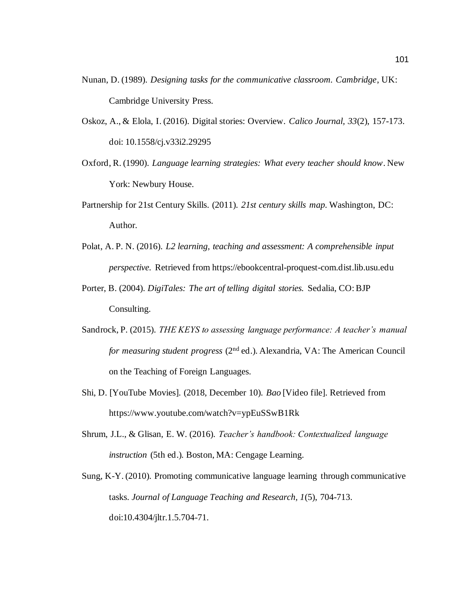- Nunan, D. (1989). *Designing tasks for the communicative classroom. Cambridge*, UK: Cambridge University Press.
- Oskoz, A., & Elola, I. (2016). Digital stories: Overview. *Calico Journal, 33*(2), 157-173. doi: 10.1558/cj.v33i2.29295
- Oxford, R. (1990). *Language learning strategies: What every teacher should know*. New York: Newbury House.
- Partnership for 21st Century Skills. (2011). *21st century skills map.* Washington, DC: Author.
- Polat, A. P. N. (2016). *L2 learning, teaching and assessment: A comprehensible input perspective.* Retrieved from https://ebookcentral-proquest-com.dist.lib.usu.edu
- Porter, B. (2004). *DigiTales: The art of telling digital stories.* Sedalia, CO: BJP Consulting.
- Sandrock, P. (2015). *THE KEYS to assessing language performance: A teacher's manual for measuring student progress* (2nd ed.). Alexandria, VA: The American Council on the Teaching of Foreign Languages.
- Shi, D. [YouTube Movies]. (2018, December 10). *Bao* [Video file]. Retrieved from https://www.youtube.com/watch?v=ypEuSSwB1Rk
- Shrum, J.L., & Glisan, E. W. (2016). *Teacher's handbook: Contextualized language instruction* (5th ed.)*.* Boston, MA: Cengage Learning.
- Sung, K-Y. (2010). Promoting communicative language learning through communicative tasks. *Journal of Language Teaching and Research, 1*(5), 704-713. doi:10.4304/jltr.1.5.704-71.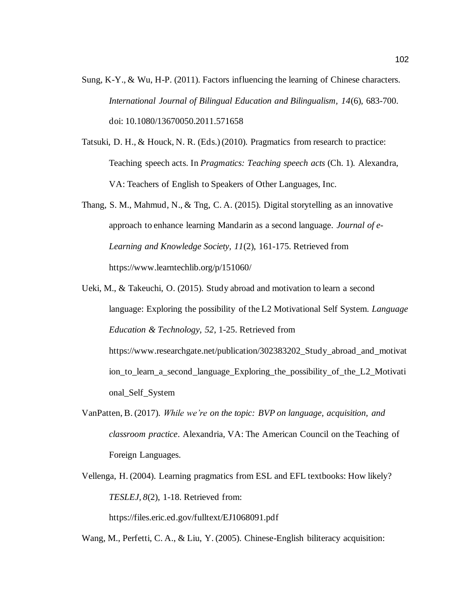- Sung, K-Y., & Wu, H-P. (2011). Factors influencing the learning of Chinese characters. *International Journal of Bilingual Education and Bilingualism, 14*(6), 683-700. doi: 10.1080/13670050.2011.571658
- Tatsuki, D. H., & Houck, N. R. (Eds.) (2010). Pragmatics from research to practice: Teaching speech acts. In *Pragmatics: Teaching speech acts* (Ch. 1)*.* Alexandra, VA: Teachers of English to Speakers of Other Languages, Inc.
- Thang, S. M., Mahmud, N., & Tng, C. A. (2015). Digital storytelling as an innovative approach to enhance learning Mandarin as a second language. *Journal of e-Learning and Knowledge Society, 11*(2), 161-175. Retrieved from https://www.learntechlib.org/p/151060/
- Ueki, M., & Takeuchi, O. (2015). Study abroad and motivation to learn a second language: Exploring the possibility of the L2 Motivational Self System. *Language Education & Technology, 52*, 1-25. Retrieved from [https://www.researchgate.net/publication/302383202\\_Study\\_abroad\\_and\\_motivat](https://www.researchgate.net/publication/302383202_Study_abroad_and_motivation_to_learn_a_second_language_Exploring_the_possibility_of_the_L2_Motivational_Self_System) [ion\\_to\\_learn\\_a\\_second\\_language\\_Exploring\\_the\\_possibility\\_of\\_the\\_L2\\_Motivati](https://www.researchgate.net/publication/302383202_Study_abroad_and_motivation_to_learn_a_second_language_Exploring_the_possibility_of_the_L2_Motivational_Self_System) [onal\\_Self\\_System](https://www.researchgate.net/publication/302383202_Study_abroad_and_motivation_to_learn_a_second_language_Exploring_the_possibility_of_the_L2_Motivational_Self_System)
- VanPatten, B. (2017). *While we're on the topic: BVP on language, acquisition, and classroom practice*. Alexandria, VA: The American Council on the Teaching of Foreign Languages.
- Vellenga, H. (2004). Learning pragmatics from ESL and EFL textbooks: How likely? *TESLEJ, 8*(2), 1-18. Retrieved from:

https://files.eric.ed.gov/fulltext/EJ1068091.pdf

Wang, M., Perfetti, C. A., & Liu, Y. (2005). Chinese-English biliteracy acquisition: